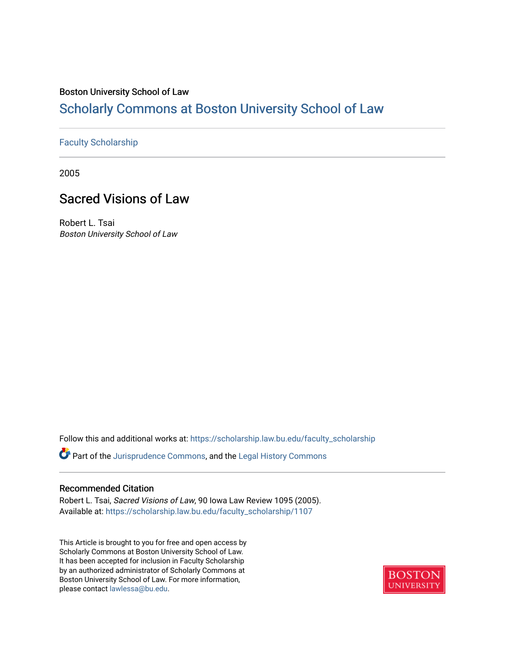## Boston University School of Law

# [Scholarly Commons at Boston University School of Law](https://scholarship.law.bu.edu/)

## [Faculty Scholarship](https://scholarship.law.bu.edu/faculty_scholarship)

2005

# Sacred Visions of Law

Robert L. Tsai Boston University School of Law

Follow this and additional works at: [https://scholarship.law.bu.edu/faculty\\_scholarship](https://scholarship.law.bu.edu/faculty_scholarship?utm_source=scholarship.law.bu.edu%2Ffaculty_scholarship%2F1107&utm_medium=PDF&utm_campaign=PDFCoverPages)

Part of the [Jurisprudence Commons](http://network.bepress.com/hgg/discipline/610?utm_source=scholarship.law.bu.edu%2Ffaculty_scholarship%2F1107&utm_medium=PDF&utm_campaign=PDFCoverPages), and the [Legal History Commons](http://network.bepress.com/hgg/discipline/904?utm_source=scholarship.law.bu.edu%2Ffaculty_scholarship%2F1107&utm_medium=PDF&utm_campaign=PDFCoverPages)

## Recommended Citation

Robert L. Tsai, Sacred Visions of Law, 90 Iowa Law Review 1095 (2005). Available at: [https://scholarship.law.bu.edu/faculty\\_scholarship/1107](https://scholarship.law.bu.edu/faculty_scholarship/1107?utm_source=scholarship.law.bu.edu%2Ffaculty_scholarship%2F1107&utm_medium=PDF&utm_campaign=PDFCoverPages)

This Article is brought to you for free and open access by Scholarly Commons at Boston University School of Law. It has been accepted for inclusion in Faculty Scholarship by an authorized administrator of Scholarly Commons at Boston University School of Law. For more information, please contact [lawlessa@bu.edu](mailto:lawlessa@bu.edu).

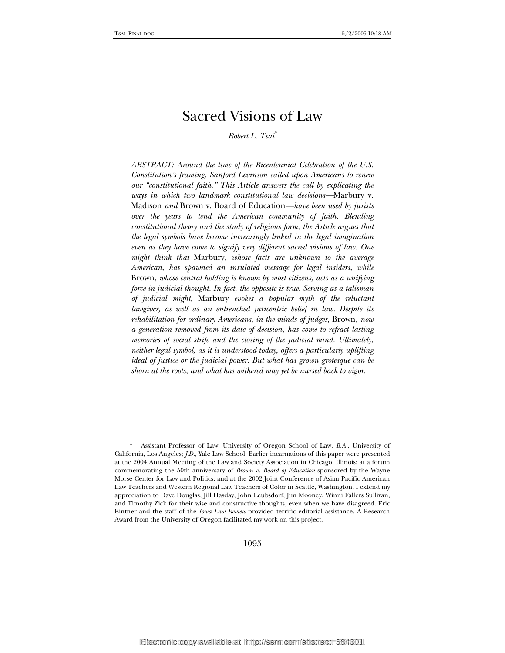# Sacred Visions of Law

*Robert L. Tsai\**

*ABSTRACT: Around the time of the Bicentennial Celebration of the U.S. Constitution's framing, Sanford Levinson called upon Americans to renew our "constitutional faith." This Article answers the call by explicating the ways in which two landmark constitutional law decisions—*Marbury v. Madison *and* Brown v. Board of Education*—have been used by jurists over the years to tend the American community of faith. Blending constitutional theory and the study of religious form, the Article argues that the legal symbols have become increasingly linked in the legal imagination even as they have come to signify very different sacred visions of law. One might think that* Marbury*, whose facts are unknown to the average American, has spawned an insulated message for legal insiders, while*  Brown*, whose central holding is known by most citizens, acts as a unifying force in judicial thought. In fact, the opposite is true. Serving as a talisman of judicial might,* Marbury *evokes a popular myth of the reluctant lawgiver, as well as an entrenched juricentric belief in law. Despite its rehabilitation for ordinary Americans, in the minds of judges,* Brown*, now a generation removed from its date of decision, has come to refract lasting memories of social strife and the closing of the judicial mind. Ultimately, neither legal symbol, as it is understood today, offers a particularly uplifting ideal of justice or the judicial power. But what has grown grotesque can be shorn at the roots, and what has withered may yet be nursed back to vigor.* 

1095

 <sup>\*</sup> Assistant Professor of Law, University of Oregon School of Law. *B.A.*, University of California, Los Angeles; *J.D.*, Yale Law School. Earlier incarnations of this paper were presented at the 2004 Annual Meeting of the Law and Society Association in Chicago, Illinois; at a forum commemorating the 50th anniversary of *Brown v. Board of Education* sponsored by the Wayne Morse Center for Law and Politics; and at the 2002 Joint Conference of Asian Pacific American Law Teachers and Western Regional Law Teachers of Color in Seattle, Washington. I extend my appreciation to Dave Douglas, Jill Hasday, John Leubsdorf, Jim Mooney, Winni Fallers Sullivan, and Timothy Zick for their wise and constructive thoughts, even when we have disagreed. Eric Kintner and the staff of the *Iowa Law Review* provided terrific editorial assistance. A Research Award from the University of Oregon facilitated my work on this project.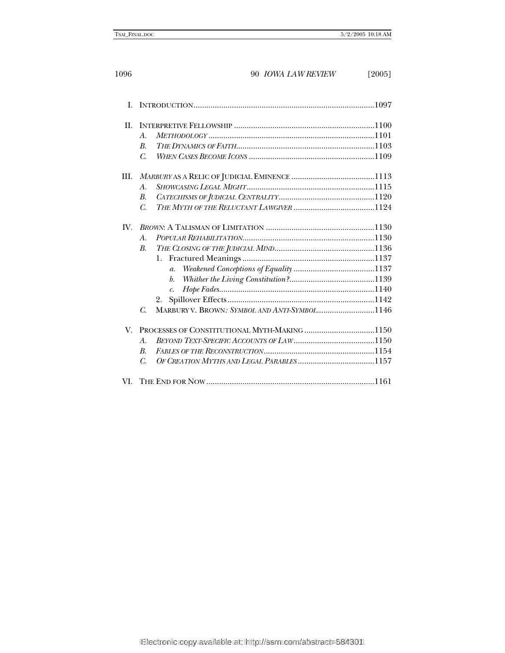| L       |                                                                                                                                                    |  |
|---------|----------------------------------------------------------------------------------------------------------------------------------------------------|--|
| $\Pi$ . | $\mathcal{A}$ .<br>$\boldsymbol{B}$ .<br>$\overline{C}$ .                                                                                          |  |
| III.    | $\mathcal{A}$ .<br><i>B</i> .<br>C.                                                                                                                |  |
| $W_{-}$ | $\mathcal{A}$ .<br><i>B.</i><br>$\mathfrak{a}.$<br>$\mathfrak{b}$ .<br>$\mathcal{C}$ .<br>2.<br>MARBURY V. BROWN: SYMBOL AND ANTI-SYMBOL1146<br>C. |  |
| V.      | $\mathcal{A}$ .<br>$\mathbf{B}$<br>C.                                                                                                              |  |
| VL.     |                                                                                                                                                    |  |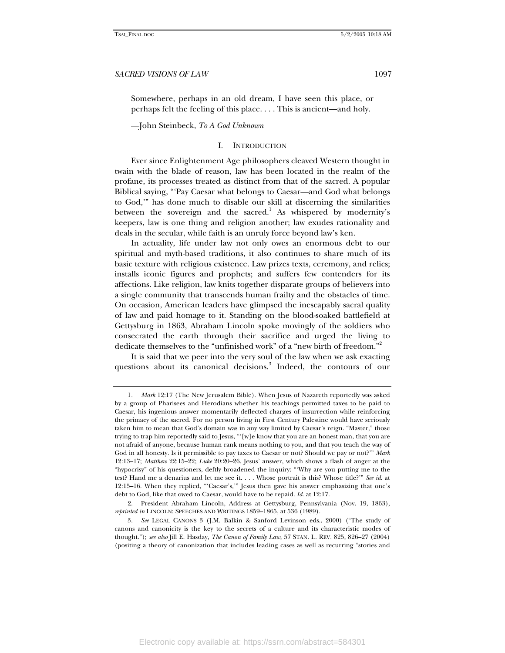Somewhere, perhaps in an old dream, I have seen this place, or perhaps felt the feeling of this place. . . . This is ancient—and holy.

—John Steinbeck, *To A God Unknown* 

### I. INTRODUCTION

Ever since Enlightenment Age philosophers cleaved Western thought in twain with the blade of reason, law has been located in the realm of the profane, its processes treated as distinct from that of the sacred. A popular Biblical saying, "'Pay Caesar what belongs to Caesar—and God what belongs to God,'" has done much to disable our skill at discerning the similarities between the sovereign and the sacred.<sup>1</sup> As whispered by modernity's keepers, law is one thing and religion another; law exudes rationality and deals in the secular, while faith is an unruly force beyond law's ken.

In actuality, life under law not only owes an enormous debt to our spiritual and myth-based traditions, it also continues to share much of its basic texture with religious existence. Law prizes texts, ceremony, and relics; installs iconic figures and prophets; and suffers few contenders for its affections. Like religion, law knits together disparate groups of believers into a single community that transcends human frailty and the obstacles of time. On occasion, American leaders have glimpsed the inescapably sacral quality of law and paid homage to it. Standing on the blood-soaked battlefield at Gettysburg in 1863, Abraham Lincoln spoke movingly of the soldiers who consecrated the earth through their sacrifice and urged the living to dedicate themselves to the "unfinished work" of a "new birth of freedom."<sup>2</sup>

It is said that we peer into the very soul of the law when we ask exacting questions about its canonical decisions.<sup>3</sup> Indeed, the contours of our

<sup>1</sup>*. Mark* 12:17 (The New Jerusalem Bible). When Jesus of Nazareth reportedly was asked by a group of Pharisees and Herodians whether his teachings permitted taxes to be paid to Caesar, his ingenious answer momentarily deflected charges of insurrection while reinforcing the primacy of the sacred. For no person living in First Century Palestine would have seriously taken him to mean that God's domain was in any way limited by Caesar's reign. "Master," those trying to trap him reportedly said to Jesus, "'[w]e know that you are an honest man, that you are not afraid of anyone, because human rank means nothing to you, and that you teach the way of God in all honesty. Is it permissible to pay taxes to Caesar or not? Should we pay or not?'" *Mark* 12:13–17; *Matthew* 22:15–22; *Luke* 20:20–26. Jesus' answer, which shows a flash of anger at the "hypocrisy" of his questioners, deftly broadened the inquiry: "'Why are you putting me to the test? Hand me a denarius and let me see it. . . . Whose portrait is this? Whose title?'" *See id*. at 12:15–16. When they replied, "'Caesar's,'" Jesus then gave his answer emphasizing that one's debt to God, like that owed to Caesar, would have to be repaid. *Id*. at 12:17.

 <sup>2.</sup> President Abraham Lincoln, Address at Gettysburg, Pennsylvania (Nov. 19, 1863), *reprinted in* LINCOLN: SPEECHES AND WRITINGS 1859–1865, at 536 (1989).

<sup>3</sup>*. See* LEGAL CANONS 3 (J.M. Balkin & Sanford Levinson eds., 2000) ("The study of canons and canonicity is the key to the secrets of a culture and its characteristic modes of thought."); *see also* Jill E. Hasday, *The Canon of Family Law*, 57 STAN. L. REV. 825, 826–27 (2004) (positing a theory of canonization that includes leading cases as well as recurring "stories and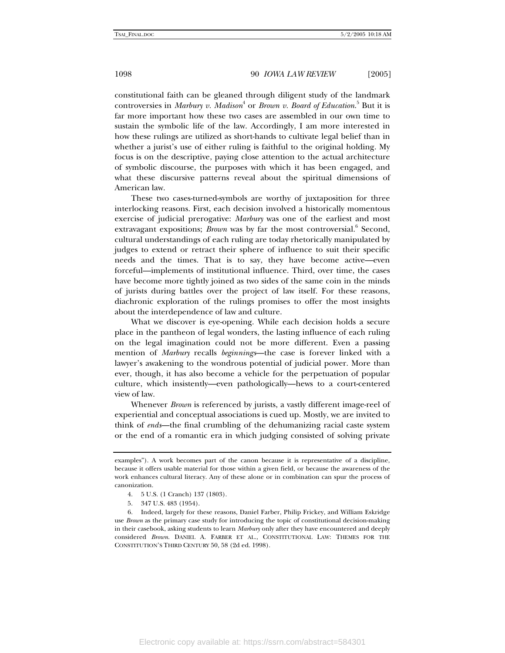constitutional faith can be gleaned through diligent study of the landmark controversies in *Marbury v. Madison*<sup>4</sup> or *Brown v. Board of Education*.<sup>5</sup> But it is far more important how these two cases are assembled in our own time to sustain the symbolic life of the law. Accordingly, I am more interested in how these rulings are utilized as short-hands to cultivate legal belief than in whether a jurist's use of either ruling is faithful to the original holding. My focus is on the descriptive, paying close attention to the actual architecture of symbolic discourse, the purposes with which it has been engaged, and what these discursive patterns reveal about the spiritual dimensions of American law.

These two cases-turned-symbols are worthy of juxtaposition for three interlocking reasons. First, each decision involved a historically momentous exercise of judicial prerogative: *Marbury* was one of the earliest and most extravagant expositions; *Brown* was by far the most controversial.<sup>6</sup> Second, cultural understandings of each ruling are today rhetorically manipulated by judges to extend or retract their sphere of influence to suit their specific needs and the times. That is to say, they have become active—even forceful—implements of institutional influence. Third, over time, the cases have become more tightly joined as two sides of the same coin in the minds of jurists during battles over the project of law itself. For these reasons, diachronic exploration of the rulings promises to offer the most insights about the interdependence of law and culture.

What we discover is eye-opening. While each decision holds a secure place in the pantheon of legal wonders, the lasting influence of each ruling on the legal imagination could not be more different. Even a passing mention of *Marbury* recalls *beginnings*—the case is forever linked with a lawyer's awakening to the wondrous potential of judicial power. More than ever, though, it has also become a vehicle for the perpetuation of popular culture, which insistently—even pathologically—hews to a court-centered view of law.

Whenever *Brown* is referenced by jurists, a vastly different image-reel of experiential and conceptual associations is cued up. Mostly, we are invited to think of *ends*—the final crumbling of the dehumanizing racial caste system or the end of a romantic era in which judging consisted of solving private

examples"). A work becomes part of the canon because it is representative of a discipline, because it offers usable material for those within a given field, or because the awareness of the work enhances cultural literacy. Any of these alone or in combination can spur the process of canonization.

 <sup>4. 5</sup> U.S. (1 Cranch) 137 (1803).

 <sup>5. 347</sup> U.S. 483 (1954).

 <sup>6.</sup> Indeed, largely for these reasons, Daniel Farber, Philip Frickey, and William Eskridge use *Brown* as the primary case study for introducing the topic of constitutional decision-making in their casebook, asking students to learn *Marbury* only after they have encountered and deeply considered *Brown*. DANIEL A. FARBER ET AL., CONSTITUTIONAL LAW: THEMES FOR THE CONSTITUTION'S THIRD CENTURY 50, 58 (2d ed. 1998).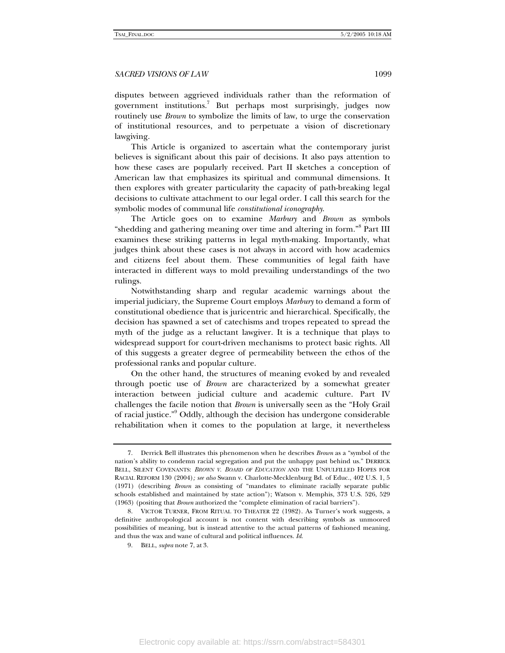disputes between aggrieved individuals rather than the reformation of government institutions.<sup>7</sup> But perhaps most surprisingly, judges now routinely use *Brown* to symbolize the limits of law, to urge the conservation of institutional resources, and to perpetuate a vision of discretionary lawgiving.

This Article is organized to ascertain what the contemporary jurist believes is significant about this pair of decisions. It also pays attention to how these cases are popularly received. Part II sketches a conception of American law that emphasizes its spiritual and communal dimensions. It then explores with greater particularity the capacity of path-breaking legal decisions to cultivate attachment to our legal order. I call this search for the symbolic modes of communal life *constitutional iconography*.

The Article goes on to examine *Marbury* and *Brown* as symbols "shedding and gathering meaning over time and altering in form."8 Part III examines these striking patterns in legal myth-making. Importantly, what judges think about these cases is not always in accord with how academics and citizens feel about them. These communities of legal faith have interacted in different ways to mold prevailing understandings of the two rulings.

Notwithstanding sharp and regular academic warnings about the imperial judiciary, the Supreme Court employs *Marbury* to demand a form of constitutional obedience that is juricentric and hierarchical. Specifically, the decision has spawned a set of catechisms and tropes repeated to spread the myth of the judge as a reluctant lawgiver. It is a technique that plays to widespread support for court-driven mechanisms to protect basic rights. All of this suggests a greater degree of permeability between the ethos of the professional ranks and popular culture.

On the other hand, the structures of meaning evoked by and revealed through poetic use of *Brown* are characterized by a somewhat greater interaction between judicial culture and academic culture. Part IV challenges the facile notion that *Brown* is universally seen as the "Holy Grail of racial justice."<sup>9</sup> Oddly, although the decision has undergone considerable rehabilitation when it comes to the population at large, it nevertheless

 <sup>7.</sup> Derrick Bell illustrates this phenomenon when he describes *Brown* as a "symbol of the nation's ability to condemn racial segregation and put the unhappy past behind us." DERRICK BELL, SILENT COVENANTS: *BROWN V. BOARD OF EDUCATION* AND THE UNFULFILLED HOPES FOR RACIAL REFORM 130 (2004)*; see also* Swann v. Charlotte-Mecklenburg Bd. of Educ., 402 U.S. 1, 5 (1971) (describing *Brown* as consisting of "mandates to eliminate racially separate public schools established and maintained by state action"); Watson v. Memphis, 373 U.S. 526, 529 (1963) (positing that *Brown* authorized the "complete elimination of racial barriers").

 <sup>8.</sup> VICTOR TURNER, FROM RITUAL TO THEATER 22 (1982). As Turner's work suggests, a definitive anthropological account is not content with describing symbols as unmoored possibilities of meaning, but is instead attentive to the actual patterns of fashioned meaning, and thus the wax and wane of cultural and political influences. *Id*.

 <sup>9.</sup> BELL, *supra* note 7, at 3.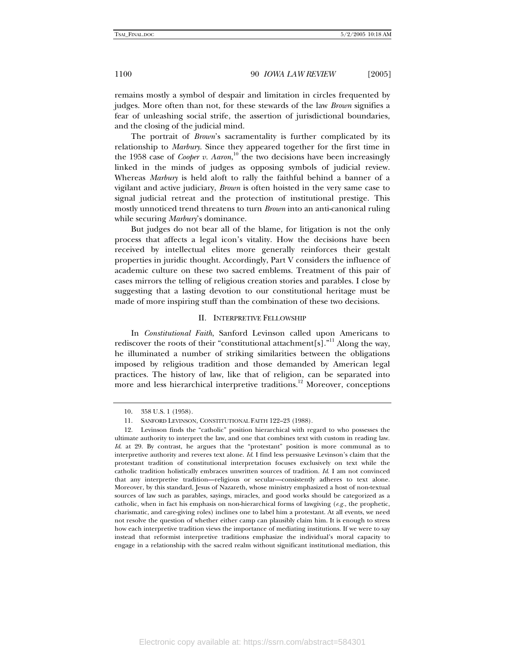remains mostly a symbol of despair and limitation in circles frequented by judges. More often than not, for these stewards of the law *Brown* signifies a fear of unleashing social strife, the assertion of jurisdictional boundaries, and the closing of the judicial mind.

The portrait of *Brown*'s sacramentality is further complicated by its relationship to *Marbury*. Since they appeared together for the first time in the 1958 case of *Cooper v. Aaron*,<sup>10</sup> the two decisions have been increasingly linked in the minds of judges as opposing symbols of judicial review. Whereas *Marbury* is held aloft to rally the faithful behind a banner of a vigilant and active judiciary, *Brown* is often hoisted in the very same case to signal judicial retreat and the protection of institutional prestige. This mostly unnoticed trend threatens to turn *Brown* into an anti-canonical ruling while securing *Marbury*'s dominance.

But judges do not bear all of the blame, for litigation is not the only process that affects a legal icon's vitality. How the decisions have been received by intellectual elites more generally reinforces their gestalt properties in juridic thought. Accordingly, Part V considers the influence of academic culture on these two sacred emblems. Treatment of this pair of cases mirrors the telling of religious creation stories and parables. I close by suggesting that a lasting devotion to our constitutional heritage must be made of more inspiring stuff than the combination of these two decisions.

#### II. INTERPRETIVE FELLOWSHIP

In *Constitutional Faith*, Sanford Levinson called upon Americans to rediscover the roots of their "constitutional attachment[s]."<sup>11</sup> Along the way, he illuminated a number of striking similarities between the obligations imposed by religious tradition and those demanded by American legal practices. The history of law, like that of religion, can be separated into more and less hierarchical interpretive traditions.<sup>12</sup> Moreover, conceptions

<sup>10. 358</sup> U.S. 1 (1958).

 <sup>11.</sup> SANFORD LEVINSON, CONSTITUTIONAL FAITH 122–23 (1988).

 <sup>12.</sup> Levinson finds the "catholic" position hierarchical with regard to who possesses the ultimate authority to interpret the law, and one that combines text with custom in reading law. *Id.* at 29. By contrast, he argues that the "protestant" position is more communal as to interpretive authority and reveres text alone. *Id*. I find less persuasive Levinson's claim that the protestant tradition of constitutional interpretation focuses exclusively on text while the catholic tradition holistically embraces unwritten sources of tradition. *Id*. I am not convinced that any interpretive tradition—religious or secular—consistently adheres to text alone. Moreover, by this standard, Jesus of Nazareth, whose ministry emphasized a host of non-textual sources of law such as parables, sayings, miracles, and good works should be categorized as a catholic, when in fact his emphasis on non-hierarchical forms of lawgiving (*e.g.*, the prophetic, charismatic, and care-giving roles) inclines one to label him a protestant. At all events, we need not resolve the question of whether either camp can plausibly claim him. It is enough to stress how each interpretive tradition views the importance of mediating institutions. If we were to say instead that reformist interpretive traditions emphasize the individual's moral capacity to engage in a relationship with the sacred realm without significant institutional mediation, this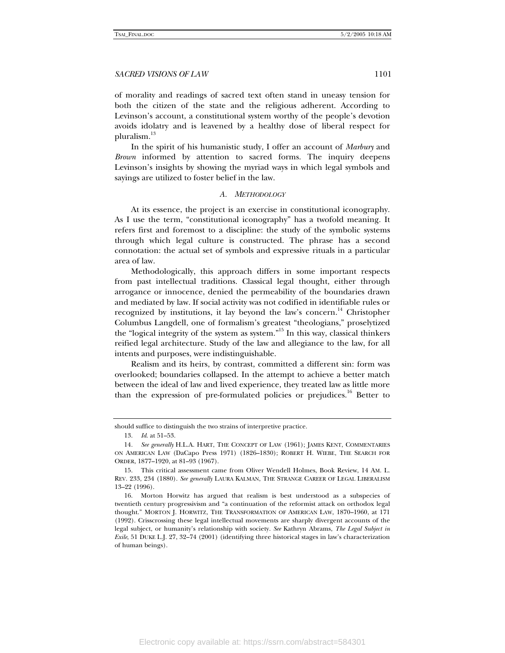of morality and readings of sacred text often stand in uneasy tension for both the citizen of the state and the religious adherent. According to Levinson's account, a constitutional system worthy of the people's devotion avoids idolatry and is leavened by a healthy dose of liberal respect for pluralism.<sup>13</sup>

In the spirit of his humanistic study, I offer an account of *Marbury* and *Brown* informed by attention to sacred forms. The inquiry deepens Levinson's insights by showing the myriad ways in which legal symbols and sayings are utilized to foster belief in the law.

#### *A. METHODOLOGY*

At its essence, the project is an exercise in constitutional iconography. As I use the term, "constitutional iconography" has a twofold meaning. It refers first and foremost to a discipline: the study of the symbolic systems through which legal culture is constructed. The phrase has a second connotation: the actual set of symbols and expressive rituals in a particular area of law.

Methodologically, this approach differs in some important respects from past intellectual traditions. Classical legal thought, either through arrogance or innocence, denied the permeability of the boundaries drawn and mediated by law. If social activity was not codified in identifiable rules or recognized by institutions, it lay beyond the law's concern.<sup>14</sup> Christopher Columbus Langdell, one of formalism's greatest "theologians," proselytized the "logical integrity of the system as system."15 In this way, classical thinkers reified legal architecture. Study of the law and allegiance to the law, for all intents and purposes, were indistinguishable.

Realism and its heirs, by contrast, committed a different sin: form was overlooked; boundaries collapsed. In the attempt to achieve a better match between the ideal of law and lived experience, they treated law as little more than the expression of pre-formulated policies or prejudices.<sup>16</sup> Better to

should suffice to distinguish the two strains of interpretive practice.

 <sup>13.</sup> *Id*. at 51–53.

<sup>14</sup>*. See generally* H.L.A. HART, THE CONCEPT OF LAW (1961); JAMES KENT, COMMENTARIES ON AMERICAN LAW (DaCapo Press 1971) (1826–1830); ROBERT H. WIEBE, THE SEARCH FOR ORDER, 1877–1920, at 81–93 (1967).

 <sup>15.</sup> This critical assessment came from Oliver Wendell Holmes, Book Review, 14 AM. L. REV. 233, 234 (1880). *See generally* LAURA KALMAN, THE STRANGE CAREER OF LEGAL LIBERALISM 13–22 (1996).

 <sup>16.</sup> Morton Horwitz has argued that realism is best understood as a subspecies of twentieth century progressivism and "a continuation of the reformist attack on orthodox legal thought." MORTON J. HORWITZ, THE TRANSFORMATION OF AMERICAN LAW, 1870–1960, at 171 (1992). Crisscrossing these legal intellectual movements are sharply divergent accounts of the legal subject, or humanity's relationship with society. *See* Kathryn Abrams, *The Legal Subject in Exile*, 51 DUKE L.J. 27, 32–74 (2001) (identifying three historical stages in law's characterization of human beings).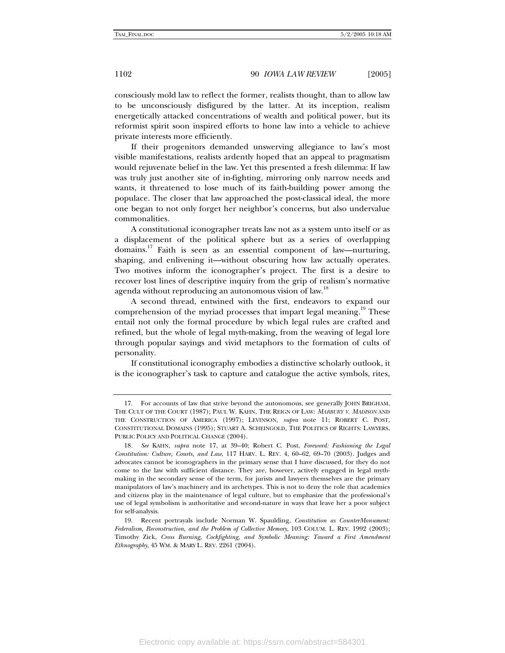consciously mold law to reflect the former, realists thought, than to allow law to be unconsciously disfigured by the latter. At its inception, realism energetically attacked concentrations of wealth and political power, but its reformist spirit soon inspired efforts to hone law into a vehicle to achieve private interests more efficiently.

If their progenitors demanded unswerving allegiance to law's most visible manifestations, realists ardently hoped that an appeal to pragmatism would rejuvenate belief in the law. Yet this presented a fresh dilemma: If law was truly just another site of in-fighting, mirroring only narrow needs and wants, it threatened to lose much of its faith-building power among the populace. The closer that law approached the post-classical ideal, the more one began to not only forget her neighbor's concerns, but also undervalue commonalities.

A constitutional iconographer treats law not as a system unto itself or as a displacement of the political sphere but as a series of overlapping domains.<sup>17</sup> Faith is seen as an essential component of law—nurturing, shaping, and enlivening it—without obscuring how law actually operates. Two motives inform the iconographer's project. The first is a desire to recover lost lines of descriptive inquiry from the grip of realism's normative agenda without reproducing an autonomous vision of law.<sup>18</sup>

A second thread, entwined with the first, endeavors to expand our comprehension of the myriad processes that impart legal meaning.<sup>19</sup> These entail not only the formal procedure by which legal rules are crafted and refined, but the whole of legal myth-making, from the weaving of legal lore through popular sayings and vivid metaphors to the formation of cults of personality.

If constitutional iconography embodies a distinctive scholarly outlook, it is the iconographer's task to capture and catalogue the active symbols, rites,

 <sup>17.</sup> For accounts of law that strive beyond the autonomous, see generally JOHN BRIGHAM, THE CULT OF THE COURT (1987); PAUL W. KAHN, THE REIGN OF LAW: *MARBURY V. MADISON* AND THE CONSTRUCTION OF AMERICA (1997); LEVINSON, *supra* note 11; ROBERT C. POST, CONSTITUTIONAL DOMAINS (1995); STUART A. SCHEINGOLD, THE POLITICS OF RIGHTS: LAWYERS, PUBLIC POLICY AND POLITICAL CHANGE (2004).

<sup>18</sup>*. See* KAHN, *supra* note 17, at 39–40; Robert C. Post, *Foreword: Fashioning the Legal Constitution: Culture, Courts, and Law*, 117 HARV. L. REV. 4, 60–62, 69–70 (2003). Judges and advocates cannot be iconographers in the primary sense that I have discussed, for they do not come to the law with sufficient distance. They are, however, actively engaged in legal mythmaking in the secondary sense of the term, for jurists and lawyers themselves are the primary manipulators of law's machinery and its archetypes. This is not to deny the role that academics and citizens play in the maintenance of legal culture, but to emphasize that the professional's use of legal symbolism is authoritative and second-nature in ways that leave her a poor subject for self-analysis.

 <sup>19.</sup> Recent portrayals include Norman W. Spaulding, *Constitution as CounterMonument: Federalism, Reconstruction, and the Problem of Collective Memory*, 103 COLUM. L. REV. 1992 (2003); Timothy Zick, *Cross Burning, Cockfighting, and Symbolic Meaning: Toward a First Amendment Ethnography*, 45 WM. & MARY L. REV. 2261 (2004).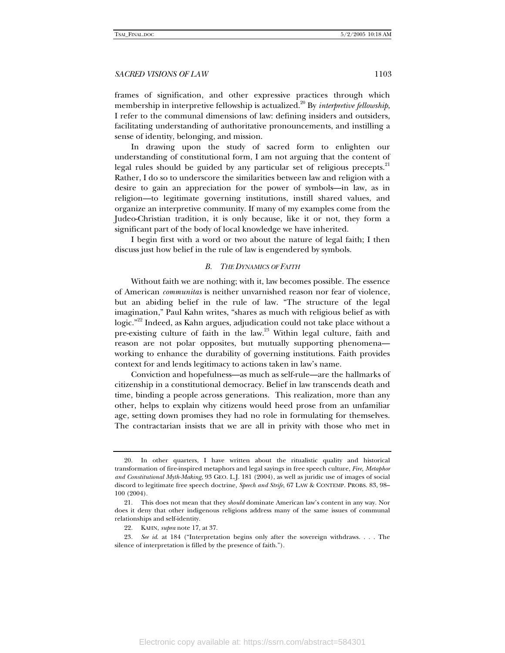frames of signification, and other expressive practices through which membership in interpretive fellowship is actualized.<sup>20</sup> By *interpretive fellowship*, I refer to the communal dimensions of law: defining insiders and outsiders, facilitating understanding of authoritative pronouncements, and instilling a sense of identity, belonging, and mission.

In drawing upon the study of sacred form to enlighten our understanding of constitutional form, I am not arguing that the content of legal rules should be guided by any particular set of religious precepts.<sup>21</sup> Rather, I do so to underscore the similarities between law and religion with a desire to gain an appreciation for the power of symbols—in law, as in religion—to legitimate governing institutions, instill shared values, and organize an interpretive community. If many of my examples come from the Judeo-Christian tradition, it is only because, like it or not, they form a significant part of the body of local knowledge we have inherited.

I begin first with a word or two about the nature of legal faith; I then discuss just how belief in the rule of law is engendered by symbols.

#### *B. THE DYNAMICS OF FAITH*

Without faith we are nothing; with it, law becomes possible. The essence of American *communitas* is neither unvarnished reason nor fear of violence, but an abiding belief in the rule of law. "The structure of the legal imagination," Paul Kahn writes, "shares as much with religious belief as with logic."<sup>22</sup> Indeed, as Kahn argues, adjudication could not take place without a pre-existing culture of faith in the law.<sup>23</sup> Within legal culture, faith and reason are not polar opposites, but mutually supporting phenomena working to enhance the durability of governing institutions. Faith provides context for and lends legitimacy to actions taken in law's name.

Conviction and hopefulness—as much as self-rule—are the hallmarks of citizenship in a constitutional democracy. Belief in law transcends death and time, binding a people across generations. This realization, more than any other, helps to explain why citizens would heed prose from an unfamiliar age, setting down promises they had no role in formulating for themselves. The contractarian insists that we are all in privity with those who met in

 <sup>20.</sup> In other quarters, I have written about the ritualistic quality and historical transformation of fire-inspired metaphors and legal sayings in free speech culture, *Fire, Metaphor and Constitutional Myth-Making*, 93 GEO. L.J. 181 (2004), as well as juridic use of images of social discord to legitimate free speech doctrine, *Speech and Strife*, 67 LAW & CONTEMP. PROBS. 83, 98– 100 (2004).

 <sup>21.</sup> This does not mean that they *should* dominate American law's content in any way. Nor does it deny that other indigenous religions address many of the same issues of communal relationships and self-identity.

 <sup>22.</sup> KAHN, *supra* note 17, at 37.

<sup>23</sup>*. See id*. at 184 ("Interpretation begins only after the sovereign withdraws. . . . The silence of interpretation is filled by the presence of faith.").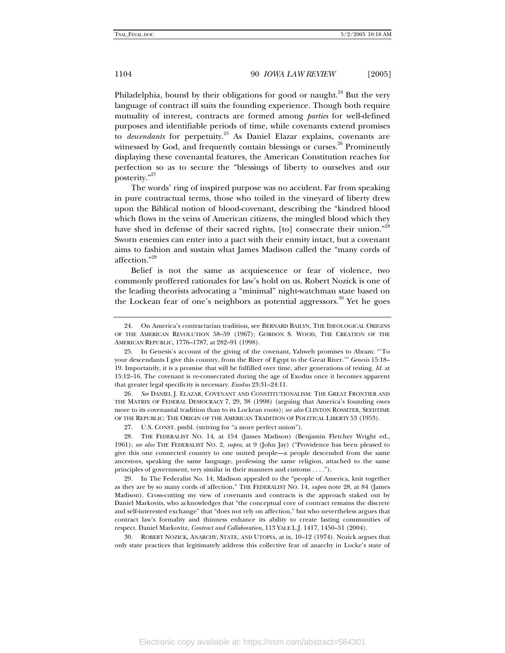Philadelphia, bound by their obligations for good or naught.<sup>24</sup> But the very language of contract ill suits the founding experience. Though both require mutuality of interest, contracts are formed among *parties* for well-defined purposes and identifiable periods of time, while covenants extend promises to *descendants* for perpetuity.<sup>25</sup> As Daniel Elazar explains, covenants are witnessed by God, and frequently contain blessings or curses.<sup>26</sup> Prominently displaying these covenantal features, the American Constitution reaches for perfection so as to secure the "blessings of liberty to ourselves and our posterity."<sup>27</sup>

The words' ring of inspired purpose was no accident. Far from speaking in pure contractual terms, those who toiled in the vineyard of liberty drew upon the Biblical notion of blood-covenant, describing the "kindred blood which flows in the veins of American citizens, the mingled blood which they have shed in defense of their sacred rights, [to] consecrate their union."<sup>28</sup> Sworn enemies can enter into a pact with their enmity intact, but a covenant aims to fashion and sustain what James Madison called the "many cords of affection."29

Belief is not the same as acquiescence or fear of violence, two commonly proffered rationales for law's hold on us. Robert Nozick is one of the leading theorists advocating a "minimal" night-watchman state based on the Lockean fear of one's neighbors as potential aggressors.<sup>30</sup> Yet he goes

26*. See* DANIEL J. ELAZAR, COVENANT AND CONSTITUTIONALISM: THE GREAT FRONTIER AND THE MATRIX OF FEDERAL DEMOCRACY 7, 29, 38 (1998) (arguing that America's founding owes more to its covenantal tradition than to its Lockean roots); *see also* CLINTON ROSSITER, SEEDTIME OF THE REPUBLIC: THE ORIGIN OF THE AMERICAN TRADITION OF POLITICAL LIBERTY 53 (1953).

 30. ROBERT NOZICK, ANARCHY, STATE, AND UTOPIA, at ix, 10–12 (1974). Nozick argues that only state practices that legitimately address this collective fear of anarchy in Locke's state of

 <sup>24.</sup> On America's contractarian tradition, see BERNARD BAILYN, THE IDEOLOGICAL ORIGINS OF THE AMERICAN REVOLUTION 58–59 (1967); GORDON S. WOOD, THE CREATION OF THE AMERICAN REPUBLIC, 1776–1787, at 282–91 (1998).

 <sup>25.</sup> In Genesis's account of the giving of the covenant, Yahweh promises to Abram: "'To your descendants I give this country, from the River of Egypt to the Great River.'" *Genesis* 15:18– 19. Importantly, it is a promise that will be fulfilled over time, after generations of testing. *Id*. at 15:12–16. The covenant is re-consecrated during the age of Exodus once it becomes apparent that greater legal specificity is necessary. *Exodus* 23:31–24:11.

 <sup>27.</sup> U.S. CONST. pmbl. (striving for "a more perfect union").

 <sup>28.</sup> THE FEDERALIST NO. 14, at 154 (James Madison) (Benjamin Fletcher Wright ed., 1961); *see also* THE FEDERALIST NO. 2, *supra*, at 9 (John Jay) ("Providence has been pleased to give this one connected country to one united people—a people descended from the same ancestors, speaking the same language, professing the same religion, attached to the same principles of government, very similar in their manners and customs . . . .").

 <sup>29.</sup> In The Federalist No. 14, Madison appealed to the "people of America, knit together as they are by so many cords of affection." THE FEDERALIST NO. 14, *supra* note 28, at 84 (James Madison). Cross-cutting my view of covenants and contracts is the approach staked out by Daniel Markovits, who acknowledges that "the conceptual core of contract remains the discrete and self-interested exchange" that "does not rely on affection," but who nevertheless argues that contract law's formality and thinness enhance its ability to create lasting communities of respect. Daniel Markovitz, *Contract and Collaboration*, 113 YALE L.J. 1417, 1450–51 (2004).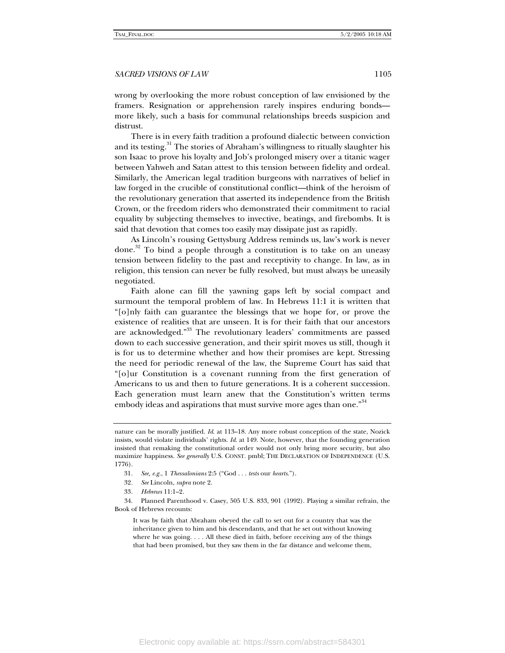wrong by overlooking the more robust conception of law envisioned by the framers. Resignation or apprehension rarely inspires enduring bonds more likely, such a basis for communal relationships breeds suspicion and distrust.

There is in every faith tradition a profound dialectic between conviction and its testing.<sup>31</sup> The stories of Abraham's willingness to ritually slaughter his son Isaac to prove his loyalty and Job's prolonged misery over a titanic wager between Yahweh and Satan attest to this tension between fidelity and ordeal. Similarly, the American legal tradition burgeons with narratives of belief in law forged in the crucible of constitutional conflict—think of the heroism of the revolutionary generation that asserted its independence from the British Crown, or the freedom riders who demonstrated their commitment to racial equality by subjecting themselves to invective, beatings, and firebombs. It is said that devotion that comes too easily may dissipate just as rapidly.

As Lincoln's rousing Gettysburg Address reminds us, law's work is never done. $32$  To bind a people through a constitution is to take on an uneasy tension between fidelity to the past and receptivity to change. In law, as in religion, this tension can never be fully resolved, but must always be uneasily negotiated.

Faith alone can fill the yawning gaps left by social compact and surmount the temporal problem of law. In Hebrews 11:1 it is written that "[o]nly faith can guarantee the blessings that we hope for, or prove the existence of realities that are unseen. It is for their faith that our ancestors are acknowledged."<sup>33</sup> The revolutionary leaders' commitments are passed down to each successive generation, and their spirit moves us still, though it is for us to determine whether and how their promises are kept. Stressing the need for periodic renewal of the law, the Supreme Court has said that "[o]ur Constitution is a covenant running from the first generation of Americans to us and then to future generations. It is a coherent succession. Each generation must learn anew that the Constitution's written terms embody ideas and aspirations that must survive more ages than one."<sup>34</sup>

- 32*. See* Lincoln, *supra* note 2.
- 33*. Hebrews* 11:1–2.

 34. Planned Parenthood v. Casey, 505 U.S. 833, 901 (1992). Playing a similar refrain, the Book of Hebrews recounts:

It was by faith that Abraham obeyed the call to set out for a country that was the inheritance given to him and his descendants, and that he set out without knowing where he was going. . . . All these died in faith, before receiving any of the things that had been promised, but they saw them in the far distance and welcome them,

nature can be morally justified. *Id*. at 113–18. Any more robust conception of the state, Nozick insists, would violate individuals' rights. *Id*. at 149. Note, however, that the founding generation insisted that remaking the constitutional order would not only bring more security, but also maximize happiness. *See generally* U.S. CONST. pmbl; THE DECLARATION OF INDEPENDENCE (U.S. 1776).

<sup>31</sup>*. See, e.g.*, 1 *Thessalonians* 2:5 ("God . . . *tests* our *hearts*.").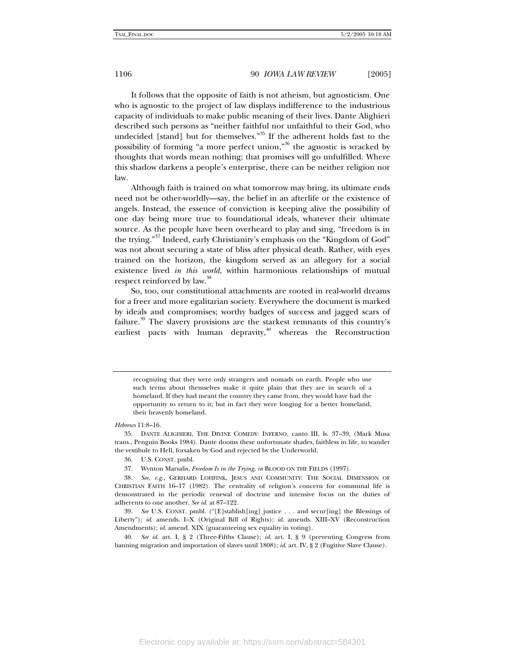It follows that the opposite of faith is not atheism, but agnosticism. One who is agnostic to the project of law displays indifference to the industrious capacity of individuals to make public meaning of their lives. Dante Alighieri described such persons as "neither faithful nor unfaithful to their God, who undecided [stand] but for themselves."<sup>35</sup> If the adherent holds fast to the possibility of forming "a more perfect union,"36 the agnostic is wracked by thoughts that words mean nothing; that promises will go unfulfilled. Where this shadow darkens a people's enterprise, there can be neither religion nor law.

Although faith is trained on what tomorrow may bring, its ultimate ends need not be other-worldly—say, the belief in an afterlife or the existence of angels. Instead, the essence of conviction is keeping alive the possibility of one day being more true to foundational ideals, whatever their ultimate source. As the people have been overheard to play and sing, "freedom is in the trying."<sup>37</sup> Indeed, early Christianity's emphasis on the "Kingdom of God" was not about securing a state of bliss after physical death. Rather, with eyes trained on the horizon, the kingdom served as an allegory for a social existence lived *in this world*, within harmonious relationships of mutual respect reinforced by law.<sup>38</sup>

So, too, our constitutional attachments are rooted in real-world dreams for a freer and more egalitarian society. Everywhere the document is marked by ideals and compromises; worthy badges of success and jagged scars of failure.<sup>39</sup> The slavery provisions are the starkest remnants of this country's earliest pacts with human depravity, $40$  whereas the Reconstruction

recognizing that they were only strangers and nomads on earth. People who use such terms about themselves make it quite plain that they are in search of a homeland. If they had meant the country they came from, they would have had the opportunity to return to it; but in fact they were longing for a better homeland, their heavenly homeland.

- 36. U.S. CONST. pmbl.
- 37. Wynton Marsalis, *Freedom Is in the Trying*, *in* BLOOD ON THE FIELDS (1997).

*Hebrews* 11:8–16.

 <sup>35.</sup> DANTE ALIGHIERI, THE DIVINE COMEDY: INFERNO, canto III, ls. 37–39, (Mark Musa trans., Penguin Books 1984). Dante dooms these unfortunate shades, faithless in life, to wander the vestibule to Hell, forsaken by God and rejected by the Underworld.

<sup>38</sup>*. See, e.g.*, GERHARD LOHFINK, JESUS AND COMMUNITY: THE SOCIAL DIMENSION OF CHRISTIAN FAITH 16–17 (1982). The centrality of religion's concern for communal life is demonstrated in the periodic renewal of doctrine and intensive focus on the duties of adherents to one another. *See id*. at 87–122.

<sup>39</sup>*. See* U.S. CONST. pmbl. ("[E]stablish[ing] justice . . . and secur[ing] the Blessings of Liberty"); *id*. amends. I–X (Original Bill of Rights); *id*. amends. XIII–XV (Reconstruction Amendments); *id*. amend. XIX (guaranteeing sex equality in voting).

<sup>40</sup>*. See id*. art. I, § 2 (Three-Fifths Clause); *id*. art. I, § 9 (preventing Congress from banning migration and importation of slaves until 1808); *id*. art. IV, § 2 (Fugitive Slave Clause).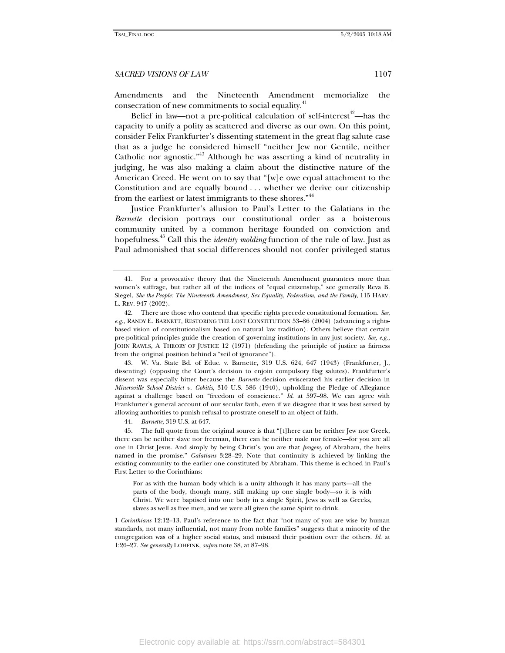Amendments and the Nineteenth Amendment memorialize the consecration of new commitments to social equality.<sup>41</sup>

Belief in law—not a pre-political calculation of self-interest<sup>42</sup>—has the capacity to unify a polity as scattered and diverse as our own. On this point, consider Felix Frankfurter's dissenting statement in the great flag salute case that as a judge he considered himself "neither Jew nor Gentile, neither Catholic nor agnostic."<sup>43</sup> Although he was asserting a kind of neutrality in judging, he was also making a claim about the distinctive nature of the American Creed. He went on to say that "[w]e owe equal attachment to the Constitution and are equally bound . . . whether we derive our citizenship from the earliest or latest immigrants to these shores.<sup>"44</sup>

Justice Frankfurter's allusion to Paul's Letter to the Galatians in the *Barnette* decision portrays our constitutional order as a boisterous community united by a common heritage founded on conviction and hopefulness.45 Call this the *identity molding* function of the rule of law. Just as Paul admonished that social differences should not confer privileged status

 43. W. Va. State Bd. of Educ. v. Barnette, 319 U.S. 624, 647 (1943) (Frankfurter, J., dissenting) (opposing the Court's decision to enjoin compulsory flag salutes). Frankfurter's dissent was especially bitter because the *Barnette* decision eviscerated his earlier decision in *Minersville School District v. Gobitis*, 310 U.S. 586 (1940), upholding the Pledge of Allegiance against a challenge based on "freedom of conscience." *Id*. at 597–98. We can agree with Frankfurter's general account of our secular faith, even if we disagree that it was best served by allowing authorities to punish refusal to prostrate oneself to an object of faith.

44*. Barnette*, 319 U.S. at 647.

 45. The full quote from the original source is that "[t]here can be neither Jew nor Greek, there can be neither slave nor freeman, there can be neither male nor female—for you are all one in Christ Jesus. And simply by being Christ's, you are that *progeny* of Abraham, the heirs named in the promise." *Galatians* 3:28–29. Note that continuity is achieved by linking the existing community to the earlier one constituted by Abraham. This theme is echoed in Paul's First Letter to the Corinthians:

For as with the human body which is a unity although it has many parts—all the parts of the body, though many, still making up one single body—so it is with Christ. We were baptised into one body in a single Spirit, Jews as well as Greeks, slaves as well as free men, and we were all given the same Spirit to drink.

1 *Corinthians* 12:12–13. Paul's reference to the fact that "not many of you are wise by human standards, not many influential, not many from noble families" suggests that a minority of the congregation was of a higher social status, and misused their position over the others. *Id*. at 1:26–27. *See generally* LOHFINK, *supra* note 38, at 87–98.

 <sup>41.</sup> For a provocative theory that the Nineteenth Amendment guarantees more than women's suffrage, but rather all of the indices of "equal citizenship," see generally Reva B. Siegel, *She the People: The Nineteenth Amendment, Sex Equality, Federalism, and the Family*, 115 HARV. L. REV. 947 (2002).

 <sup>42.</sup> There are those who contend that specific rights precede constitutional formation. *See*, *e.g.*, RANDY E. BARNETT, RESTORING THE LOST CONSTITUTION 53–86 (2004) (advancing a rightsbased vision of constitutionalism based on natural law tradition). Others believe that certain pre-political principles guide the creation of governing institutions in any just society. *See, e.g.*, JOHN RAWLS, A THEORY OF JUSTICE 12 (1971) (defending the principle of justice as fairness from the original position behind a "veil of ignorance").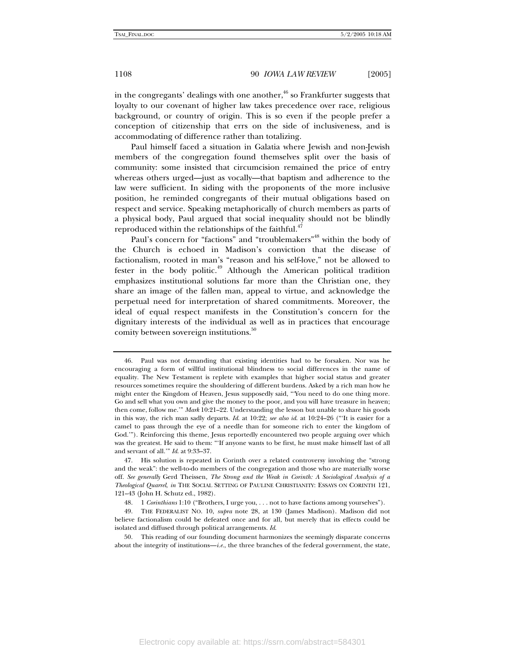in the congregants' dealings with one another,  $46$  so Frankfurter suggests that loyalty to our covenant of higher law takes precedence over race, religious background, or country of origin. This is so even if the people prefer a conception of citizenship that errs on the side of inclusiveness, and is accommodating of difference rather than totalizing.

Paul himself faced a situation in Galatia where Jewish and non-Jewish members of the congregation found themselves split over the basis of community: some insisted that circumcision remained the price of entry whereas others urged—just as vocally—that baptism and adherence to the law were sufficient. In siding with the proponents of the more inclusive position, he reminded congregants of their mutual obligations based on respect and service. Speaking metaphorically of church members as parts of a physical body, Paul argued that social inequality should not be blindly reproduced within the relationships of the faithful. $47$ 

Paul's concern for "factions" and "troublemakers"<sup>48</sup> within the body of the Church is echoed in Madison's conviction that the disease of factionalism, rooted in man's "reason and his self-love," not be allowed to fester in the body politic.<sup>49</sup> Although the American political tradition emphasizes institutional solutions far more than the Christian one, they share an image of the fallen man, appeal to virtue, and acknowledge the perpetual need for interpretation of shared commitments. Moreover, the ideal of equal respect manifests in the Constitution's concern for the dignitary interests of the individual as well as in practices that encourage comity between sovereign institutions.<sup>50</sup>

 <sup>46.</sup> Paul was not demanding that existing identities had to be forsaken. Nor was he encouraging a form of willful institutional blindness to social differences in the name of equality. The New Testament is replete with examples that higher social status and greater resources sometimes require the shouldering of different burdens. Asked by a rich man how he might enter the Kingdom of Heaven, Jesus supposedly said, "'You need to do one thing more. Go and sell what you own and give the money to the poor, and you will have treasure in heaven; then come, follow me.'" *Mark* 10:21–22. Understanding the lesson but unable to share his goods in this way, the rich man sadly departs. *Id*. at 10:22; *see also id*. at 10:24–26 ("'It is easier for a camel to pass through the eye of a needle than for someone rich to enter the kingdom of God.'"). Reinforcing this theme, Jesus reportedly encountered two people arguing over which was the greatest. He said to them: "'If anyone wants to be first, he must make himself last of all and servant of all.'" *Id*. at 9:33–37.

 <sup>47.</sup> His solution is repeated in Corinth over a related controversy involving the "strong and the weak": the well-to-do members of the congregation and those who are materially worse off. *See generally* Gerd Theissen, *The Strong and the Weak in Corinth: A Sociological Analysis of a Theological Quarrel*, *in* THE SOCIAL SETTING OF PAULINE CHRISTIANITY: ESSAYS ON CORINTH 121, 121–43 (John H. Schutz ed., 1982).

 <sup>48. 1</sup> *Corinthians* 1:10 ("Brothers, I urge you, . . . not to have factions among yourselves").

 <sup>49.</sup> THE FEDERALIST NO. 10, *supra* note 28, at 130 (James Madison). Madison did not believe factionalism could be defeated once and for all, but merely that its effects could be isolated and diffused through political arrangements. *Id*.

 <sup>50.</sup> This reading of our founding document harmonizes the seemingly disparate concerns about the integrity of institutions—*i.e.*, the three branches of the federal government, the state,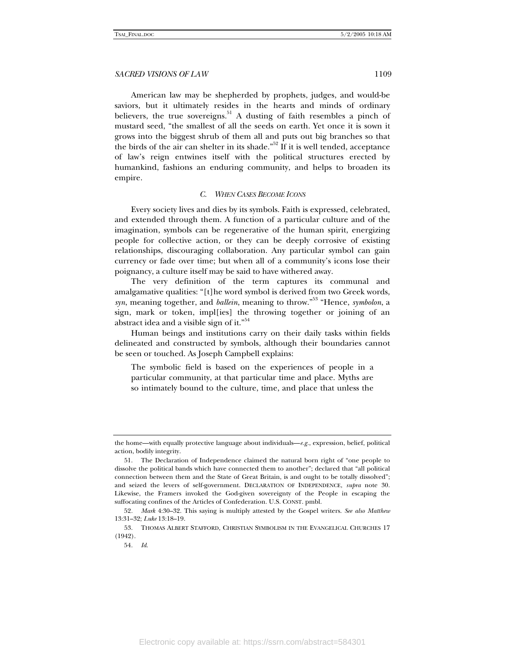American law may be shepherded by prophets, judges, and would-be saviors, but it ultimately resides in the hearts and minds of ordinary believers, the true sovereigns. $51$  A dusting of faith resembles a pinch of mustard seed, "the smallest of all the seeds on earth. Yet once it is sown it grows into the biggest shrub of them all and puts out big branches so that the birds of the air can shelter in its shade."<sup>52</sup> If it is well tended, acceptance of law's reign entwines itself with the political structures erected by humankind, fashions an enduring community, and helps to broaden its empire.

#### *C. WHEN CASES BECOME ICONS*

Every society lives and dies by its symbols. Faith is expressed, celebrated, and extended through them. A function of a particular culture and of the imagination, symbols can be regenerative of the human spirit, energizing people for collective action, or they can be deeply corrosive of existing relationships, discouraging collaboration. Any particular symbol can gain currency or fade over time; but when all of a community's icons lose their poignancy, a culture itself may be said to have withered away.

The very definition of the term captures its communal and amalgamative qualities: "[t]he word symbol is derived from two Greek words, *syn*, meaning together, and *ballein*, meaning to throw."53 "Hence, *symbolon*, a sign, mark or token, impl[ies] the throwing together or joining of an abstract idea and a visible sign of it."<sup>54</sup>

Human beings and institutions carry on their daily tasks within fields delineated and constructed by symbols, although their boundaries cannot be seen or touched. As Joseph Campbell explains:

The symbolic field is based on the experiences of people in a particular community, at that particular time and place. Myths are so intimately bound to the culture, time, and place that unless the

the home—with equally protective language about individuals—*e.g.*, expression, belief, political action, bodily integrity.

 <sup>51.</sup> The Declaration of Independence claimed the natural born right of "one people to dissolve the political bands which have connected them to another"; declared that "all political connection between them and the State of Great Britain, is and ought to be totally dissolved"; and seized the levers of self-government. DECLARATION OF INDEPENDENCE, *supra* note 30. Likewise, the Framers invoked the God-given sovereignty of the People in escaping the suffocating confines of the Articles of Confederation. U.S. CONST. pmbl.

<sup>52</sup>*. Mark* 4:30–32. This saying is multiply attested by the Gospel writers. *See also Matthew*  13:31–32; *Luke* 13:18–19.

 <sup>53.</sup> THOMAS ALBERT STAFFORD, CHRISTIAN SYMBOLISM IN THE EVANGELICAL CHURCHES 17 (1942).

<sup>54</sup>*. Id*.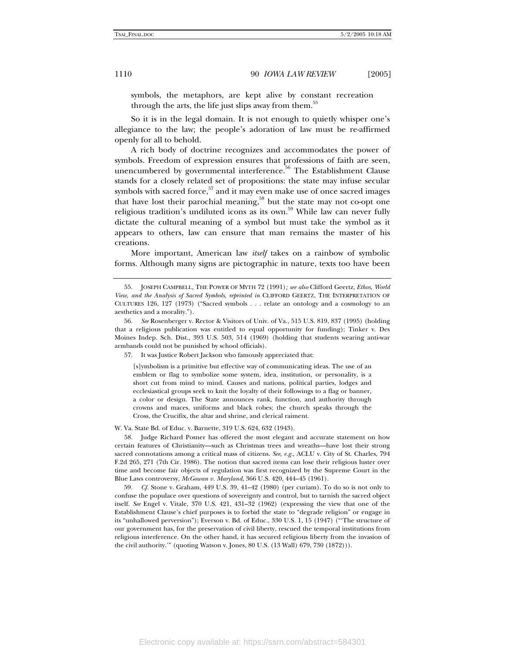symbols, the metaphors, are kept alive by constant recreation through the arts, the life just slips away from them.<sup>55</sup>

So it is in the legal domain. It is not enough to quietly whisper one's allegiance to the law; the people's adoration of law must be re-affirmed openly for all to behold.

A rich body of doctrine recognizes and accommodates the power of symbols. Freedom of expression ensures that professions of faith are seen, unencumbered by governmental interference. $56$  The Establishment Clause stands for a closely related set of propositions: the state may infuse secular symbols with sacred force, $57$  and it may even make use of once sacred images that have lost their parochial meaning,<sup>58</sup> but the state may not co-opt one religious tradition's undiluted icons as its own.<sup>59</sup> While law can never fully dictate the cultural meaning of a symbol but must take the symbol as it appears to others, law can ensure that man remains the master of his creations.

More important, American law *itself* takes on a rainbow of symbolic forms. Although many signs are pictographic in nature, texts too have been

57. It was Justice Robert Jackson who famously appreciated that:

[s]ymbolism is a primitive but effective way of communicating ideas. The use of an emblem or flag to symbolize some system, idea, institution, or personality, is a short cut from mind to mind. Causes and nations, political parties, lodges and ecclesiastical groups seek to knit the loyalty of their followings to a flag or banner, a color or design. The State announces rank, function, and authority through crowns and maces, uniforms and black robes; the church speaks through the Cross, the Crucifix, the altar and shrine, and clerical raiment.

W. Va. State Bd. of Educ. v. Barnette, 319 U.S. 624, 632 (1943).

 58. Judge Richard Posner has offered the most elegant and accurate statement on how certain features of Christianity—such as Christmas trees and wreaths—have lost their strong sacred connotations among a critical mass of citizens. *See, e.g.*, ACLU v. City of St. Charles, 794 F.2d 265, 271 (7th Cir. 1986). The notion that sacred items can lose their religious luster over time and become fair objects of regulation was first recognized by the Supreme Court in the Blue Laws controversy, *McGowan v. Maryland*, 366 U.S. 420, 444–45 (1961).

59*. Cf.* Stone v. Graham, 449 U.S. 39, 41–42 (1980) (per curiam). To do so is not only to confuse the populace over questions of sovereignty and control, but to tarnish the sacred object itself. *See* Engel v. Vitale, 370 U.S. 421, 431–32 (1962) (expressing the view that one of the Establishment Clause's chief purposes is to forbid the state to "degrade religion" or engage in its "unhallowed perversion"); Everson v. Bd. of Educ., 330 U.S. 1, 15 (1947) ("'The structure of our government has, for the preservation of civil liberty, rescued the temporal institutions from religious interference. On the other hand, it has secured religious liberty from the invasion of the civil authority.'" (quoting Watson v. Jones, 80 U.S. (13 Wall) 679, 730 (1872))).

 <sup>55.</sup> JOSEPH CAMPBELL, THE POWER OF MYTH 72 (1991)*; see also* Clifford Geertz, *Ethos, World View, and the Analysis of Sacred Symbols*, *reprinted in* CLIFFORD GEERTZ, THE INTERPRETATION OF CULTURES 126, 127 (1973) ("Sacred symbols . . . relate an ontology and a cosmology to an aesthetics and a morality.").

<sup>56</sup>*. See* Rosenberger v. Rector & Visitors of Univ. of Va., 515 U.S. 819, 837 (1995) (holding that a religious publication was entitled to equal opportunity for funding); Tinker v. Des Moines Indep. Sch. Dist., 393 U.S. 503, 514 (1969) (holding that students wearing anti-war armbands could not be punished by school officials).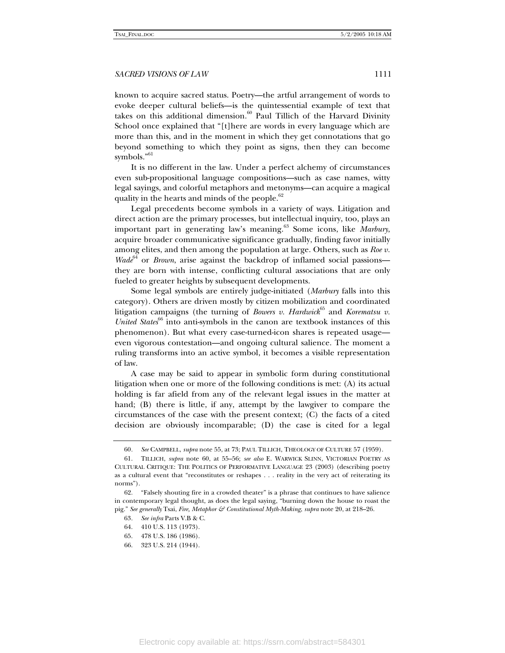known to acquire sacred status. Poetry—the artful arrangement of words to evoke deeper cultural beliefs—is the quintessential example of text that takes on this additional dimension.<sup>60</sup> Paul Tillich of the Harvard Divinity School once explained that "[t]here are words in every language which are more than this, and in the moment in which they get connotations that go beyond something to which they point as signs, then they can become symbols."<sup>61</sup>

It is no different in the law. Under a perfect alchemy of circumstances even sub-propositional language compositions—such as case names, witty legal sayings, and colorful metaphors and metonyms—can acquire a magical quality in the hearts and minds of the people.<sup>62</sup>

Legal precedents become symbols in a variety of ways. Litigation and direct action are the primary processes, but intellectual inquiry, too, plays an important part in generating law's meaning.<sup>63</sup> Some icons, like *Marbury*, acquire broader communicative significance gradually, finding favor initially among elites, and then among the population at large. Others, such as *Roe v.*   $Wade^{64}$  or *Brown*, arise against the backdrop of inflamed social passions they are born with intense, conflicting cultural associations that are only fueled to greater heights by subsequent developments.

Some legal symbols are entirely judge-initiated (*Marbury* falls into this category). Others are driven mostly by citizen mobilization and coordinated litigation campaigns (the turning of *Bowers v. Hardwick*<sup>65</sup> and *Korematsu v. United States*<sup>66</sup> into anti-symbols in the canon are textbook instances of this phenomenon). But what every case-turned-icon shares is repeated usage even vigorous contestation—and ongoing cultural salience. The moment a ruling transforms into an active symbol, it becomes a visible representation of law.

A case may be said to appear in symbolic form during constitutional litigation when one or more of the following conditions is met: (A) its actual holding is far afield from any of the relevant legal issues in the matter at hand; (B) there is little, if any, attempt by the lawgiver to compare the circumstances of the case with the present context; (C) the facts of a cited decision are obviously incomparable; (D) the case is cited for a legal

<sup>60</sup>*. See* CAMPBELL, *supra* note 55, at 73; PAUL TILLICH, THEOLOGY OF CULTURE 57 (1959).

 <sup>61.</sup> TILLICH, *supra* note 60, at 55–56; *see also* E. WARWICK SLINN, VICTORIAN POETRY AS CULTURAL CRITIQUE: THE POLITICS OF PERFORMATIVE LANGUAGE 23 (2003) (describing poetry as a cultural event that "reconstitutes or reshapes . . . reality in the very act of reiterating its norms").

 <sup>62. &</sup>quot;Falsely shouting fire in a crowded theater" is a phrase that continues to have salience in contemporary legal thought, as does the legal saying, "burning down the house to roast the pig." *See generally* Tsai, *Fire, Metaphor & Constitutional Myth-Making*, *supra* note 20, at 218–26.

<sup>63</sup>*. See infra* Parts V.B & C.

 <sup>64. 410</sup> U.S. 113 (1973).

 <sup>65. 478</sup> U.S. 186 (1986).

 <sup>66. 323</sup> U.S. 214 (1944).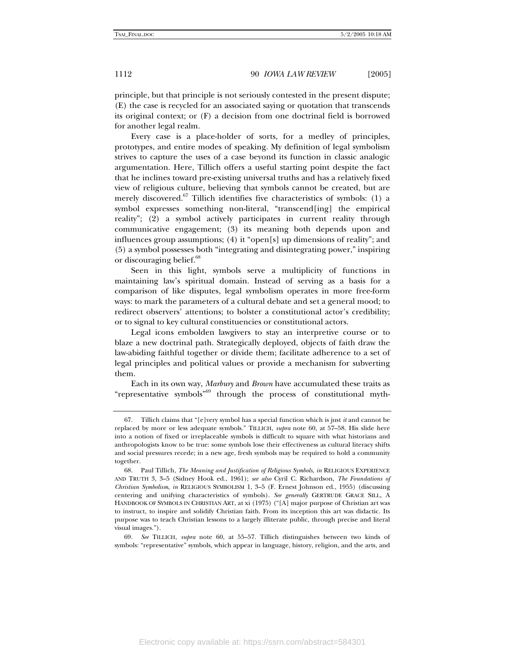principle, but that principle is not seriously contested in the present dispute; (E) the case is recycled for an associated saying or quotation that transcends its original context; or (F) a decision from one doctrinal field is borrowed for another legal realm.

Every case is a place-holder of sorts, for a medley of principles, prototypes, and entire modes of speaking. My definition of legal symbolism strives to capture the uses of a case beyond its function in classic analogic argumentation. Here, Tillich offers a useful starting point despite the fact that he inclines toward pre-existing universal truths and has a relatively fixed view of religious culture, believing that symbols cannot be created, but are merely discovered. $67$  Tillich identifies five characteristics of symbols: (1) a symbol expresses something non-literal, "transcend[ing] the empirical reality"; (2) a symbol actively participates in current reality through communicative engagement; (3) its meaning both depends upon and influences group assumptions; (4) it "open[s] up dimensions of reality"; and (5) a symbol possesses both "integrating and disintegrating power," inspiring or discouraging belief.<sup>68</sup>

Seen in this light, symbols serve a multiplicity of functions in maintaining law's spiritual domain. Instead of serving as a basis for a comparison of like disputes, legal symbolism operates in more free-form ways: to mark the parameters of a cultural debate and set a general mood; to redirect observers' attentions; to bolster a constitutional actor's credibility; or to signal to key cultural constituencies or constitutional actors.

Legal icons embolden lawgivers to stay an interpretive course or to blaze a new doctrinal path. Strategically deployed, objects of faith draw the law-abiding faithful together or divide them; facilitate adherence to a set of legal principles and political values or provide a mechanism for subverting them.

Each in its own way, *Marbury* and *Brown* have accumulated these traits as "representative symbols"69 through the process of constitutional myth-

 <sup>67.</sup> Tillich claims that "[e]very symbol has a special function which is just *it* and cannot be replaced by more or less adequate symbols." TILLICH, *supra* note 60, at 57–58. His slide here into a notion of fixed or irreplaceable symbols is difficult to square with what historians and anthropologists know to be true: some symbols lose their effectiveness as cultural literacy shifts and social pressures recede; in a new age, fresh symbols may be required to hold a community together.

 <sup>68.</sup> Paul Tillich, *The Meaning and Justification of Religious Symbols*, *in* RELIGIOUS EXPERIENCE AND TRUTH 3, 3–5 (Sidney Hook ed., 1961); *see also* Cyril C. Richardson, *The Foundations of Christian Symbolism*, *in* RELIGIOUS SYMBOLISM 1, 3–5 (F. Ernest Johnson ed., 1955) (discussing centering and unifying characteristics of symbols). *See generally* GERTRUDE GRACE SILL, A HANDBOOK OF SYMBOLS IN CHRISTIAN ART, at xi (1975) ("[A] major purpose of Christian art was to instruct, to inspire and solidify Christian faith. From its inception this art was didactic. Its purpose was to teach Christian lessons to a largely illiterate public, through precise and literal visual images.").

<sup>69</sup>*. See* TILLICH, *supra* note 60, at 55–57. Tillich distinguishes between two kinds of symbols: "representative" symbols, which appear in language, history, religion, and the arts, and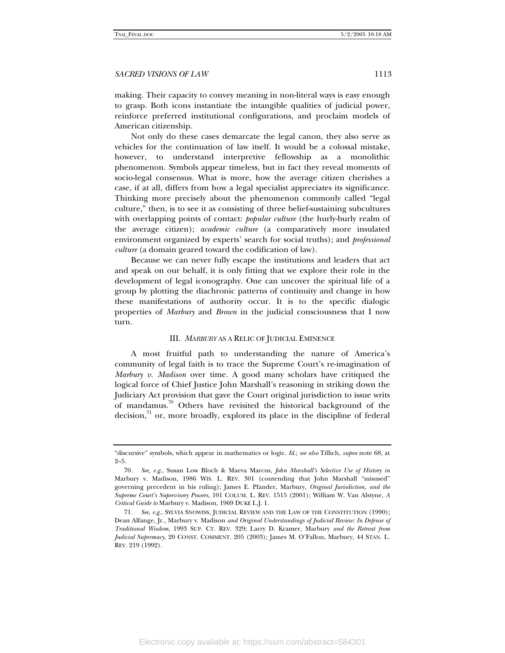making. Their capacity to convey meaning in non-literal ways is easy enough to grasp. Both icons instantiate the intangible qualities of judicial power, reinforce preferred institutional configurations, and proclaim models of American citizenship.

Not only do these cases demarcate the legal canon, they also serve as vehicles for the continuation of law itself. It would be a colossal mistake, however, to understand interpretive fellowship as a monolithic phenomenon. Symbols appear timeless, but in fact they reveal moments of socio-legal consensus. What is more, how the average citizen cherishes a case, if at all, differs from how a legal specialist appreciates its significance. Thinking more precisely about the phenomenon commonly called "legal culture," then, is to see it as consisting of three belief-sustaining subcultures with overlapping points of contact: *popular culture* (the hurly-burly realm of the average citizen); *academic culture* (a comparatively more insulated environment organized by experts' search for social truths); and *professional culture* (a domain geared toward the codification of law).

Because we can never fully escape the institutions and leaders that act and speak on our behalf, it is only fitting that we explore their role in the development of legal iconography. One can uncover the spiritual life of a group by plotting the diachronic patterns of continuity and change in how these manifestations of authority occur. It is to the specific dialogic properties of *Marbury* and *Brown* in the judicial consciousness that I now turn.

#### III. *MARBURY* AS A RELIC OF JUDICIAL EMINENCE

A most fruitful path to understanding the nature of America's community of legal faith is to trace the Supreme Court's re-imagination of *Marbury v. Madison* over time. A good many scholars have critiqued the logical force of Chief Justice John Marshall's reasoning in striking down the Judiciary Act provision that gave the Court original jurisdiction to issue writs of mandamus.<sup>70</sup> Others have revisited the historical background of the  $\alpha$  decision,<sup> $\alpha$ </sup> or, more broadly, explored its place in the discipline of federal

<sup>&</sup>quot;discursive" symbols, which appear in mathematics or logic. *Id*.; *see also* Tillich, *supra* note 68, at 2–5.

<sup>70</sup>*. See, e.g.*, Susan Low Bloch & Maeva Marcus, *John Marshall's Selective Use of History in*  Marbury v. Madison, 1986 WIS. L. REV. 301 (contending that John Marshall "misused" governing precedent in his ruling); James E. Pfander, Marbury, *Original Jurisdiction, and the Supreme Court's Supervisory Powers*, 101 COLUM. L. REV. 1515 (2001); William W. Van Alstyne, *A Critical Guide to* Marbury v. Madison, 1969 DUKE L.J. 1.

<sup>71</sup>*. See, e.g.*, SYLVIA SNOWISS, JUDICIAL REVIEW AND THE LAW OF THE CONSTITUTION (1990); Dean Alfange, Jr., Marbury v. Madison *and Original Understandings of Judicial Review: In Defense of Traditional Wisdom*, 1993 SUP. CT. REV. 329; Larry D. Kramer, Marbury *and the Retreat from Judicial Supremacy*, 20 CONST. COMMENT. 205 (2003); James M. O'Fallon, Marbury, 44 STAN. L. REV. 219 (1992).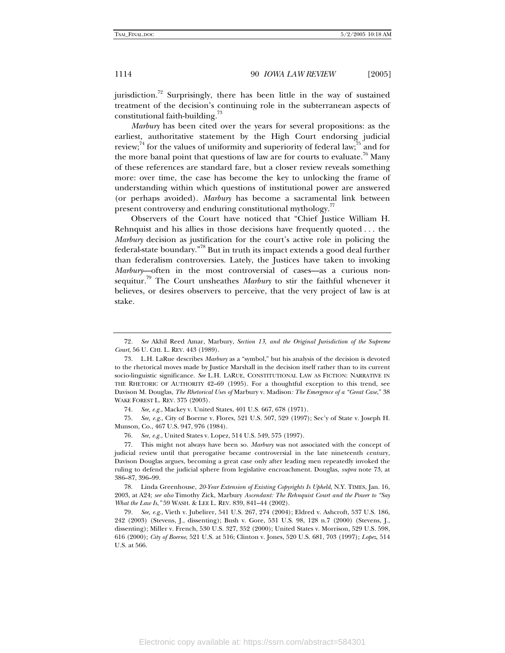jurisdiction.<sup>72</sup> Surprisingly, there has been little in the way of sustained treatment of the decision's continuing role in the subterranean aspects of constitutional faith-building.<sup>73</sup>

*Marbury* has been cited over the years for several propositions: as the earliest, authoritative statement by the High Court endorsing judicial review;<sup>74</sup> for the values of uniformity and superiority of federal law;<sup>75</sup> and for the more banal point that questions of law are for courts to evaluate.<sup>76</sup> Many of these references are standard fare, but a closer review reveals something more: over time, the case has become the key to unlocking the frame of understanding within which questions of institutional power are answered (or perhaps avoided). *Marbury* has become a sacramental link between present controversy and enduring constitutional mythology.<sup>7</sup>

Observers of the Court have noticed that "Chief Justice William H. Rehnquist and his allies in those decisions have frequently quoted . . . the *Marbury* decision as justification for the court's active role in policing the federal-state boundary."78 But in truth its impact extends a good deal further than federalism controversies. Lately, the Justices have taken to invoking *Marbury*—often in the most controversial of cases—as a curious nonsequitur.<sup>79</sup> The Court unsheathes *Marbury* to stir the faithful whenever it believes, or desires observers to perceive, that the very project of law is at stake.

75*. See, e.g.*, City of Boerne v. Flores, 521 U.S. 507, 529 (1997); Sec'y of State v. Joseph H. Munson, Co., 467 U.S. 947, 976 (1984).

76*. See, e.g.*, United States v. Lopez, 514 U.S. 549, 575 (1997).

 77. This might not always have been so. *Marbury* was not associated with the concept of judicial review until that prerogative became controversial in the late nineteenth century, Davison Douglas argues, becoming a great case only after leading men repeatedly invoked the ruling to defend the judicial sphere from legislative encroachment. Douglas, *supra* note 73, at 386–87, 396–99.

 78. Linda Greenhouse, *20-Year Extension of Existing Copyrights Is Upheld*, N.Y. TIMES, Jan. 16, 2003, at A24; *see also* Timothy Zick, Marbury *Ascendant: The Rehnquist Court and the Power to "Say What the Law Is*,*"* 59 WASH. & LEE L. REV. 839, 841–44 (2002).

79*. See, e.g*., Vieth v. Jubelirer, 541 U.S. 267, 274 (2004); Eldred v. Ashcroft, 537 U.S. 186, 242 (2003) (Stevens, J., dissenting); Bush v. Gore, 531 U.S. 98, 128 n.7 (2000) (Stevens, J., dissenting); Miller v. French, 530 U.S. 327, 352 (2000); United States v. Morrison, 529 U.S. 598, 616 (2000); *City of Boerne*, 521 U.S. at 516; Clinton v. Jones, 520 U.S. 681, 703 (1997); *Lopez*, 514 U.S. at 566.

<sup>72</sup>*. See* Akhil Reed Amar, Marbury, *Section 13, and the Original Jurisdiction of the Supreme Court*, 56 U. CHI. L. REV. 443 (1989).

 <sup>73.</sup> L.H. LaRue describes *Marbury* as a "symbol," but his analysis of the decision is devoted to the rhetorical moves made by Justice Marshall in the decision itself rather than to its current socio-linguistic significance. *See* L.H. LARUE, CONSTITUTIONAL LAW AS FICTION: NARRATIVE IN THE RHETORIC OF AUTHORITY 42–69 (1995). For a thoughtful exception to this trend, see Davison M. Douglas, *The Rhetorical Uses of* Marbury v. Madison*: The Emergence of a "Great Case*," 38 WAKE FOREST L. REV. 375 (2003).

<sup>74</sup>*. See, e.g.*, Mackey v. United States, 401 U.S. 667, 678 (1971).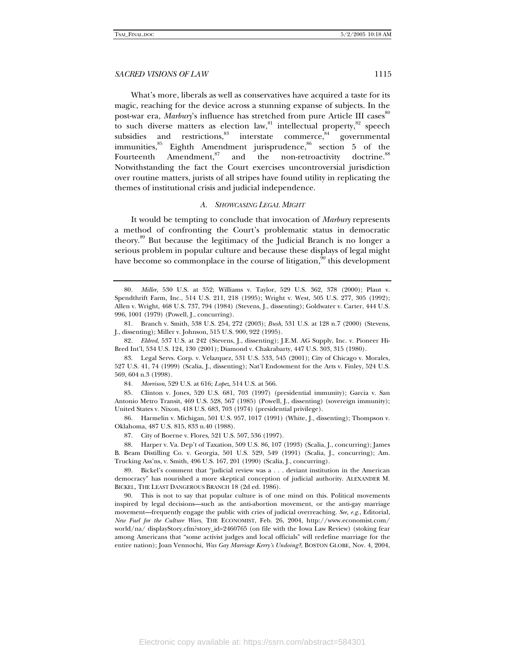What's more, liberals as well as conservatives have acquired a taste for its magic, reaching for the device across a stunning expanse of subjects. In the post-war era, *Marbury*'s influence has stretched from pure Article III cases<sup>80</sup> to such diverse matters as election law,<sup>81</sup> intellectual property, $82^8$  speech subsidies and restrictions, $83^8$  interstate commerce, $84^4$  governmental subsidies and restrictions, <sup>83</sup> interstate commerce, <sup>84</sup> governmental immunities, $85$  Eighth Amendment jurisprudence, $86$  section 5 of the Fourteenth Amendment,<sup>87</sup> and the non-retroactivity doctrine.<sup>88</sup> Notwithstanding the fact the Court exercises uncontroversial jurisdiction over routine matters, jurists of all stripes have found utility in replicating the themes of institutional crisis and judicial independence.

#### *A. SHOWCASING LEGAL MIGHT*

It would be tempting to conclude that invocation of *Marbury* represents a method of confronting the Court's problematic status in democratic theory.89 But because the legitimacy of the Judicial Branch is no longer a serious problem in popular culture and because these displays of legal might have become so commonplace in the course of litigation,  $\frac{90}{10}$  this development

84*. Morrison*, 529 U.S. at 616; *Lopez*, 514 U.S. at 566.

85*.* Clinton v. Jones, 520 U.S. 681, 703 (1997) (presidential immunity); Garcia v. San Antonio Metro Transit, 469 U.S. 528, 567 (1985) (Powell, J., dissenting) (sovereign immunity); United States v. Nixon, 418 U.S. 683, 703 (1974) (presidential privilege).

 86. Harmelin v. Michigan, 501 U.S. 957, 1017 (1991) (White, J., dissenting); Thompson v. Oklahoma, 487 U.S. 815, 833 n.40 (1988).

87. City of Boerne v. Flores, 521 U.S. 507, 536 (1997).

 88. Harper v. Va. Dep't of Taxation, 509 U.S. 86, 107 (1993) (Scalia, J., concurring); James B. Beam Distilling Co. v. Georgia, 501 U.S. 529, 549 (1991) (Scalia, J., concurring); Am. Trucking Ass'ns, v. Smith, 496 U.S. 167, 201 (1990) (Scalia, J., concurring).

 90. This is not to say that popular culture is of one mind on this. Political movements inspired by legal decisions—such as the anti-abortion movement, or the anti-gay marriage movement—frequently engage the public with cries of judicial overreaching. *See, e.g.*, Editorial, *New Fuel for the Culture Wars*, THE ECONOMIST, Feb. 26, 2004, http://www.economist.com/ world/na/ displayStory.cfm?story\_id=2460765 (on file with the Iowa Law Review) (stoking fear among Americans that "some activist judges and local officials" will redefine marriage for the entire nation); Joan Vennochi, *Was Gay Marriage Kerry's Undoing?*, BOSTON GLOBE, Nov. 4, 2004,

<sup>80</sup>*. Miller*, 530 U.S. at 352; Williams v. Taylor, 529 U.S. 362, 378 (2000); Plaut v. Spendthrift Farm, Inc., 514 U.S. 211, 218 (1995); Wright v. West, 505 U.S. 277, 305 (1992); Allen v. Wright, 468 U.S. 737, 794 (1984) (Stevens, J., dissenting); Goldwater v. Carter, 444 U.S. 996, 1001 (1979) (Powell, J., concurring).

 <sup>81.</sup> Branch v. Smith, 538 U.S. 254, 272 (2003); *Bush*, 531 U.S. at 128 n.7 (2000) (Stevens, J., dissenting); Miller v. Johnson, 515 U.S. 900, 922 (1995).

<sup>82</sup>*. Eldred*, 537 U.S. at 242 (Stevens, J., dissenting); J.E.M. AG Supply, Inc. v. Pioneer Hi-Bred Int'l, 534 U.S. 124, 130 (2001); Diamond v. Chakrabarty, 447 U.S. 303, 315 (1980).

 <sup>83.</sup> Legal Servs. Corp. v. Velazquez, 531 U.S. 533, 545 (2001); City of Chicago v. Morales, 527 U.S. 41, 74 (1999) (Scalia, J., dissenting); Nat'l Endowment for the Arts v. Finley, 524 U.S. 569, 604 n.3 (1998).

 <sup>89.</sup> Bickel's comment that "judicial review was a . . . deviant institution in the American democracy" has nourished a more skeptical conception of judicial authority. ALEXANDER M. BICKEL, THE LEAST DANGEROUS BRANCH 18 (2d ed. 1986).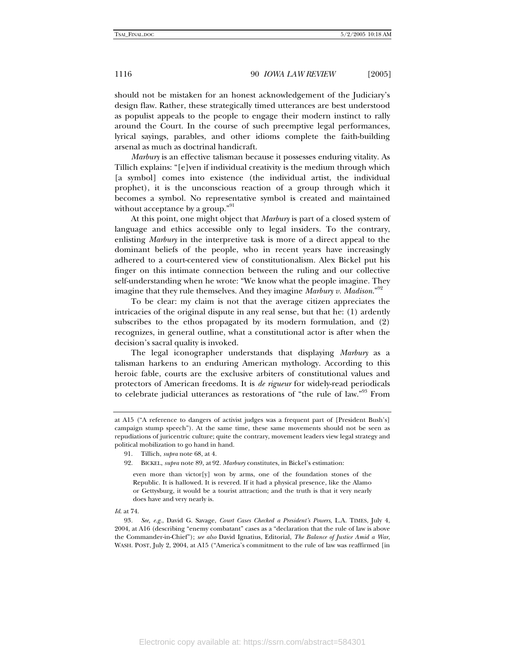should not be mistaken for an honest acknowledgement of the Judiciary's design flaw. Rather, these strategically timed utterances are best understood as populist appeals to the people to engage their modern instinct to rally around the Court. In the course of such preemptive legal performances, lyrical sayings, parables, and other idioms complete the faith-building arsenal as much as doctrinal handicraft.

*Marbury* is an effective talisman because it possesses enduring vitality. As Tillich explains: "[e]ven if individual creativity is the medium through which [a symbol] comes into existence (the individual artist, the individual prophet), it is the unconscious reaction of a group through which it becomes a symbol. No representative symbol is created and maintained without acceptance by a group."<sup>91</sup>

At this point, one might object that *Marbury* is part of a closed system of language and ethics accessible only to legal insiders. To the contrary, enlisting *Marbury* in the interpretive task is more of a direct appeal to the dominant beliefs of the people, who in recent years have increasingly adhered to a court-centered view of constitutionalism. Alex Bickel put his finger on this intimate connection between the ruling and our collective self-understanding when he wrote: "We know what the people imagine. They imagine that they rule themselves. And they imagine *Marbury v. Madison*."92

To be clear: my claim is not that the average citizen appreciates the intricacies of the original dispute in any real sense, but that he: (1) ardently subscribes to the ethos propagated by its modern formulation, and (2) recognizes, in general outline, what a constitutional actor is after when the decision's sacral quality is invoked.

The legal iconographer understands that displaying *Marbury* as a talisman harkens to an enduring American mythology. According to this heroic fable, courts are the exclusive arbiters of constitutional values and protectors of American freedoms. It is *de rigueur* for widely-read periodicals to celebrate judicial utterances as restorations of "the rule of law."93 From

*Id*. at 74.

at A15 ("A reference to dangers of activist judges was a frequent part of [President Bush's] campaign stump speech"). At the same time, these same movements should not be seen as repudiations of juricentric culture; quite the contrary, movement leaders view legal strategy and political mobilization to go hand in hand.

 <sup>91.</sup> Tillich, *supra* note 68, at 4.

 <sup>92.</sup> BICKEL, *supra* note 89, at 92. *Marbury* constitutes, in Bickel's estimation:

even more than victor[y] won by arms, one of the foundation stones of the Republic. It is hallowed. It is revered. If it had a physical presence, like the Alamo or Gettysburg, it would be a tourist attraction; and the truth is that it very nearly does have and very nearly is.

<sup>93</sup>*. See, e.g.*, David G. Savage, *Court Cases Checked a President's Powers*, L.A. TIMES, July 4, 2004, at A16 (describing "enemy combatant" cases as a "declaration that the rule of law is above the Commander-in-Chief"); *see also* David Ignatius, Editorial, *The Balance of Justice Amid a War*, WASH. POST, July 2, 2004, at A15 ("America's commitment to the rule of law was reaffirmed [in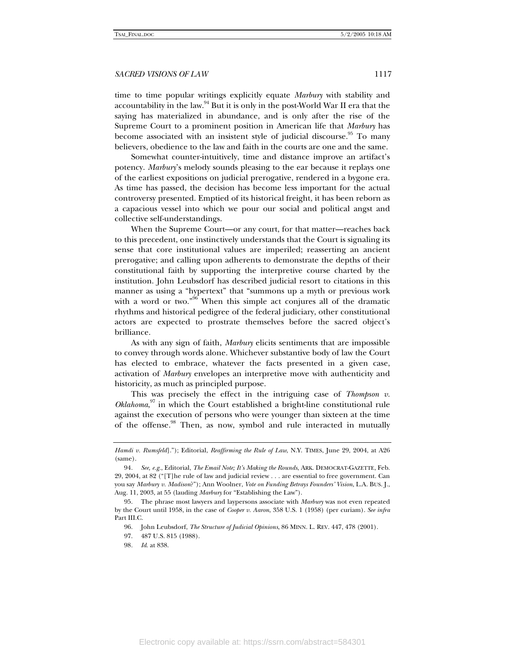time to time popular writings explicitly equate *Marbury* with stability and accountability in the law. $94$  But it is only in the post-World War II era that the saying has materialized in abundance, and is only after the rise of the Supreme Court to a prominent position in American life that *Marbury* has become associated with an insistent style of judicial discourse.<sup>95</sup> To many believers, obedience to the law and faith in the courts are one and the same.

Somewhat counter-intuitively, time and distance improve an artifact's potency. *Marbury*'s melody sounds pleasing to the ear because it replays one of the earliest expositions on judicial prerogative, rendered in a bygone era. As time has passed, the decision has become less important for the actual controversy presented. Emptied of its historical freight, it has been reborn as a capacious vessel into which we pour our social and political angst and collective self-understandings.

When the Supreme Court—or any court, for that matter—reaches back to this precedent, one instinctively understands that the Court is signaling its sense that core institutional values are imperiled; reasserting an ancient prerogative; and calling upon adherents to demonstrate the depths of their constitutional faith by supporting the interpretive course charted by the institution. John Leubsdorf has described judicial resort to citations in this manner as using a "hypertext" that "summons up a myth or previous work with a word or two."<sup>96</sup> When this simple act conjures all of the dramatic rhythms and historical pedigree of the federal judiciary, other constitutional actors are expected to prostrate themselves before the sacred object's brilliance.

As with any sign of faith, *Marbury* elicits sentiments that are impossible to convey through words alone. Whichever substantive body of law the Court has elected to embrace, whatever the facts presented in a given case, activation of *Marbury* envelopes an interpretive move with authenticity and historicity, as much as principled purpose.

This was precisely the effect in the intriguing case of *Thompson v. Oklahoma*, 97 in which the Court established a bright-line constitutional rule against the execution of persons who were younger than sixteen at the time of the offense.<sup>98</sup> Then, as now, symbol and rule interacted in mutually

*Hamdi v. Rumsfeld*]."); Editorial, *Reaffirming the Rule of Law*, N.Y. TIMES, June 29, 2004, at A26 (same).

<sup>94</sup>*. See, e.g.*, Editorial, *The Email Note; It's Making the Rounds*, ARK. DEMOCRAT-GAZETTE, Feb. 29, 2004, at 82 ("[T]he rule of law and judicial review . . . are essential to free government. Can you say *Marbury v. Madison*?"); Ann Woolner, *Vote on Funding Betrays Founders' Vision*, L.A. BUS. J., Aug. 11, 2003, at 55 (lauding *Marbury* for "Establishing the Law").

 <sup>95.</sup> The phrase most lawyers and laypersons associate with *Marbury* was not even repeated by the Court until 1958, in the case of *Cooper v. Aaron*, 358 U.S. 1 (1958) (per curiam). *See infra*  Part III.C.

 <sup>96.</sup> John Leubsdorf, *The Structure of Judicial Opinions*, 86 MINN. L. REV. 447, 478 (2001).

 <sup>97. 487</sup> U.S. 815 (1988).

<sup>98</sup>*. Id*. at 838.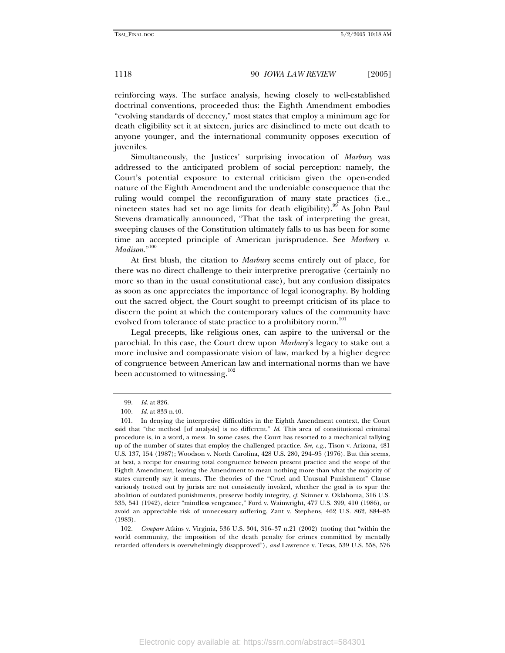reinforcing ways. The surface analysis, hewing closely to well-established doctrinal conventions, proceeded thus: the Eighth Amendment embodies "evolving standards of decency," most states that employ a minimum age for death eligibility set it at sixteen, juries are disinclined to mete out death to anyone younger, and the international community opposes execution of juveniles.

Simultaneously, the Justices' surprising invocation of *Marbury* was addressed to the anticipated problem of social perception: namely, the Court's potential exposure to external criticism given the open-ended nature of the Eighth Amendment and the undeniable consequence that the ruling would compel the reconfiguration of many state practices (i.e., nineteen states had set no age limits for death eligibility).<sup>99</sup> As John Paul Stevens dramatically announced, "That the task of interpreting the great, sweeping clauses of the Constitution ultimately falls to us has been for some time an accepted principle of American jurisprudence. See *Marbury v. Madison.*" 100

At first blush, the citation to *Marbury* seems entirely out of place, for there was no direct challenge to their interpretive prerogative (certainly no more so than in the usual constitutional case), but any confusion dissipates as soon as one appreciates the importance of legal iconography. By holding out the sacred object, the Court sought to preempt criticism of its place to discern the point at which the contemporary values of the community have evolved from tolerance of state practice to a prohibitory norm.<sup>101</sup>

Legal precepts, like religious ones, can aspire to the universal or the parochial. In this case, the Court drew upon *Marbury*'s legacy to stake out a more inclusive and compassionate vision of law, marked by a higher degree of congruence between American law and international norms than we have been accustomed to witnessing.<sup>102</sup>

102*. Compare* Atkins v. Virginia, 536 U.S. 304, 316–37 n.21 (2002) (noting that "within the world community, the imposition of the death penalty for crimes committed by mentally retarded offenders is overwhelmingly disapproved"), *and* Lawrence v. Texas, 539 U.S. 558, 576

 <sup>99.</sup> *Id*. at 826.

<sup>100</sup>*. Id*. at 833 n.40.

 <sup>101.</sup> In denying the interpretive difficulties in the Eighth Amendment context, the Court said that "the method [of analysis] is no different." *Id*. This area of constitutional criminal procedure is, in a word, a mess. In some cases, the Court has resorted to a mechanical tallying up of the number of states that employ the challenged practice. *See, e.g*., Tison v. Arizona, 481 U.S. 137, 154 (1987); Woodson v. North Carolina, 428 U.S. 280, 294–95 (1976). But this seems, at best, a recipe for ensuring total congruence between present practice and the scope of the Eighth Amendment, leaving the Amendment to mean nothing more than what the majority of states currently say it means. The theories of the "Cruel and Unusual Punishment" Clause variously trotted out by jurists are not consistently invoked, whether the goal is to spur the abolition of outdated punishments, preserve bodily integrity, *cf.* Skinner v. Oklahoma, 316 U.S. 535, 541 (1942), deter "mindless vengeance," Ford v. Wainwright, 477 U.S. 399, 410 (1986), or avoid an appreciable risk of unnecessary suffering, Zant v. Stephens, 462 U.S. 862, 884–85 (1983).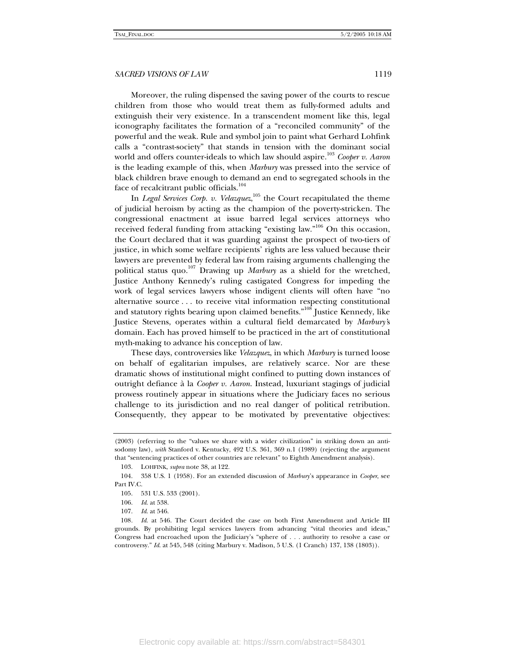Moreover, the ruling dispensed the saving power of the courts to rescue children from those who would treat them as fully-formed adults and extinguish their very existence. In a transcendent moment like this, legal iconography facilitates the formation of a "reconciled community" of the powerful and the weak. Rule and symbol join to paint what Gerhard Lohfink calls a "contrast-society" that stands in tension with the dominant social world and offers counter-ideals to which law should aspire.<sup>103</sup> *Cooper v. Aaron* is the leading example of this, when *Marbury* was pressed into the service of black children brave enough to demand an end to segregated schools in the face of recalcitrant public officials.<sup>104</sup>

In *Legal Services Corp. v. Velazquez*,<sup>105</sup> the Court recapitulated the theme of judicial heroism by acting as the champion of the poverty-stricken. The congressional enactment at issue barred legal services attorneys who received federal funding from attacking "existing law."<sup>106</sup> On this occasion, the Court declared that it was guarding against the prospect of two-tiers of justice, in which some welfare recipients' rights are less valued because their lawyers are prevented by federal law from raising arguments challenging the political status quo.107 Drawing up *Marbury* as a shield for the wretched, Justice Anthony Kennedy's ruling castigated Congress for impeding the work of legal services lawyers whose indigent clients will often have "no alternative source . . . to receive vital information respecting constitutional and statutory rights bearing upon claimed benefits."<sup>108</sup> Justice Kennedy, like Justice Stevens, operates within a cultural field demarcated by *Marbury'*s domain. Each has proved himself to be practiced in the art of constitutional myth-making to advance his conception of law.

These days, controversies like *Velazquez*, in which *Marbury* is turned loose on behalf of egalitarian impulses, are relatively scarce. Nor are these dramatic shows of institutional might confined to putting down instances of outright defiance à la *Cooper v. Aaron*. Instead, luxuriant stagings of judicial prowess routinely appear in situations where the Judiciary faces no serious challenge to its jurisdiction and no real danger of political retribution. Consequently, they appear to be motivated by preventative objectives:

<sup>(2003) (</sup>referring to the "values we share with a wider civilization" in striking down an antisodomy law), *with* Stanford v. Kentucky, 492 U.S. 361, 369 n.1 (1989) (rejecting the argument that "sentencing practices of other countries are relevant" to Eighth Amendment analysis).

 <sup>103.</sup> LOHFINK, *supra* note 38, at 122.

 <sup>104. 358</sup> U.S. 1 (1958). For an extended discussion of *Marbury*'s appearance in *Cooper*, see Part IV.C.

 <sup>105. 531</sup> U.S. 533 (2001).

 <sup>106.</sup> *Id*. at 538.

 <sup>107.</sup> *Id*. at 546.

<sup>108</sup>*. Id*. at 546. The Court decided the case on both First Amendment and Article III grounds. By prohibiting legal services lawyers from advancing "vital theories and ideas," Congress had encroached upon the Judiciary's "sphere of . . . authority to resolve a case or controversy." *Id*. at 545, 548 (citing Marbury v. Madison, 5 U.S. (1 Cranch) 137, 138 (1803)).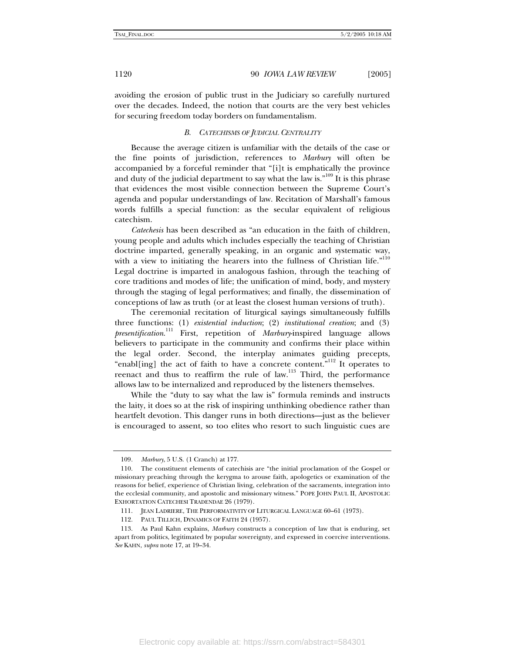avoiding the erosion of public trust in the Judiciary so carefully nurtured over the decades. Indeed, the notion that courts are the very best vehicles for securing freedom today borders on fundamentalism.

#### *B. CATECHISMS OF JUDICIAL CENTRALITY*

Because the average citizen is unfamiliar with the details of the case or the fine points of jurisdiction, references to *Marbury* will often be accompanied by a forceful reminder that "[i]t is emphatically the province and duty of the judicial department to say what the law is."<sup>109</sup> It is this phrase that evidences the most visible connection between the Supreme Court's agenda and popular understandings of law. Recitation of Marshall's famous words fulfills a special function: as the secular equivalent of religious catechism.

*Catechesis* has been described as "an education in the faith of children, young people and adults which includes especially the teaching of Christian doctrine imparted, generally speaking, in an organic and systematic way, with a view to initiating the hearers into the fullness of Christian life."<sup>110</sup> Legal doctrine is imparted in analogous fashion, through the teaching of core traditions and modes of life; the unification of mind, body, and mystery through the staging of legal performatives; and finally, the dissemination of conceptions of law as truth (or at least the closest human versions of truth).

The ceremonial recitation of liturgical sayings simultaneously fulfills three functions: (1) *existential induction*; (2) *institutional creation*; and (3) *presentification*. 111 First, repetition of *Marbury*-inspired language allows believers to participate in the community and confirms their place within the legal order. Second, the interplay animates guiding precepts, "enabl[ing] the act of faith to have a concrete content."112 It operates to reenact and thus to reaffirm the rule of law.<sup>113</sup> Third, the performance allows law to be internalized and reproduced by the listeners themselves.

While the "duty to say what the law is" formula reminds and instructs the laity, it does so at the risk of inspiring unthinking obedience rather than heartfelt devotion. This danger runs in both directions—just as the believer is encouraged to assent, so too elites who resort to such linguistic cues are

<sup>109</sup>*. Marbury*, 5 U.S. (1 Cranch) at 177.

 <sup>110.</sup> The constituent elements of catechisis are "the initial proclamation of the Gospel or missionary preaching through the kerygma to arouse faith, apologetics or examination of the reasons for belief, experience of Christian living, celebration of the sacraments, integration into the ecclesial community, and apostolic and missionary witness." POPE JOHN PAUL II, APOSTOLIC EXHORTATION CATECHESI TRADENDAE 26 (1979).

 <sup>111.</sup> JEAN LADRIERE, THE PERFORMATIVITY OF LITURGICAL LANGUAGE 60–61 (1973).

 <sup>112.</sup> PAUL TILLICH, DYNAMICS OF FAITH 24 (1957).

 <sup>113.</sup> As Paul Kahn explains, *Marbury* constructs a conception of law that is enduring, set apart from politics, legitimated by popular sovereignty, and expressed in coercive interventions. *See* KAHN, *supra* note 17, at 19–34.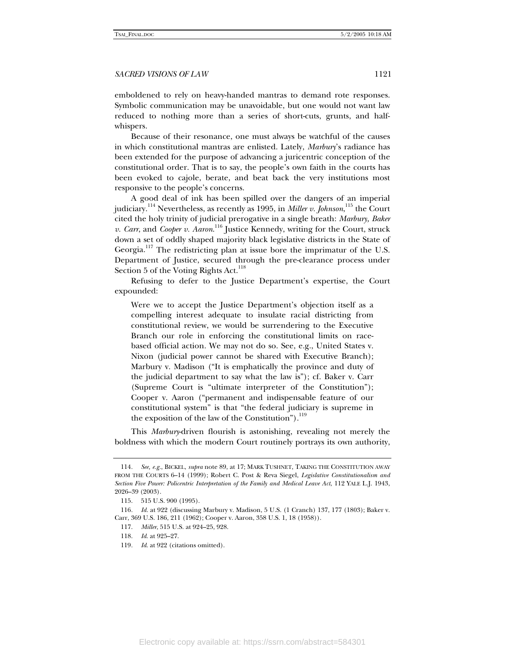emboldened to rely on heavy-handed mantras to demand rote responses. Symbolic communication may be unavoidable, but one would not want law reduced to nothing more than a series of short-cuts, grunts, and halfwhispers.

Because of their resonance, one must always be watchful of the causes in which constitutional mantras are enlisted. Lately, *Marbury*'s radiance has been extended for the purpose of advancing a juricentric conception of the constitutional order. That is to say, the people's own faith in the courts has been evoked to cajole, berate, and beat back the very institutions most responsive to the people's concerns.

A good deal of ink has been spilled over the dangers of an imperial judiciary.<sup>114</sup> Nevertheless, as recently as 1995, in *Miller v. Johnson,*<sup>115</sup> the Court cited the holy trinity of judicial prerogative in a single breath: *Marbury, Baker v. Carr*, and *Cooper v. Aaron*. 116 Justice Kennedy, writing for the Court, struck down a set of oddly shaped majority black legislative districts in the State of Georgia.<sup>117</sup> The redistricting plan at issue bore the imprimatur of the U.S. Department of Justice, secured through the pre-clearance process under Section 5 of the Voting Rights Act.<sup>118</sup>

Refusing to defer to the Justice Department's expertise, the Court expounded:

Were we to accept the Justice Department's objection itself as a compelling interest adequate to insulate racial districting from constitutional review, we would be surrendering to the Executive Branch our role in enforcing the constitutional limits on racebased official action. We may not do so. See, e.g., United States v. Nixon (judicial power cannot be shared with Executive Branch); Marbury v. Madison ("It is emphatically the province and duty of the judicial department to say what the law is"); cf. Baker v. Carr (Supreme Court is "ultimate interpreter of the Constitution"); Cooper v. Aaron ("permanent and indispensable feature of our constitutional system" is that "the federal judiciary is supreme in the exposition of the law of the Constitution"). $119$ 

This *Marbury*-driven flourish is astonishing, revealing not merely the boldness with which the modern Court routinely portrays its own authority,

<sup>114</sup>*. See, e.g.*, BICKEL, *supra* note 89, at 17; MARK TUSHNET, TAKING THE CONSTITUTION AWAY FROM THE COURTS 6–14 (1999); Robert C. Post & Reva Siegel, *Legislative Constitutionalism and Section Five Power: Policentric Interpretation of the Family and Medical Leave Act*, 112 YALE L.J. 1943, 2026–39 (2003).

 <sup>115. 515</sup> U.S. 900 (1995).

<sup>116</sup>*. Id.* at 922 (discussing Marbury v. Madison, 5 U.S. (1 Cranch) 137, 177 (1803); Baker v. Carr, 369 U.S. 186, 211 (1962); Cooper v. Aaron, 358 U.S. 1, 18 (1958)).

 <sup>117.</sup> *Miller*, 515 U.S. at 924–25, 928.

 <sup>118.</sup> *Id*. at 925–27.

<sup>119</sup>*. Id*. at 922 (citations omitted).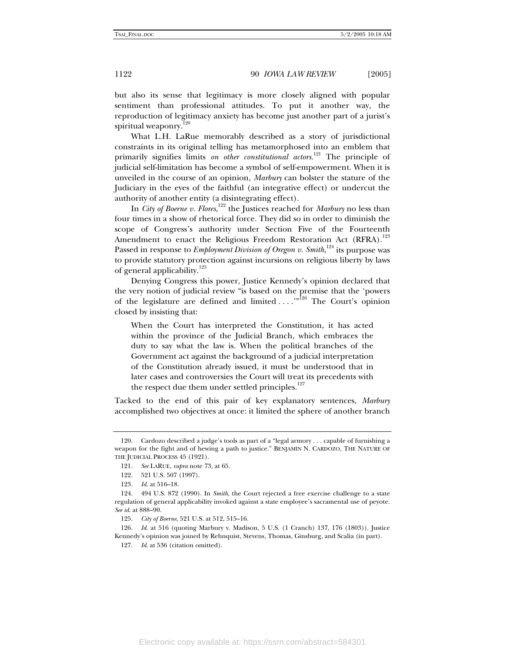but also its sense that legitimacy is more closely aligned with popular sentiment than professional attitudes. To put it another way, the reproduction of legitimacy anxiety has become just another part of a jurist's spiritual weaponry.<sup>120</sup>

What L.H. LaRue memorably described as a story of jurisdictional constraints in its original telling has metamorphosed into an emblem that primarily signifies limits *on other constitutional actors*. 121 The principle of judicial self-limitation has become a symbol of self-empowerment. When it is unveiled in the course of an opinion, *Marbury* can bolster the stature of the Judiciary in the eyes of the faithful (an integrative effect) or undercut the authority of another entity (a disintegrating effect).

In *City of Boerne v. Flores*, 122 the Justices reached for *Marbury* no less than four times in a show of rhetorical force. They did so in order to diminish the scope of Congress's authority under Section Five of the Fourteenth Amendment to enact the Religious Freedom Restoration Act (RFRA).<sup>123</sup> Passed in response to *Employment Division of Oregon v. Smith*,<sup>124</sup> its purpose was to provide statutory protection against incursions on religious liberty by laws of general applicability.<sup>125</sup>

Denying Congress this power, Justice Kennedy's opinion declared that the very notion of judicial review "is based on the premise that the 'powers of the legislature are defined and limited . . . .'"126 The Court's opinion closed by insisting that:

When the Court has interpreted the Constitution, it has acted within the province of the Judicial Branch, which embraces the duty to say what the law is. When the political branches of the Government act against the background of a judicial interpretation of the Constitution already issued, it must be understood that in later cases and controversies the Court will treat its precedents with the respect due them under settled principles. $127$ 

Tacked to the end of this pair of key explanatory sentences, *Marbury* accomplished two objectives at once: it limited the sphere of another branch

 <sup>120.</sup> Cardozo described a judge's tools as part of a "legal armory . . . capable of furnishing a weapon for the fight and of hewing a path to justice." BENJAMIN N. CARDOZO, THE NATURE OF THE JUDICIAL PROCESS 45 (1921).

<sup>121</sup>*. See* LARUE, *supra* note 73, at 65.

 <sup>122. 521</sup> U.S. 507 (1997).

<sup>123</sup>*. Id*. at 516–18.

 <sup>124. 494</sup> U.S. 872 (1990). In *Smith*, the Court rejected a free exercise challenge to a state regulation of general applicability invoked against a state employee's sacramental use of peyote. *See id*. at 888–90.

 <sup>125.</sup> *City of Boerne*, 521 U.S. at 512, 515–16.

<sup>126</sup>*. Id*. at 516 (quoting Marbury v. Madison, 5 U.S. (1 Cranch) 137, 176 (1803)). Justice Kennedy's opinion was joined by Rehnquist, Stevens, Thomas, Ginsburg, and Scalia (in part).

<sup>127</sup>*. Id*. at 536 (citation omitted).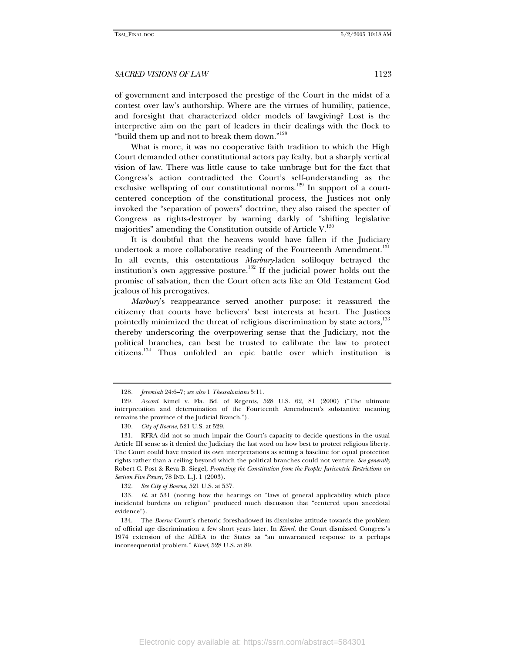of government and interposed the prestige of the Court in the midst of a contest over law's authorship. Where are the virtues of humility, patience, and foresight that characterized older models of lawgiving? Lost is the interpretive aim on the part of leaders in their dealings with the flock to "build them up and not to break them down."128

What is more, it was no cooperative faith tradition to which the High Court demanded other constitutional actors pay fealty, but a sharply vertical vision of law. There was little cause to take umbrage but for the fact that Congress's action contradicted the Court's self-understanding as the exclusive wellspring of our constitutional norms.<sup>129</sup> In support of a courtcentered conception of the constitutional process, the Justices not only invoked the "separation of powers" doctrine, they also raised the specter of Congress as rights-destroyer by warning darkly of "shifting legislative majorities" amending the Constitution outside of Article  $V^{130}$ .

It is doubtful that the heavens would have fallen if the Judiciary undertook a more collaborative reading of the Fourteenth Amendment.<sup>131</sup> In all events, this ostentatious *Marbury*-laden soliloquy betrayed the institution's own aggressive posture.132 If the judicial power holds out the promise of salvation, then the Court often acts like an Old Testament God jealous of his prerogatives.

*Marbury*'s reappearance served another purpose: it reassured the citizenry that courts have believers' best interests at heart. The Justices pointedly minimized the threat of religious discrimination by state actors,<sup>133</sup> thereby underscoring the overpowering sense that the Judiciary, not the political branches, can best be trusted to calibrate the law to protect citizens.134 Thus unfolded an epic battle over which institution is

132*. See City of Boerne*, 521 U.S. at 537.

<sup>128</sup>*. Jeremiah* 24:6–7; *see also* 1 *Thessalonians* 5:11.

<sup>129</sup>*. Accord* Kimel v. Fla. Bd. of Regents, 528 U.S. 62, 81 (2000) ("The ultimate interpretation and determination of the Fourteenth Amendment's substantive meaning remains the province of the Judicial Branch.").

<sup>130</sup>*. City of Boerne*, 521 U.S. at 529.

 <sup>131.</sup> RFRA did not so much impair the Court's capacity to decide questions in the usual Article III sense as it denied the Judiciary the last word on how best to protect religious liberty. The Court could have treated its own interpretations as setting a baseline for equal protection rights rather than a ceiling beyond which the political branches could not venture. *See generally* Robert C. Post & Reva B. Siegel, *Protecting the Constitution from the People: Juricentric Restrictions on Section Five Power*, 78 IND. L.J. 1 (2003).

<sup>133</sup>*. Id*. at 531 (noting how the hearings on "laws of general applicability which place incidental burdens on religion" produced much discussion that "centered upon anecdotal evidence").

 <sup>134.</sup> The *Boerne* Court's rhetoric foreshadowed its dismissive attitude towards the problem of official age discrimination a few short years later. In *Kimel*, the Court dismissed Congress's 1974 extension of the ADEA to the States as "an unwarranted response to a perhaps inconsequential problem." *Kimel*, 528 U.S. at 89.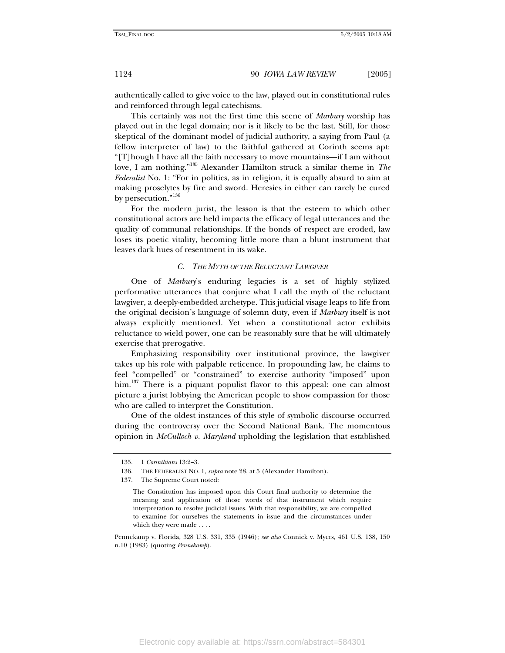authentically called to give voice to the law, played out in constitutional rules and reinforced through legal catechisms.

This certainly was not the first time this scene of *Marbury* worship has played out in the legal domain; nor is it likely to be the last. Still, for those skeptical of the dominant model of judicial authority, a saying from Paul (a fellow interpreter of law) to the faithful gathered at Corinth seems apt: "[T]hough I have all the faith necessary to move mountains—if I am without love, I am nothing."135 Alexander Hamilton struck a similar theme in *The Federalist* No. 1: "For in politics, as in religion, it is equally absurd to aim at making proselytes by fire and sword. Heresies in either can rarely be cured by persecution."<sup>136</sup>

For the modern jurist, the lesson is that the esteem to which other constitutional actors are held impacts the efficacy of legal utterances and the quality of communal relationships. If the bonds of respect are eroded, law loses its poetic vitality, becoming little more than a blunt instrument that leaves dark hues of resentment in its wake.

#### *C. THE MYTH OF THE RELUCTANT LAWGIVER*

One of *Marbury*'s enduring legacies is a set of highly stylized performative utterances that conjure what I call the myth of the reluctant lawgiver, a deeply-embedded archetype. This judicial visage leaps to life from the original decision's language of solemn duty, even if *Marbury* itself is not always explicitly mentioned. Yet when a constitutional actor exhibits reluctance to wield power, one can be reasonably sure that he will ultimately exercise that prerogative.

Emphasizing responsibility over institutional province, the lawgiver takes up his role with palpable reticence. In propounding law, he claims to feel "compelled" or "constrained" to exercise authority "imposed" upon him.<sup>137</sup> There is a piquant populist flavor to this appeal: one can almost picture a jurist lobbying the American people to show compassion for those who are called to interpret the Constitution.

One of the oldest instances of this style of symbolic discourse occurred during the controversy over the Second National Bank. The momentous opinion in *McCulloch v. Maryland* upholding the legislation that established

 <sup>135. 1</sup> *Corinthians* 13:2–3.

 <sup>136.</sup> THE FEDERALIST NO. 1, *supra* note 28, at 5 (Alexander Hamilton).

 <sup>137.</sup> The Supreme Court noted:

The Constitution has imposed upon this Court final authority to determine the meaning and application of those words of that instrument which require interpretation to resolve judicial issues. With that responsibility, we are compelled to examine for ourselves the statements in issue and the circumstances under which they were made . . . .

Pennekamp v. Florida, 328 U.S. 331, 335 (1946); *see also* Connick v. Myers, 461 U.S. 138, 150 n.10 (1983) (quoting *Pennekamp*).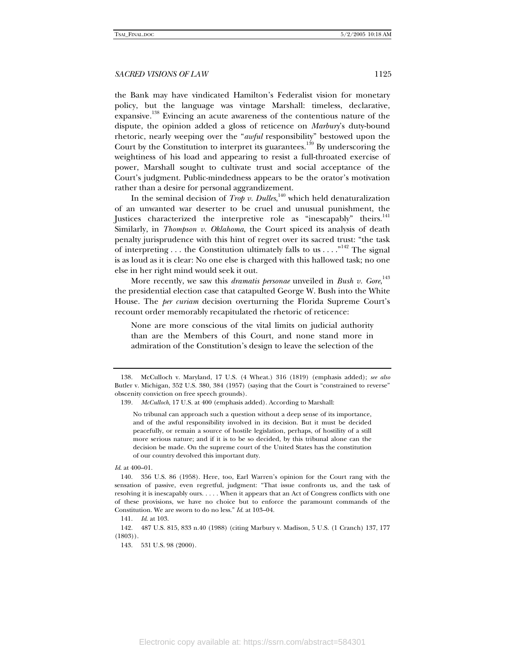the Bank may have vindicated Hamilton's Federalist vision for monetary policy, but the language was vintage Marshall: timeless, declarative, expansive.<sup>138</sup> Evincing an acute awareness of the contentious nature of the dispute, the opinion added a gloss of reticence on *Marbury*'s duty-bound rhetoric, nearly weeping over the "*awful* responsibility" bestowed upon the Court by the Constitution to interpret its guarantees.<sup>139</sup> By underscoring the weightiness of his load and appearing to resist a full-throated exercise of power, Marshall sought to cultivate trust and social acceptance of the Court's judgment. Public-mindedness appears to be the orator's motivation rather than a desire for personal aggrandizement.

In the seminal decision of *Trop v. Dulles*,<sup>140</sup> which held denaturalization of an unwanted war deserter to be cruel and unusual punishment, the Justices characterized the interpretive role as "inescapably" theirs.<sup>141</sup> Similarly, in *Thompson v. Oklahoma*, the Court spiced its analysis of death penalty jurisprudence with this hint of regret over its sacred trust: "the task of interpreting ... the Constitution ultimately falls to us  $\dots$ <sup>142</sup>. The signal is as loud as it is clear: No one else is charged with this hallowed task; no one else in her right mind would seek it out.

More recently, we saw this *dramatis personae* unveiled in *Bush v. Gore*, 143 the presidential election case that catapulted George W. Bush into the White House. The *per curiam* decision overturning the Florida Supreme Court's recount order memorably recapitulated the rhetoric of reticence:

None are more conscious of the vital limits on judicial authority than are the Members of this Court, and none stand more in admiration of the Constitution's design to leave the selection of the

 <sup>138.</sup> McCulloch v. Maryland, 17 U.S. (4 Wheat.) 316 (1819) (emphasis added); *see also*  Butler v. Michigan, 352 U.S. 380, 384 (1957) (saying that the Court is "constrained to reverse" obscenity conviction on free speech grounds).

<sup>139</sup>*. McCulloch*, 17 U.S. at 400 (emphasis added). According to Marshall:

No tribunal can approach such a question without a deep sense of its importance, and of the awful responsibility involved in its decision. But it must be decided peacefully, or remain a source of hostile legislation, perhaps, of hostility of a still more serious nature; and if it is to be so decided, by this tribunal alone can the decision be made. On the supreme court of the United States has the constitution of our country devolved this important duty.

*Id*. at 400–01.

 <sup>140. 356</sup> U.S. 86 (1958). Here, too, Earl Warren's opinion for the Court rang with the sensation of passive, even regretful, judgment: "That issue confronts us, and the task of resolving it is inescapably ours. . . . . When it appears that an Act of Congress conflicts with one of these provisions, we have no choice but to enforce the paramount commands of the Constitution. We are sworn to do no less." *Id*. at 103–04.

 <sup>141.</sup> *Id*. at 103.

 <sup>142. 487</sup> U.S. 815, 833 n.40 (1988) (citing Marbury v. Madison, 5 U.S. (1 Cranch) 137, 177 (1803)).

 <sup>143. 531</sup> U.S. 98 (2000).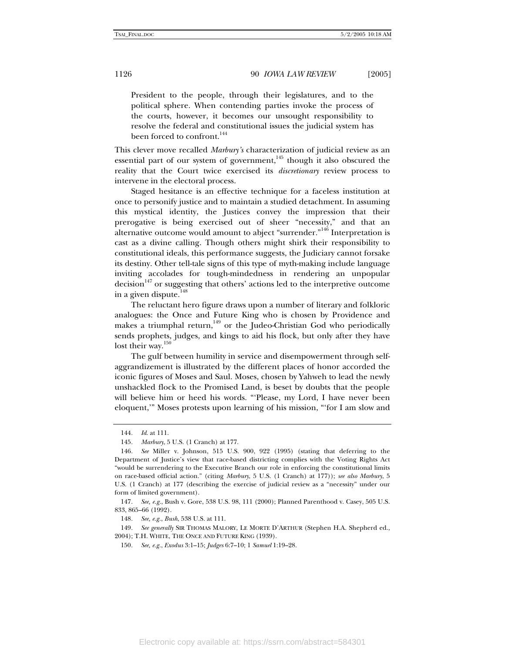President to the people, through their legislatures, and to the political sphere. When contending parties invoke the process of the courts, however, it becomes our unsought responsibility to resolve the federal and constitutional issues the judicial system has been forced to confront.<sup>144</sup>

This clever move recalled *Marbury's* characterization of judicial review as an essential part of our system of government,<sup>145</sup> though it also obscured the reality that the Court twice exercised its *discretionary* review process to intervene in the electoral process.

Staged hesitance is an effective technique for a faceless institution at once to personify justice and to maintain a studied detachment. In assuming this mystical identity, the Justices convey the impression that their prerogative is being exercised out of sheer "necessity," and that an alternative outcome would amount to abject "surrender."<sup>146</sup> Interpretation is cast as a divine calling. Though others might shirk their responsibility to constitutional ideals, this performance suggests, the Judiciary cannot forsake its destiny. Other tell-tale signs of this type of myth-making include language inviting accolades for tough-mindedness in rendering an unpopular decision<sup>147</sup> or suggesting that others' actions led to the interpretive outcome in a given dispute. $148$ 

The reluctant hero figure draws upon a number of literary and folkloric analogues: the Once and Future King who is chosen by Providence and makes a triumphal return, $149$  or the Judeo-Christian God who periodically sends prophets, judges, and kings to aid his flock, but only after they have lost their way.<sup>150</sup>

The gulf between humility in service and disempowerment through selfaggrandizement is illustrated by the different places of honor accorded the iconic figures of Moses and Saul. Moses, chosen by Yahweh to lead the newly unshackled flock to the Promised Land, is beset by doubts that the people will believe him or heed his words. "'Please, my Lord, I have never been eloquent,'" Moses protests upon learning of his mission, "'for I am slow and

<sup>144</sup>*. Id*. at 111.

<sup>145</sup>*. Marbury*, 5 U.S. (1 Cranch) at 177.

<sup>146</sup>*. See* Miller v. Johnson, 515 U.S. 900, 922 (1995) (stating that deferring to the Department of Justice's view that race-based districting complies with the Voting Rights Act "would be surrendering to the Executive Branch our role in enforcing the constitutional limits on race-based official action." (citing *Marbury*, 5 U.S. (1 Cranch) at 177)); *see also Marbury*, 5 U.S. (1 Cranch) at 177 (describing the exercise of judicial review as a "necessity" under our form of limited government).

<sup>147</sup>*. See, e.g.*, Bush v. Gore, 538 U.S. 98, 111 (2000); Planned Parenthood v. Casey, 505 U.S. 833, 865–66 (1992).

<sup>148</sup>*. See, e.g.*, *Bush*, 538 U.S. at 111.

<sup>149</sup>*. See generally* SIR THOMAS MALORY, LE MORTE D'ARTHUR (Stephen H.A. Shepherd ed., 2004); T.H. WHITE, THE ONCE AND FUTURE KING (1939).

<sup>150</sup>*. See, e.g.*, *Exodus* 3:1–15; *Judges* 6:7–10; 1 *Samuel* 1:19–28.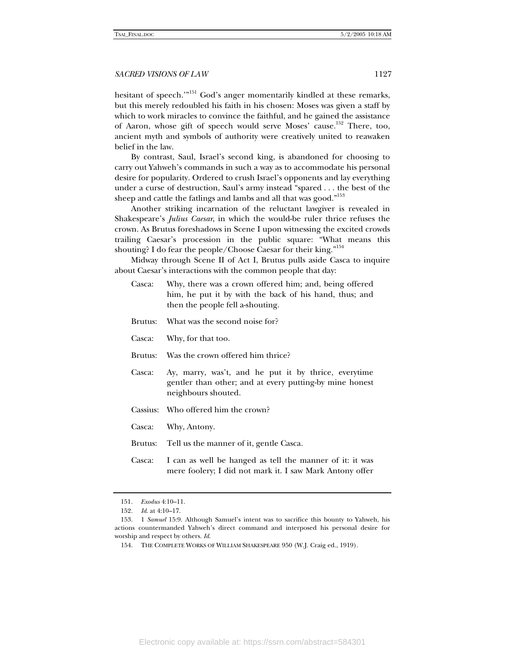hesitant of speech."<sup>151</sup> God's anger momentarily kindled at these remarks, but this merely redoubled his faith in his chosen: Moses was given a staff by which to work miracles to convince the faithful, and he gained the assistance of Aaron, whose gift of speech would serve Moses' cause.<sup>152</sup> There, too, ancient myth and symbols of authority were creatively united to reawaken belief in the law.

By contrast, Saul, Israel's second king, is abandoned for choosing to carry out Yahweh's commands in such a way as to accommodate his personal desire for popularity. Ordered to crush Israel's opponents and lay everything under a curse of destruction, Saul's army instead "spared . . . the best of the sheep and cattle the fatlings and lambs and all that was good."<sup>153</sup>

Another striking incarnation of the reluctant lawgiver is revealed in Shakespeare's *Julius Caesar*, in which the would-be ruler thrice refuses the crown. As Brutus foreshadows in Scene I upon witnessing the excited crowds trailing Caesar's procession in the public square: "What means this shouting? I do fear the people/Choose Caesar for their king."<sup>154</sup>

Midway through Scene II of Act I, Brutus pulls aside Casca to inquire about Caesar's interactions with the common people that day:

- Casca: Why, there was a crown offered him; and, being offered him, he put it by with the back of his hand, thus; and then the people fell a-shouting.
- Brutus: What was the second noise for?
- Casca: Why, for that too.
- Brutus: Was the crown offered him thrice?
- Casca: Ay, marry, was't, and he put it by thrice, everytime gentler than other; and at every putting-by mine honest neighbours shouted.
- Cassius: Who offered him the crown?
- Casca: Why, Antony.

Brutus: Tell us the manner of it, gentle Casca.

Casca: I can as well be hanged as tell the manner of it: it was mere foolery; I did not mark it. I saw Mark Antony offer

<sup>151</sup>*. Exodus* 4:10–11.

<sup>152</sup>*. Id*. at 4:10–17.

 <sup>153. 1</sup> *Samuel* 15:9. Although Samuel's intent was to sacrifice this bounty to Yahweh, his actions countermanded Yahweh's direct command and interposed his personal desire for worship and respect by others. *Id*.

 <sup>154.</sup> THE COMPLETE WORKS OF WILLIAM SHAKESPEARE 950 (W.J. Craig ed., 1919).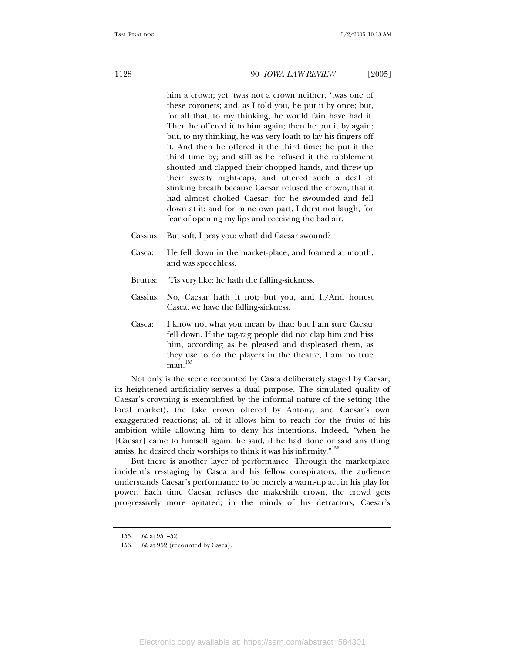him a crown; yet 'twas not a crown neither, 'twas one of these coronets; and, as I told you, he put it by once; but, for all that, to my thinking, he would fain have had it. Then he offered it to him again; then he put it by again; but, to my thinking, he was very loath to lay his fingers off it. And then he offered it the third time; he put it the third time by; and still as he refused it the rabblement shouted and clapped their chopped hands, and threw up their sweaty night-caps, and uttered such a deal of stinking breath because Caesar refused the crown, that it had almost choked Caesar; for he swounded and fell down at it: and for mine own part, I durst not laugh, for fear of opening my lips and receiving the bad air.

- Cassius: But soft, I pray you: what! did Caesar swound?
- Casca: He fell down in the market-place, and foamed at mouth, and was speechless.
- Brutus: 'Tis very like: he hath the falling-sickness.
- Cassius: No, Caesar hath it not; but you, and I,/And honest Casca, we have the falling-sickness.
- Casca: I know not what you mean by that; but I am sure Caesar fell down. If the tag-rag people did not clap him and hiss him, according as he pleased and displeased them, as they use to do the players in the theatre, I am no true  $man.<sup>155</sup>$

Not only is the scene recounted by Casca deliberately staged by Caesar, its heightened artificiality serves a dual purpose. The simulated quality of Caesar's crowning is exemplified by the informal nature of the setting (the local market), the fake crown offered by Antony, and Caesar's own exaggerated reactions; all of it allows him to reach for the fruits of his ambition while allowing him to deny his intentions. Indeed, "when he [Caesar] came to himself again, he said, if he had done or said any thing amiss, he desired their worships to think it was his infirmity."<sup>156</sup>

But there is another layer of performance. Through the marketplace incident's re-staging by Casca and his fellow conspirators, the audience understands Caesar's performance to be merely a warm-up act in his play for power. Each time Caesar refuses the makeshift crown, the crowd gets progressively more agitated; in the minds of his detractors, Caesar's

<sup>155</sup>*. Id*. at 951–52.

<sup>156</sup>*. Id*. at 952 (recounted by Casca).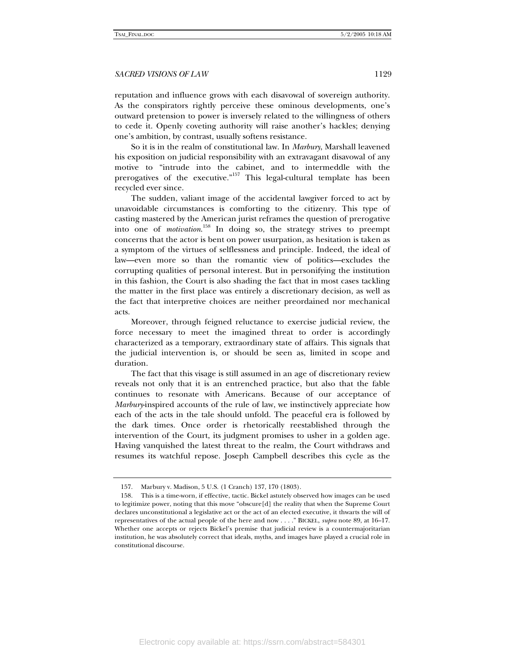reputation and influence grows with each disavowal of sovereign authority. As the conspirators rightly perceive these ominous developments, one's outward pretension to power is inversely related to the willingness of others to cede it. Openly coveting authority will raise another's hackles; denying one's ambition, by contrast, usually softens resistance.

So it is in the realm of constitutional law. In *Marbury*, Marshall leavened his exposition on judicial responsibility with an extravagant disavowal of any motive to "intrude into the cabinet, and to intermeddle with the prerogatives of the executive."<sup>157</sup> This legal-cultural template has been recycled ever since.

The sudden, valiant image of the accidental lawgiver forced to act by unavoidable circumstances is comforting to the citizenry. This type of casting mastered by the American jurist reframes the question of prerogative into one of *motivation*. 158 In doing so, the strategy strives to preempt concerns that the actor is bent on power usurpation, as hesitation is taken as a symptom of the virtues of selflessness and principle. Indeed, the ideal of law—even more so than the romantic view of politics—excludes the corrupting qualities of personal interest. But in personifying the institution in this fashion, the Court is also shading the fact that in most cases tackling the matter in the first place was entirely a discretionary decision, as well as the fact that interpretive choices are neither preordained nor mechanical acts.

Moreover, through feigned reluctance to exercise judicial review, the force necessary to meet the imagined threat to order is accordingly characterized as a temporary, extraordinary state of affairs. This signals that the judicial intervention is, or should be seen as, limited in scope and duration.

The fact that this visage is still assumed in an age of discretionary review reveals not only that it is an entrenched practice, but also that the fable continues to resonate with Americans. Because of our acceptance of *Marbury*-inspired accounts of the rule of law, we instinctively appreciate how each of the acts in the tale should unfold. The peaceful era is followed by the dark times. Once order is rhetorically reestablished through the intervention of the Court, its judgment promises to usher in a golden age. Having vanquished the latest threat to the realm, the Court withdraws and resumes its watchful repose. Joseph Campbell describes this cycle as the

 <sup>157.</sup> Marbury v. Madison, 5 U.S. (1 Cranch) 137, 170 (1803).

 <sup>158.</sup> This is a time-worn, if effective, tactic. Bickel astutely observed how images can be used to legitimize power, noting that this move "obscure[d] the reality that when the Supreme Court declares unconstitutional a legislative act or the act of an elected executive, it thwarts the will of representatives of the actual people of the here and now . . . ." BICKEL, *supra* note 89, at 16–17. Whether one accepts or rejects Bickel's premise that judicial review is a countermajoritarian institution, he was absolutely correct that ideals, myths, and images have played a crucial role in constitutional discourse.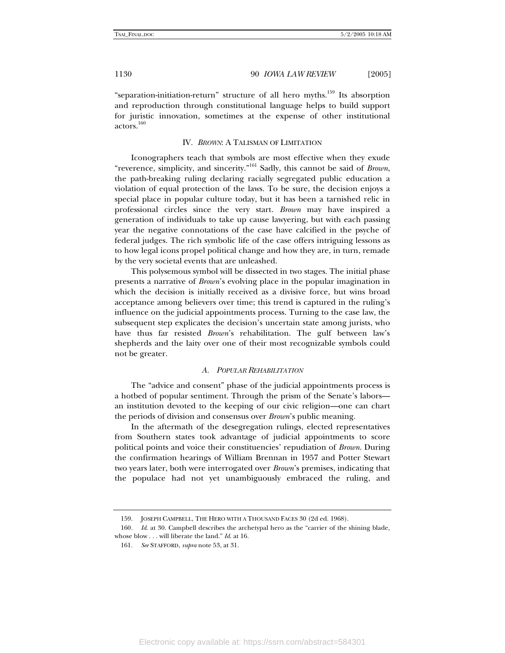"separation-initiation-return" structure of all hero myths.<sup>159</sup> Its absorption and reproduction through constitutional language helps to build support for juristic innovation, sometimes at the expense of other institutional actors.160

#### IV. *BROWN*: A TALISMAN OF LIMITATION

Iconographers teach that symbols are most effective when they exude "reverence, simplicity, and sincerity."161 Sadly, this cannot be said of *Brown*, the path-breaking ruling declaring racially segregated public education a violation of equal protection of the laws. To be sure, the decision enjoys a special place in popular culture today, but it has been a tarnished relic in professional circles since the very start. *Brown* may have inspired a generation of individuals to take up cause lawyering, but with each passing year the negative connotations of the case have calcified in the psyche of federal judges. The rich symbolic life of the case offers intriguing lessons as to how legal icons propel political change and how they are, in turn, remade by the very societal events that are unleashed.

This polysemous symbol will be dissected in two stages. The initial phase presents a narrative of *Brown*'s evolving place in the popular imagination in which the decision is initially received as a divisive force, but wins broad acceptance among believers over time; this trend is captured in the ruling's influence on the judicial appointments process. Turning to the case law, the subsequent step explicates the decision's uncertain state among jurists, who have thus far resisted *Brown*'s rehabilitation. The gulf between law's shepherds and the laity over one of their most recognizable symbols could not be greater.

### *A. POPULAR REHABILITATION*

The "advice and consent" phase of the judicial appointments process is a hotbed of popular sentiment. Through the prism of the Senate's labors an institution devoted to the keeping of our civic religion—one can chart the periods of division and consensus over *Brown*'s public meaning.

In the aftermath of the desegregation rulings, elected representatives from Southern states took advantage of judicial appointments to score political points and voice their constituencies' repudiation of *Brown*. During the confirmation hearings of William Brennan in 1957 and Potter Stewart two years later, both were interrogated over *Brown*'s premises, indicating that the populace had not yet unambiguously embraced the ruling, and

 <sup>159.</sup> JOSEPH CAMPBELL, THE HERO WITH A THOUSAND FACES 30 (2d ed. 1968).

<sup>160</sup>*. Id*. at 30. Campbell describes the archetypal hero as the "carrier of the shining blade, whose blow . . . will liberate the land." *Id*. at 16.

<sup>161</sup>*. See* STAFFORD, *supra* note 53, at 31.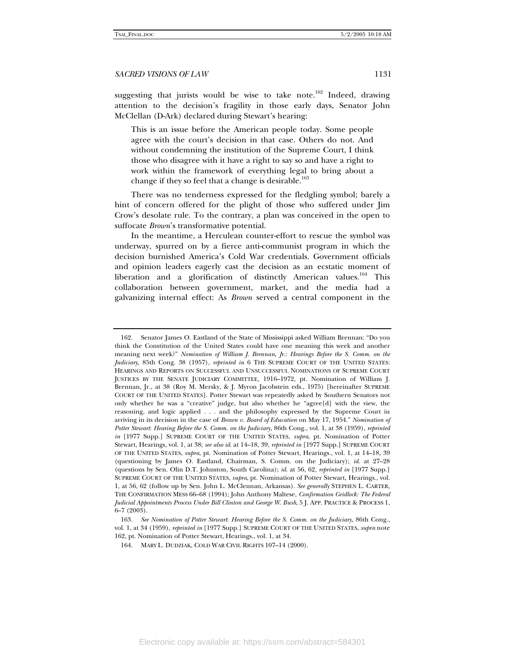suggesting that jurists would be wise to take note.<sup>162</sup> Indeed, drawing attention to the decision's fragility in those early days, Senator John McClellan (D-Ark) declared during Stewart's hearing:

This is an issue before the American people today. Some people agree with the court's decision in that case. Others do not. And without condemning the institution of the Supreme Court, I think those who disagree with it have a right to say so and have a right to work within the framework of everything legal to bring about a change if they so feel that a change is desirable.<sup>163</sup>

There was no tenderness expressed for the fledgling symbol; barely a hint of concern offered for the plight of those who suffered under Jim Crow's desolate rule. To the contrary, a plan was conceived in the open to suffocate *Brown*'s transformative potential.

In the meantime, a Herculean counter-effort to rescue the symbol was underway, spurred on by a fierce anti-communist program in which the decision burnished America's Cold War credentials. Government officials and opinion leaders eagerly cast the decision as an ecstatic moment of liberation and a glorification of distinctly American values.<sup>164</sup> This collaboration between government, market, and the media had a galvanizing internal effect: As *Brown* served a central component in the

 <sup>162.</sup> Senator James O. Eastland of the State of Mississippi asked William Brennan: "Do you think the Constitution of the United States could have one meaning this week and another meaning next week?" *Nomination of William J. Brennan, Jr.*: *Hearings Before the S. Comm. on the Judiciary,* 85th Cong. 38 (1957), *reprinted in* 6 THE SUPREME COURT OF THE UNITED STATES: HEARINGS AND REPORTS ON SUCCESSFUL AND UNSUCCESSFUL NOMINATIONS OF SUPREME COURT JUSTICES BY THE SENATE JUDICIARY COMMITTEE, 1916–1972, pt. Nomination of William J. Brennan, Jr., at 38 (Roy M. Mersky, & J. Myron Jacobstein eds., 1975) [hereinafter SUPREME COURT OF THE UNITED STATES]. Potter Stewart was repeatedly asked by Southern Senators not only whether he was a "creative" judge, but also whether he "agree[d] with the view, the reasoning, and logic applied . . . and the philosophy expressed by the Supreme Court in arriving in its decision in the case of *Brown v. Board of Education* on May 17, 1954." *Nomination of Potter Stewart*: *Hearing Before the S. Comm. on the Judiciary*, 86th Cong., vol. 1, at 38 (1959), *reprinted in* [1977 Supp.] SUPREME COURT OF THE UNITED STATES, *supra*, pt. Nomination of Potter Stewart, Hearings, vol. 1, at 38; *see also id*. at 14–18, 39, *reprinted in* [1977 Supp.] SUPREME COURT OF THE UNITED STATES, *supra*, pt. Nomination of Potter Stewart, Hearings., vol. 1, at 14–18, 39 (questioning by James O. Eastland, Chairman, S. Comm. on the Judiciary); *id*. at 27–28 (questions by Sen. Olin D.T. Johnston, South Carolina); *id*. at 56, 62, *reprinted in* [1977 Supp.] SUPREME COURT OF THE UNITED STATES, *supra*, pt. Nomination of Potter Stewart, Hearings., vol. 1, at 56, 62 (follow up by Sen. John L. McClennan, Arkansas). *See generally* STEPHEN L. CARTER, THE CONFIRMATION MESS 66–68 (1994); John Anthony Maltese, *Confirmation Gridlock: The Federal Judicial Appointments Process Under Bill Clinton and George W. Bush*, 5 J. APP. PRACTICE & PROCESS 1, 6–7 (2003).

<sup>163</sup>*. See Nomination of Potter Stewart*: *Hearing Before the S. Comm. on the Judiciary*, 86th Cong., vol. 1, at 34 (1959), *reprinted in* [1977 Supp.] SUPREME COURT OF THE UNITED STATES, *supra* note 162, pt. Nomination of Potter Stewart, Hearings., vol. 1, at 34.

 <sup>164.</sup> MARY L. DUDZIAK, COLD WAR CIVIL RIGHTS 107–14 (2000).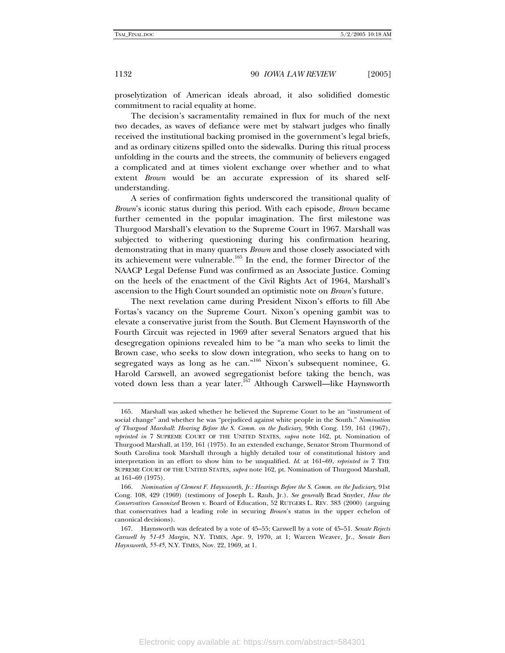proselytization of American ideals abroad, it also solidified domestic commitment to racial equality at home.

The decision's sacramentality remained in flux for much of the next two decades, as waves of defiance were met by stalwart judges who finally received the institutional backing promised in the government's legal briefs, and as ordinary citizens spilled onto the sidewalks. During this ritual process unfolding in the courts and the streets, the community of believers engaged a complicated and at times violent exchange over whether and to what extent *Brown* would be an accurate expression of its shared selfunderstanding.

A series of confirmation fights underscored the transitional quality of *Brown*'s iconic status during this period. With each episode, *Brown* became further cemented in the popular imagination. The first milestone was Thurgood Marshall's elevation to the Supreme Court in 1967. Marshall was subjected to withering questioning during his confirmation hearing, demonstrating that in many quarters *Brown* and those closely associated with its achievement were vulnerable.<sup>165</sup> In the end, the former Director of the NAACP Legal Defense Fund was confirmed as an Associate Justice. Coming on the heels of the enactment of the Civil Rights Act of 1964, Marshall's ascension to the High Court sounded an optimistic note on *Brown*'s future.

The next revelation came during President Nixon's efforts to fill Abe Fortas's vacancy on the Supreme Court. Nixon's opening gambit was to elevate a conservative jurist from the South. But Clement Haynsworth of the Fourth Circuit was rejected in 1969 after several Senators argued that his desegregation opinions revealed him to be "a man who seeks to limit the Brown case, who seeks to slow down integration, who seeks to hang on to segregated ways as long as he can."<sup>166</sup> Nixon's subsequent nominee, G. Harold Carswell, an avowed segregationist before taking the bench, was voted down less than a year later.167 Although Carswell—like Haynsworth

 <sup>165.</sup> Marshall was asked whether he believed the Supreme Court to be an "instrument of social change" and whether he was "prejudiced against white people in the South." *Nomination of Thurgood Marshall*: *Hearing Before the S. Comm. on the Judiciary*, 90th Cong. 159, 161 (1967), *reprinted in* 7 SUPREME COURT OF THE UNITED STATES, *supra* note 162, pt. Nomination of Thurgood Marshall, at 159, 161 (1975). In an extended exchange, Senator Strom Thurmond of South Carolina took Marshall through a highly detailed tour of constitutional history and interpretation in an effort to show him to be unqualified. *Id*. at 161–69, *reprinted in* 7 THE SUPREME COURT OF THE UNITED STATES, *supra* note 162, pt. Nomination of Thurgood Marshall, at 161–69 (1975).

<sup>166</sup>*. Nomination of Clement F. Haynsworth, Jr.: Hearings Before the S. Comm. on the Judiciary*, 91st Cong. 108, 429 (1969) (testimony of Joseph L. Rauh, Jr.). *See generally* Brad Snyder, *How the Conservatives Canonized* Brown v. Board of Education, 52 RUTGERS L. REV. 383 (2000) (arguing that conservatives had a leading role in securing *Brown*'s status in the upper echelon of canonical decisions).

 <sup>167.</sup> Haynsworth was defeated by a vote of 45–55; Carswell by a vote of 45–51. *Senate Rejects Carswell by 51-45 Margin*, N.Y. TIMES, Apr. 9, 1970, at 1; Warren Weaver, Jr., *Senate Bars Haynsworth*, *55-45*, N.Y. TIMES, Nov. 22, 1969, at 1.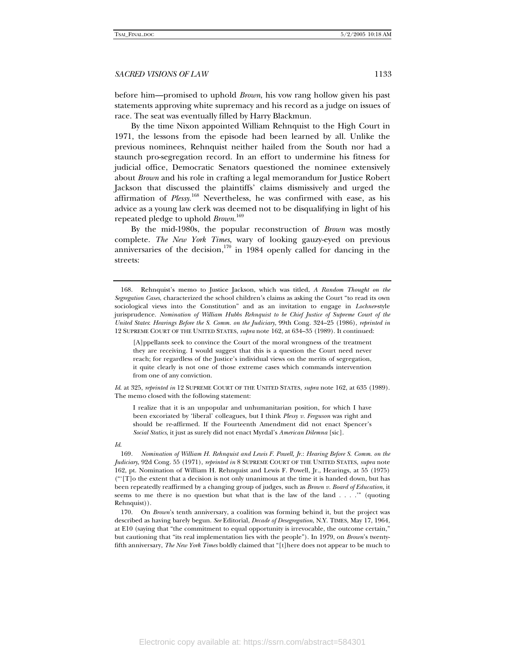before him—promised to uphold *Brown*, his vow rang hollow given his past statements approving white supremacy and his record as a judge on issues of race. The seat was eventually filled by Harry Blackmun.

By the time Nixon appointed William Rehnquist to the High Court in 1971, the lessons from the episode had been learned by all. Unlike the previous nominees, Rehnquist neither hailed from the South nor had a staunch pro-segregation record. In an effort to undermine his fitness for judicial office, Democratic Senators questioned the nominee extensively about *Brown* and his role in crafting a legal memorandum for Justice Robert Jackson that discussed the plaintiffs' claims dismissively and urged the affirmation of *Plessy*. 168 Nevertheless, he was confirmed with ease, as his advice as a young law clerk was deemed not to be disqualifying in light of his repeated pledge to uphold *Brown*. 169

By the mid-1980s, the popular reconstruction of *Brown* was mostly complete. *The New York Times*, wary of looking gauzy-eyed on previous anniversaries of the decision,<sup>170</sup> in 1984 openly called for dancing in the streets:

[A]ppellants seek to convince the Court of the moral wrongness of the treatment they are receiving. I would suggest that this is a question the Court need never reach; for regardless of the Justice's individual views on the merits of segregation, it quite clearly is not one of those extreme cases which commands intervention from one of any conviction.

*Id*. at 325, *reprinted in* 12 SUPREME COURT OF THE UNITED STATES, *supra* note 162, at 635 (1989). The memo closed with the following statement:

I realize that it is an unpopular and unhumanitarian position, for which I have been excoriated by 'liberal' colleagues, but I think *Plessy v. Ferguson* was right and should be re-affirmed. If the Fourteenth Amendment did not enact Spencer's *Social Statics*, it just as surely did not enact Myrdal's *American Dilemna* [sic].

#### *Id*.

169*. Nomination of William H. Rehnquist and Lewis F. Powell, Jr.*: *Hearing Before S. Comm. on the Judiciary*, 92d Cong. 55 (1971), *reprinted in* 8 SUPREME COURT OF THE UNITED STATES, *supra* note 162, pt. Nomination of William H. Rehnquist and Lewis F. Powell, Jr., Hearings, at 55 (1975)  $("T]o$  the extent that a decision is not only unanimous at the time it is handed down, but has been repeatedly reaffirmed by a changing group of judges, such as *Brown v. Board of Education*, it seems to me there is no question but what that is the law of the land . . . .'" (quoting Rehnquist)).

 170. On *Brown*'s tenth anniversary, a coalition was forming behind it, but the project was described as having barely begun. *See* Editorial, *Decade of Desegregation*, N.Y. TIMES, May 17, 1964, at E10 (saying that "the commitment to equal opportunity is irrevocable, the outcome certain," but cautioning that "its real implementation lies with the people"). In 1979, on *Brown*'s twentyfifth anniversary, *The New York Times* boldly claimed that "[t]here does not appear to be much to

 <sup>168.</sup> Rehnquist's memo to Justice Jackson, which was titled, *A Random Thought on the Segregation Cases*, characterized the school children's claims as asking the Court "to read its own sociological views into the Constitution" and as an invitation to engage in *Lochner*-style jurisprudence. *Nomination of William Hubbs Rehnquist to be Chief Justice of Supreme Court of the United States*: *Hearings Before the S. Comm. on the Judiciary*, 99th Cong. 324–25 (1986), *reprinted in*  12 SUPREME COURT OF THE UNITED STATES, *supra* note 162, at 634–35 (1989). It continued: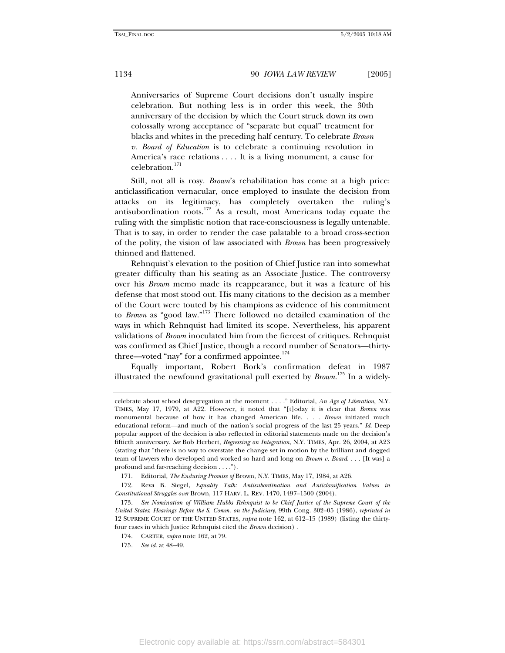Anniversaries of Supreme Court decisions don't usually inspire celebration. But nothing less is in order this week, the 30th anniversary of the decision by which the Court struck down its own colossally wrong acceptance of "separate but equal" treatment for blacks and whites in the preceding half century. To celebrate *Brown v. Board of Education* is to celebrate a continuing revolution in America's race relations . . . . It is a living monument, a cause for celebration.171

Still, not all is rosy. *Brown*'s rehabilitation has come at a high price: anticlassification vernacular, once employed to insulate the decision from attacks on its legitimacy, has completely overtaken the ruling's antisubordination roots.<sup>172</sup> As a result, most Americans today equate the ruling with the simplistic notion that race-consciousness is legally untenable. That is to say, in order to render the case palatable to a broad cross-section of the polity, the vision of law associated with *Brown* has been progressively thinned and flattened.

Rehnquist's elevation to the position of Chief Justice ran into somewhat greater difficulty than his seating as an Associate Justice. The controversy over his *Brown* memo made its reappearance, but it was a feature of his defense that most stood out. His many citations to the decision as a member of the Court were touted by his champions as evidence of his commitment to *Brown* as "good law."173 There followed no detailed examination of the ways in which Rehnquist had limited its scope. Nevertheless, his apparent validations of *Brown* inoculated him from the fiercest of critiques. Rehnquist was confirmed as Chief Justice, though a record number of Senators—thirtythree—voted "nay" for a confirmed appointee. $174$ 

Equally important, Robert Bork's confirmation defeat in 1987 illustrated the newfound gravitational pull exerted by *Brown*. 175 In a widely-

celebrate about school desegregation at the moment . . . ." Editorial, *An Age of Liberation*, N.Y. TIMES, May 17, 1979, at A22. However, it noted that "[t]oday it is clear that *Brown* was monumental because of how it has changed American life. . . . *Brown* initiated much educational reform—and much of the nation's social progress of the last 25 years." *Id*. Deep popular support of the decision is also reflected in editorial statements made on the decision's fiftieth anniversary. *See* Bob Herbert, *Regressing on Integration*, N.Y. TIMES, Apr. 26, 2004, at A23 (stating that "there is no way to overstate the change set in motion by the brilliant and dogged team of lawyers who developed and worked so hard and long on *Brown v. Board*. . . . [It was] a profound and far-reaching decision . . . .").

 <sup>171.</sup> Editorial, *The Enduring Promise of* Brown, N.Y. TIMES, May 17, 1984, at A26.

 <sup>172.</sup> Reva B. Siegel, *Equality Talk: Antisubordination and Anticlassification Values in Constitutional Struggles over* Brown, 117 HARV. L. REV. 1470, 1497–1500 (2004).

<sup>173</sup>*. See Nomination of William Hubbs Rehnquist to be Chief Justice of the Supreme Court of the United States*: *Hearings Before the S. Comm. on the Judiciary*, 99th Cong. 302–05 (1986), *reprinted in*  12 SUPREME COURT OF THE UNITED STATES, *supra* note 162, at 612–15 (1989) (listing the thirtyfour cases in which Justice Rehnquist cited the *Brown* decision) .

 <sup>174.</sup> CARTER, *supra* note 162, at 79.

<sup>175</sup>*. See id*. at 48–49.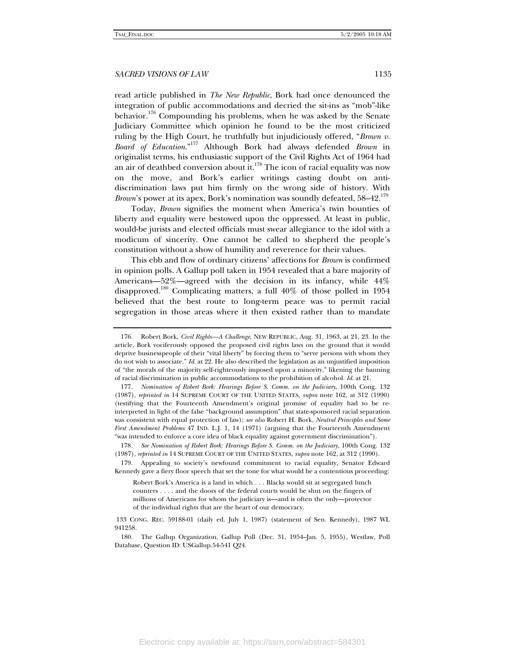read article published in *The New Republic*, Bork had once denounced the integration of public accommodations and decried the sit-ins as "mob"-like behavior.<sup>176</sup> Compounding his problems, when he was asked by the Senate Judiciary Committee which opinion he found to be the most criticized ruling by the High Court, he truthfully but injudiciously offered, "*Brown v. Board of Education*."177 Although Bork had always defended *Brown* in originalist terms, his enthusiastic support of the Civil Rights Act of 1964 had an air of deathbed conversion about it.<sup>178</sup> The icon of racial equality was now on the move, and Bork's earlier writings casting doubt on antidiscrimination laws put him firmly on the wrong side of history. With *Brown*'s power at its apex, Bork's nomination was soundly defeated, 58–42.<sup>179</sup>

Today, *Brown* signifies the moment when America's twin bounties of liberty and equality were bestowed upon the oppressed. At least in public, would-be jurists and elected officials must swear allegiance to the idol with a modicum of sincerity. One cannot be called to shepherd the people's constitution without a show of humility and reverence for their values.

This ebb and flow of ordinary citizens' affections for *Brown* is confirmed in opinion polls. A Gallup poll taken in 1954 revealed that a bare majority of Americans—52%—agreed with the decision in its infancy, while 44% disapproved.<sup>180</sup> Complicating matters, a full  $40\%$  of those polled in 1954 believed that the best route to long-term peace was to permit racial segregation in those areas where it then existed rather than to mandate

 <sup>176.</sup> Robert Bork, *Civil Rights—A Challenge*, NEW REPUBLIC, Aug. 31, 1963, at 21, 23. In the article, Bork vociferously opposed the proposed civil rights laws on the ground that it would deprive businesspeople of their "vital liberty" by forcing them to "serve persons with whom they do not wish to associate." *Id*. at 22. He also described the legislation as an unjustified imposition of "the morals of the majority self-righteously imposed upon a minority," likening the banning of racial discrimination in public accommodations to the prohibition of alcohol. *Id*. at 21.

<sup>177</sup>*. Nomination of Robert Bork: Hearings Before S. Comm. on the Judiciary*, 100th Cong. 132 (1987), *reprinted in* 14 SUPREME COURT OF THE UNITED STATES, *supra* note 162, at 312 (1990) (testifying that the Fourteenth Amendment's original promise of equality had to be reinterpreted in light of the false "background assumption" that state-sponsored racial separation was consistent with equal protection of law); *see also* Robert H. Bork, *Neutral Principles and Some First Amendment Problems* 47 IND. L.J. 1, 14 (1971) (arguing that the Fourteenth Amendment "was intended to enforce a core idea of black equality against government discrimination").

<sup>178</sup>*. See Nomination of Robert Bork: Hearings Before S. Comm. on the Judiciary*, 100th Cong. 132 (1987), *reprinted in* 14 SUPREME COURT OF THE UNITED STATES, *supra* note 162, at 312 (1990).

 <sup>179.</sup> Appealing to society's newfound commitment to racial equality, Senator Edward Kennedy gave a fiery floor speech that set the tone for what would be a contentious proceeding:

Robert Bork's America is a land in which . . . Blacks would sit at segregated lunch counters . . . . and the doors of the federal courts would be shut on the fingers of millions of Americans for whom the judiciary is—and is often the only—protector of the individual rights that are the heart of our democracy.

 <sup>133</sup> CONG. REC. 59188-01 (daily ed. July 1, 1987) (statement of Sen. Kennedy), 1987 WL 941258.

 <sup>180.</sup> The Gallup Organization, Gallup Poll (Dec. 31, 1954–Jan. 5, 1955), Westlaw, Poll Database, Question ID: USGallup.54-541 Q24.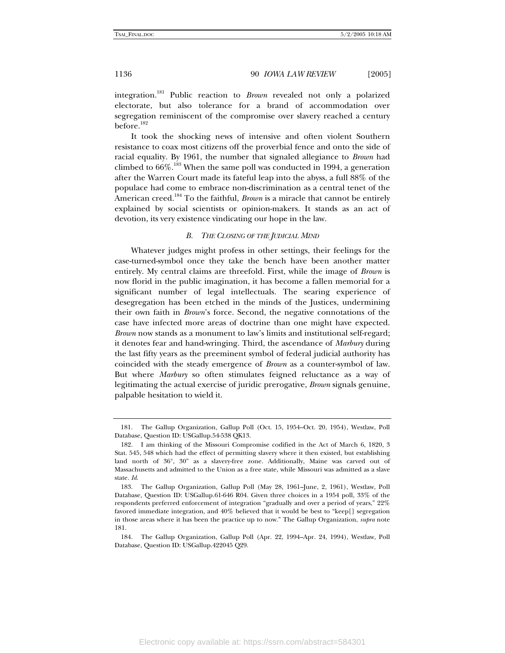integration.181 Public reaction to *Brown* revealed not only a polarized electorate, but also tolerance for a brand of accommodation over segregation reminiscent of the compromise over slavery reached a century before.<sup>182</sup>

It took the shocking news of intensive and often violent Southern resistance to coax most citizens off the proverbial fence and onto the side of racial equality. By 1961, the number that signaled allegiance to *Brown* had climbed to  $66\%$ <sup>183</sup> When the same poll was conducted in 1994, a generation after the Warren Court made its fateful leap into the abyss, a full 88% of the populace had come to embrace non-discrimination as a central tenet of the American creed.<sup>184</sup> To the faithful, *Brown* is a miracle that cannot be entirely explained by social scientists or opinion-makers. It stands as an act of devotion, its very existence vindicating our hope in the law.

#### *B. THE CLOSING OF THE JUDICIAL MIND*

Whatever judges might profess in other settings, their feelings for the case-turned-symbol once they take the bench have been another matter entirely. My central claims are threefold. First, while the image of *Brown* is now florid in the public imagination, it has become a fallen memorial for a significant number of legal intellectuals. The searing experience of desegregation has been etched in the minds of the Justices, undermining their own faith in *Brown*'s force. Second, the negative connotations of the case have infected more areas of doctrine than one might have expected. *Brown* now stands as a monument to law's limits and institutional self-regard; it denotes fear and hand-wringing. Third, the ascendance of *Marbury* during the last fifty years as the preeminent symbol of federal judicial authority has coincided with the steady emergence of *Brown* as a counter-symbol of law. But where *Marbury* so often stimulates feigned reluctance as a way of legitimating the actual exercise of juridic prerogative, *Brown* signals genuine, palpable hesitation to wield it.

 <sup>181.</sup> The Gallup Organization, Gallup Poll (Oct. 15, 1954–Oct. 20, 1954), Westlaw, Poll Database, Question ID: USGallup.54-538 QK13.

 <sup>182.</sup> I am thinking of the Missouri Compromise codified in the Act of March 6, 1820, 3 Stat. 545, 548 which had the effect of permitting slavery where it then existed, but establishing land north of 36°, 30" as a slavery-free zone. Additionally, Maine was carved out of Massachusetts and admitted to the Union as a free state, while Missouri was admitted as a slave state. *Id*.

 <sup>183.</sup> The Gallup Organization, Gallup Poll (May 28, 1961–June, 2, 1961), Westlaw, Poll Database, Question ID: USGallup.61-646 R04. Given three choices in a 1954 poll, 33% of the respondents preferred enforcement of integration "gradually and over a period of years," 22% favored immediate integration, and 40% believed that it would be best to "keep[] segregation in those areas where it has been the practice up to now." The Gallup Organization, *supra* note 181.

 <sup>184.</sup> The Gallup Organization, Gallup Poll (Apr. 22, 1994–Apr. 24, 1994), Westlaw, Poll Database, Question ID: USGallup.422045 Q29.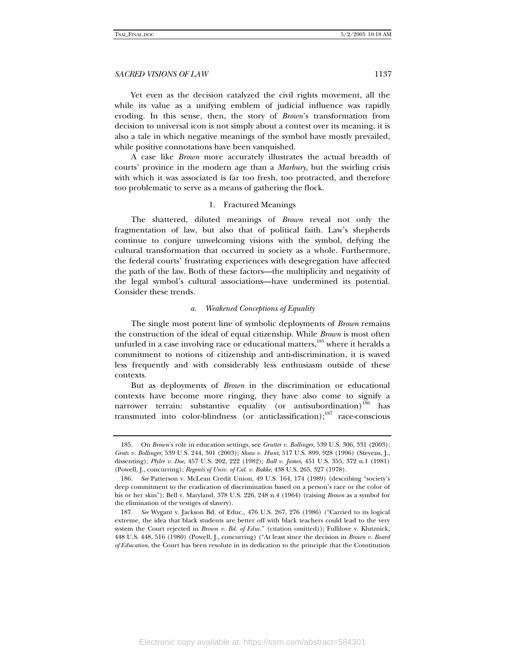Yet even as the decision catalyzed the civil rights movement, all the while its value as a unifying emblem of judicial influence was rapidly eroding. In this sense, then, the story of *Brown*'s transformation from decision to universal icon is not simply about a contest over its meaning, it is also a tale in which negative meanings of the symbol have mostly prevailed, while positive connotations have been vanquished.

A case like *Brown* more accurately illustrates the actual breadth of courts' province in the modern age than a *Marbury*, but the swirling crisis with which it was associated is far too fresh, too protracted, and therefore too problematic to serve as a means of gathering the flock.

#### 1. Fractured Meanings

The shattered, diluted meanings of *Brown* reveal not only the fragmentation of law, but also that of political faith. Law's shepherds continue to conjure unwelcoming visions with the symbol, defying the cultural transformation that occurred in society as a whole. Furthermore, the federal courts' frustrating experiences with desegregation have affected the path of the law. Both of these factors—the multiplicity and negativity of the legal symbol's cultural associations—have undermined its potential. Consider these trends.

#### *a. Weakened Conceptions of Equality*

The single most potent line of symbolic deployments of *Brown* remains the construction of the ideal of equal citizenship. While *Brown* is most often unfurled in a case involving race or educational matters, $185$  where it heralds a commitment to notions of citizenship and anti-discrimination, it is waved less frequently and with considerably less enthusiasm outside of these contexts.

But as deployments of *Brown* in the discrimination or educational contexts have become more ringing, they have also come to signify a narrower terrain: substantive equality (or antisubordination)<sup>186</sup> has transmuted into color-blindness (or anticlassification); $187$  race-conscious

 <sup>185.</sup> On *Brown*'s role in education settings, see *Grutter v. Bollinger*, 539 U.S. 306, 331 (2003); *Gratz v. Bollinger*, 539 U.S. 244, 301 (2003); *Shaw v. Hunt*, 517 U.S. 899, 928 (1996) (Stevens, J., dissenting); *Plyler v. Doe*, 457 U.S. 202, 222 (1982); *Ball v. James*, 451 U.S. 355, 372 n.1 (1981) (Powell, J., concurring); *Regents of Univ. of Cal. v. Bakke*, 438 U.S. 265, 327 (1978).

<sup>186</sup>*. See* Patterson v. McLean Credit Union, 49 U.S. 164, 174 (1989) (describing "society's deep commitment to the eradication of discrimination based on a person's race or the color of his or her skin"); Bell v. Maryland, 378 U.S. 226, 248 n.4 (1964) (raising *Brown* as a symbol for the elimination of the vestiges of slavery).

<sup>187</sup>*. See* Wygant v. Jackson Bd. of Educ., 476 U.S. 267, 276 (1986) ("Carried to its logical extreme, the idea that black students are better off with black teachers could lead to the very system the Court rejected in *Brown v. Bd. of Educ.*" (citation omitted)); Fullilove v. Klutznick, 448 U.S. 448, 516 (1980) (Powell, J., concurring) ("At least since the decision in *Brown v. Board of Education*, the Court has been resolute in its dedication to the principle that the Constitution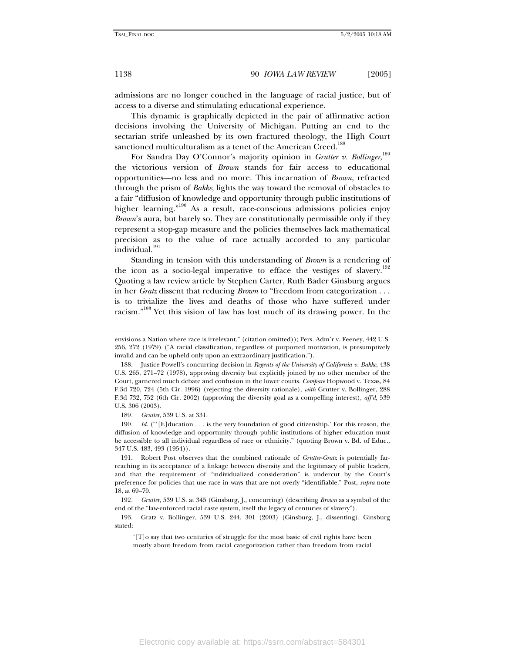admissions are no longer couched in the language of racial justice, but of access to a diverse and stimulating educational experience.

This dynamic is graphically depicted in the pair of affirmative action decisions involving the University of Michigan. Putting an end to the sectarian strife unleashed by its own fractured theology, the High Court sanctioned multiculturalism as a tenet of the American Creed.<sup>188</sup>

For Sandra Day O'Connor's majority opinion in *Grutter v. Bollinger*, 189 the victorious version of *Brown* stands for fair access to educational opportunities—no less and no more. This incarnation of *Brown*, refracted through the prism of *Bakke*, lights the way toward the removal of obstacles to a fair "diffusion of knowledge and opportunity through public institutions of higher learning."<sup>190</sup> As a result, race-conscious admissions policies enjoy *Brown*'s aura, but barely so. They are constitutionally permissible only if they represent a stop-gap measure and the policies themselves lack mathematical precision as to the value of race actually accorded to any particular individual.<sup>191</sup>

Standing in tension with this understanding of *Brown* is a rendering of the icon as a socio-legal imperative to efface the vestiges of slavery.<sup>192</sup> Quoting a law review article by Stephen Carter, Ruth Bader Ginsburg argues in her *Gratz* dissent that reducing *Brown* to "freedom from categorization . . . is to trivialize the lives and deaths of those who have suffered under racism."<sup>193</sup> Yet this vision of law has lost much of its drawing power. In the

189*. Grutter*, 539 U.S. at 331.

190*. Id*. ("'[E]ducation . . . is the very foundation of good citizenship.' For this reason, the diffusion of knowledge and opportunity through public institutions of higher education must be accessible to all individual regardless of race or ethnicity." (quoting Brown v. Bd. of Educ., 347 U.S. 483, 493 (1954)).

 191. Robert Post observes that the combined rationale of *Grutter-Gratz* is potentially farreaching in its acceptance of a linkage between diversity and the legitimacy of public leaders, and that the requirement of "individualized consideration" is undercut by the Court's preference for policies that use race in ways that are not overly "identifiable." Post, *supra* note 18, at 69–70.

192*. Grutter*, 539 U.S. at 345 (Ginsburg, J., concurring) (describing *Brown* as a symbol of the end of the "law-enforced racial caste system, itself the legacy of centuries of slavery").

 193. Gratz v. Bollinger, 539 U.S. 244, 301 (2003) (Ginsburg, J., dissenting). Ginsburg stated:

'[T]o say that two centuries of struggle for the most basic of civil rights have been mostly about freedom from racial categorization rather than freedom from racial

Electronic copy available at: https://ssrn.com/abstract=584301

envisions a Nation where race is irrelevant." (citation omitted)); Pers. Adm'r v. Feeney, 442 U.S. 256, 272 (1979) ("A racial classification, regardless of purported motivation, is presumptively invalid and can be upheld only upon an extraordinary justification.").

 <sup>188.</sup> Justice Powell's concurring decision in *Regents of the University of California v. Bakke*, 438 U.S. 265, 271–72 (1978), approving diversity but explicitly joined by no other member of the Court, garnered much debate and confusion in the lower courts. *Compare* Hopwood v. Texas, 84 F.3d 720, 724 (5th Cir. 1996) (rejecting the diversity rationale), *with* Grutter v. Bollinger, 288 F.3d 732, 752 (6th Cir. 2002) (approving the diversity goal as a compelling interest), *aff'd*, 539 U.S. 306 (2003).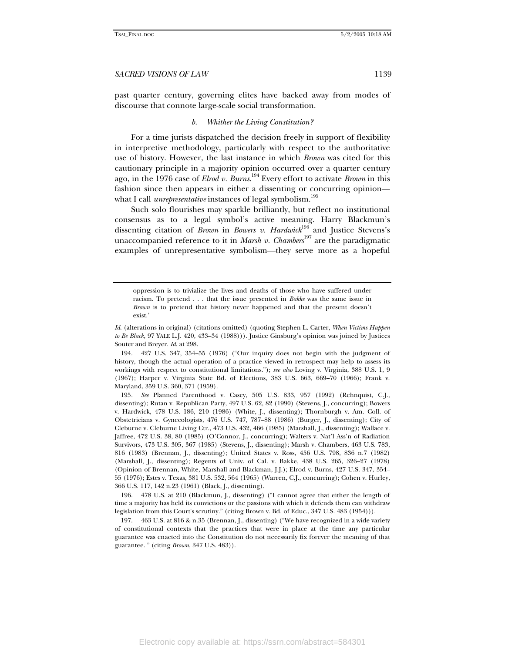past quarter century, governing elites have backed away from modes of discourse that connote large-scale social transformation.

#### *b. Whither the Living Constitution?*

For a time jurists dispatched the decision freely in support of flexibility in interpretive methodology, particularly with respect to the authoritative use of history. However, the last instance in which *Brown* was cited for this cautionary principle in a majority opinion occurred over a quarter century ago, in the 1976 case of *Elrod v. Burns*. 194 Every effort to activate *Brown* in this fashion since then appears in either a dissenting or concurring opinion what I call *unrepresentative* instances of legal symbolism.<sup>195</sup>

Such solo flourishes may sparkle brilliantly, but reflect no institutional consensus as to a legal symbol's active meaning. Harry Blackmun's dissenting citation of *Brown* in *Bowers v. Hardwick*<sup>196</sup> and Justice Stevens's unaccompanied reference to it in *Marsh v. Chambers*<sup>197</sup> are the paradigmatic examples of unrepresentative symbolism—they serve more as a hopeful

 194. 427 U.S. 347, 354–55 (1976) ("Our inquiry does not begin with the judgment of history, though the actual operation of a practice viewed in retrospect may help to assess its workings with respect to constitutional limitations."); *see also* Loving v. Virginia, 388 U.S. 1, 9 (1967); Harper v. Virginia State Bd. of Elections, 383 U.S. 663, 669–70 (1966); Frank v. Maryland, 359 U.S. 360, 371 (1959).

195*. See* Planned Parenthood v. Casey, 505 U.S. 833, 957 (1992) (Rehnquist, C.J., dissenting); Rutan v. Republican Party, 497 U.S. 62, 82 (1990) (Stevens, J., concurring); Bowers v. Hardwick, 478 U.S. 186, 210 (1986) (White, J., dissenting); Thornburgh v. Am. Coll. of Obstetricians v. Gynecologists, 476 U.S. 747, 787–88 (1986) (Burger, J., dissenting); City of Cleburne v. Cleburne Living Ctr., 473 U.S. 432, 466 (1985) (Marshall, J., dissenting); Wallace v. Jaffree, 472 U.S. 38, 80 (1985) (O'Connor, J., concurring); Walters v. Nat'l Ass'n of Radiation Survivors, 473 U.S. 305, 367 (1985) (Stevens, J., dissenting); Marsh v. Chambers, 463 U.S. 783, 816 (1983) (Brennan, J., dissenting); United States v. Ross, 456 U.S. 798, 836 n.7 (1982) (Marshall, J., dissenting); Regents of Univ. of Cal. v. Bakke, 438 U.S. 265, 326–27 (1978) (Opinion of Brennan, White, Marshall and Blackman, J.J.); Elrod v. Burns, 427 U.S. 347, 354– 55 (1976); Estes v. Texas, 381 U.S. 532, 564 (1965) (Warren, C.J., concurring); Cohen v. Hurley, 366 U.S. 117, 142 n.23 (1961) (Black, J., dissenting).

 196. 478 U.S. at 210 (Blackmun, J., dissenting) ("I cannot agree that either the length of time a majority has held its convictions or the passions with which it defends them can withdraw legislation from this Court's scrutiny." (citing Brown v. Bd. of Educ., 347 U.S. 483 (1954))).

 197. 463 U.S. at 816 & n.35 (Brennan, J., dissenting) ("We have recognized in a wide variety of constitutional contexts that the practices that were in place at the time any particular guarantee was enacted into the Constitution do not necessarily fix forever the meaning of that guarantee. " (citing *Brown*, 347 U.S. 483)).

oppression is to trivialize the lives and deaths of those who have suffered under racism. To pretend . . . that the issue presented in *Bakke* was the same issue in *Brown* is to pretend that history never happened and that the present doesn't exist.'

*Id*. (alterations in original) (citations omitted) (quoting Stephen L. Carter, *When Victims Happen to Be Black*, 97 YALE L.J. 420, 433–34 (1988))). Justice Ginsburg's opinion was joined by Justices Souter and Breyer. *Id*. at 298.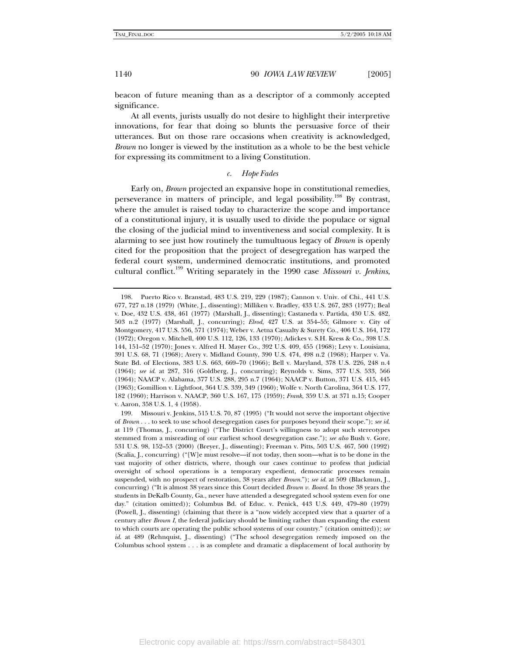beacon of future meaning than as a descriptor of a commonly accepted significance.

At all events, jurists usually do not desire to highlight their interpretive innovations, for fear that doing so blunts the persuasive force of their utterances. But on those rare occasions when creativity is acknowledged, *Brown* no longer is viewed by the institution as a whole to be the best vehicle for expressing its commitment to a living Constitution.

#### *c. Hope Fades*

Early on, *Brown* projected an expansive hope in constitutional remedies, perseverance in matters of principle, and legal possibility.<sup>198</sup> By contrast, where the amulet is raised today to characterize the scope and importance of a constitutional injury, it is usually used to divide the populace or signal the closing of the judicial mind to inventiveness and social complexity. It is alarming to see just how routinely the tumultuous legacy of *Brown* is openly cited for the proposition that the project of desegregation has warped the federal court system, undermined democratic institutions, and promoted cultural conflict.199 Writing separately in the 1990 case *Missouri v. Jenkins*,

 <sup>198.</sup> Puerto Rico v. Branstad, 483 U.S. 219, 229 (1987); Cannon v. Univ. of Chi., 441 U.S. 677, 727 n.18 (1979) (White, J., dissenting); Milliken v. Bradley, 433 U.S. 267, 283 (1977); Beal v. Doe, 432 U.S. 438, 461 (1977) (Marshall, J., dissenting); Castaneda v. Partida, 430 U.S. 482, 503 n.2 (1977) (Marshall, J., concurring); *Elrod*, 427 U.S. at 354–55; Gilmore v. City of Montgomery, 417 U.S. 556, 571 (1974); Weber v. Aetna Casualty & Surety Co., 406 U.S. 164, 172 (1972); Oregon v. Mitchell, 400 U.S. 112, 126, 133 (1970); Adickes v. S.H. Kress & Co., 398 U.S. 144, 151–52 (1970); Jones v. Alfred H. Mayer Co., 392 U.S. 409, 455 (1968); Levy v. Louisiana, 391 U.S. 68, 71 (1968); Avery v. Midland County, 390 U.S. 474, 498 n.2 (1968); Harper v. Va. State Bd. of Elections, 383 U.S. 663, 669–70 (1966); Bell v. Maryland, 378 U.S. 226, 248 n.4 (1964); *see id*. at 287, 316 (Goldberg, J., concurring); Reynolds v. Sims, 377 U.S. 533, 566 (1964); NAACP v. Alabama, 377 U.S. 288, 295 n.7 (1964); NAACP v. Button, 371 U.S. 415, 445 (1963); Gomillion v. Lightfoot, 364 U.S. 339, 349 (1960); Wolfe v. North Carolina, 364 U.S. 177, 182 (1960); Harrison v. NAACP, 360 U.S. 167, 175 (1959); *Frank*, 359 U.S. at 371 n.15; Cooper v. Aaron, 358 U.S. 1, 4 (1958).

 <sup>199.</sup> Missouri v. Jenkins, 515 U.S. 70, 87 (1995) ("It would not serve the important objective of *Brown* . . . to seek to use school desegregation cases for purposes beyond their scope."); *see id*. at 119 (Thomas, J., concurring) ("The District Court's willingness to adopt such stereotypes stemmed from a misreading of our earliest school desegregation case."); *see also* Bush v. Gore, 531 U.S. 98, 152–53 (2000) (Breyer, J., dissenting); Freeman v. Pitts, 503 U.S. 467, 500 (1992) (Scalia, J., concurring) ("[W]e must resolve—if not today, then soon—what is to be done in the vast majority of other districts, where, though our cases continue to profess that judicial oversight of school operations is a temporary expedient, democratic processes remain suspended, with no prospect of restoration, 38 years after *Brown*."); *see id*. at 509 (Blackmun, J., concurring) ("It is almost 38 years since this Court decided *Brown v. Board*. In those 38 years the students in DeKalb County, Ga., never have attended a desegregated school system even for one day." (citation omitted)); Columbus Bd. of Educ. v. Penick, 443 U.S. 449, 479–80 (1979) (Powell, J., dissenting) (claiming that there is a "now widely accepted view that a quarter of a century after *Brown I*, the federal judiciary should be limiting rather than expanding the extent to which courts are operating the public school systems of our country." (citation omitted)); *see id.* at 489 (Rehnquist, J., dissenting) ("The school desegregation remedy imposed on the Columbus school system . . . is as complete and dramatic a displacement of local authority by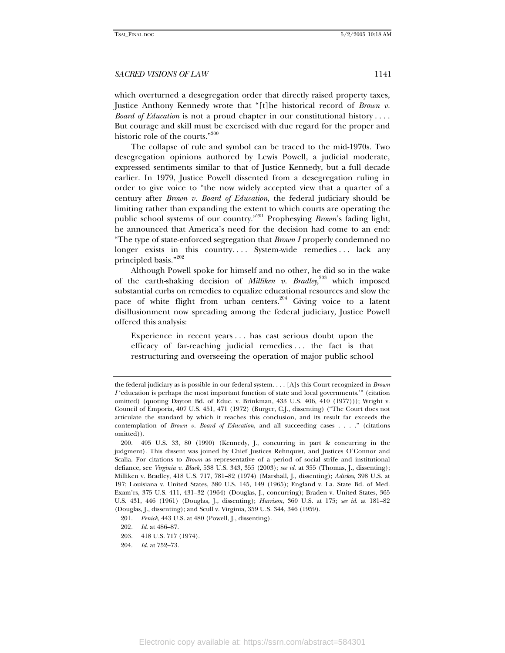which overturned a desegregation order that directly raised property taxes, Justice Anthony Kennedy wrote that "[t]he historical record of *Brown v. Board of Education* is not a proud chapter in our constitutional history . . . . But courage and skill must be exercised with due regard for the proper and historic role of the courts."200

The collapse of rule and symbol can be traced to the mid-1970s. Two desegregation opinions authored by Lewis Powell, a judicial moderate, expressed sentiments similar to that of Justice Kennedy, but a full decade earlier. In 1979, Justice Powell dissented from a desegregation ruling in order to give voice to "the now widely accepted view that a quarter of a century after *Brown v. Board of Education*, the federal judiciary should be limiting rather than expanding the extent to which courts are operating the public school systems of our country."201 Prophesying *Brown*'s fading light, he announced that America's need for the decision had come to an end: "The type of state-enforced segregation that *Brown I* properly condemned no longer exists in this country.... System-wide remedies... lack any principled basis."<sup>202</sup>

Although Powell spoke for himself and no other, he did so in the wake of the earth-shaking decision of *Milliken v. Bradley*,<sup>203</sup> which imposed substantial curbs on remedies to equalize educational resources and slow the pace of white flight from urban centers.<sup>204</sup> Giving voice to a latent disillusionment now spreading among the federal judiciary, Justice Powell offered this analysis:

Experience in recent years . . . has cast serious doubt upon the efficacy of far-reaching judicial remedies . . . the fact is that restructuring and overseeing the operation of major public school

the federal judiciary as is possible in our federal system. . . . [A]s this Court recognized in *Brown I* 'education is perhaps the most important function of state and local governments.'" (citation omitted) (quoting Dayton Bd. of Educ. v. Brinkman, 433 U.S. 406, 410 (1977))); Wright v. Council of Emporia, 407 U.S. 451, 471 (1972) (Burger, C.J., dissenting) ("The Court does not articulate the standard by which it reaches this conclusion, and its result far exceeds the contemplation of *Brown v. Board of Education*, and all succeeding cases . . . ." (citations omitted)).

 <sup>200. 495</sup> U.S. 33, 80 (1990) (Kennedy, J., concurring in part & concurring in the judgment). This dissent was joined by Chief Justices Rehnquist, and Justices O'Connor and Scalia. For citations to *Brown* as representative of a period of social strife and institutional defiance, see *Virginia v. Black*, 538 U.S. 343, 355 (2003); *see id*. at 355 (Thomas, J., dissenting); Milliken v. Bradley, 418 U.S. 717, 781–82 (1974) (Marshall, J., dissenting); *Adickes*, 398 U.S. at 197; Louisiana v. United States, 380 U.S. 145, 149 (1965); England v. La. State Bd. of Med. Exam'rs, 375 U.S. 411, 431–32 (1964) (Douglas, J., concurring); Braden v. United States, 365 U.S. 431, 446 (1961) (Douglas, J., dissenting); *Harrison*, 360 U.S. at 175; *see id*. at 181–82 (Douglas, J., dissenting); and Scull v. Virginia, 359 U.S. 344, 346 (1959).

<sup>201</sup>*. Penick*, 443 U.S. at 480 (Powell, J., dissenting).

<sup>202</sup>*. Id*. at 486–87.

 <sup>203. 418</sup> U.S. 717 (1974).

 <sup>204.</sup> *Id.* at 752–73.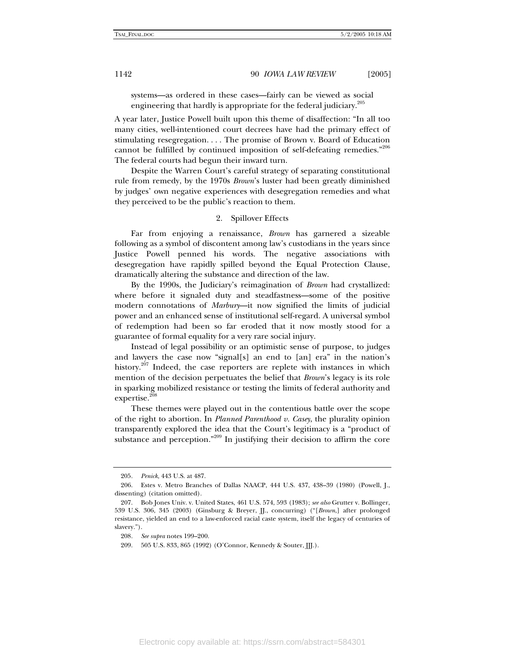systems—as ordered in these cases—fairly can be viewed as social engineering that hardly is appropriate for the federal judiciary.<sup>205</sup>

A year later, Justice Powell built upon this theme of disaffection: "In all too many cities, well-intentioned court decrees have had the primary effect of stimulating resegregation. . . . The promise of Brown v. Board of Education cannot be fulfilled by continued imposition of self-defeating remedies."206 The federal courts had begun their inward turn.

Despite the Warren Court's careful strategy of separating constitutional rule from remedy, by the 1970s *Brown*'s luster had been greatly diminished by judges' own negative experiences with desegregation remedies and what they perceived to be the public's reaction to them.

#### 2. Spillover Effects

Far from enjoying a renaissance, *Brown* has garnered a sizeable following as a symbol of discontent among law's custodians in the years since Justice Powell penned his words. The negative associations with desegregation have rapidly spilled beyond the Equal Protection Clause, dramatically altering the substance and direction of the law.

By the 1990s, the Judiciary's reimagination of *Brown* had crystallized: where before it signaled duty and steadfastness—some of the positive modern connotations of *Marbury*—it now signified the limits of judicial power and an enhanced sense of institutional self-regard. A universal symbol of redemption had been so far eroded that it now mostly stood for a guarantee of formal equality for a very rare social injury.

Instead of legal possibility or an optimistic sense of purpose, to judges and lawyers the case now "signal[s] an end to [an] era" in the nation's history.<sup>207</sup> Indeed, the case reporters are replete with instances in which mention of the decision perpetuates the belief that *Brown*'s legacy is its role in sparking mobilized resistance or testing the limits of federal authority and expertise. $20$ 

These themes were played out in the contentious battle over the scope of the right to abortion. In *Planned Parenthood v. Casey*, the plurality opinion transparently explored the idea that the Court's legitimacy is a "product of substance and perception."<sup>209</sup> In justifying their decision to affirm the core

<sup>205</sup>*. Penick*, 443 U.S. at 487.

 <sup>206.</sup> Estes v. Metro Branches of Dallas NAACP, 444 U.S. 437, 438–39 (1980) (Powell, J., dissenting) (citation omitted).

 <sup>207.</sup> Bob Jones Univ. v. United States, 461 U.S. 574, 593 (1983); *see also* Grutter v. Bollinger, 539 U.S. 306, 345 (2003) (Ginsburg & Breyer, JJ., concurring) ("[*Brown*,] after prolonged resistance, yielded an end to a law-enforced racial caste system, itself the legacy of centuries of slavery.").

<sup>208</sup>*. See supra* notes 199–200.

 <sup>209. 505</sup> U.S. 833, 865 (1992) (O'Connor, Kennedy & Souter, JJJ.).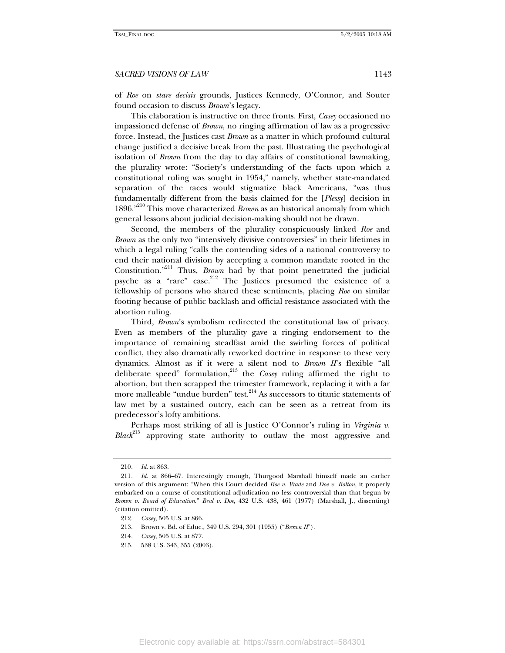of *Roe* on *stare decisis* grounds, Justices Kennedy, O'Connor, and Souter found occasion to discuss *Brown*'s legacy.

This elaboration is instructive on three fronts. First, *Casey* occasioned no impassioned defense of *Brown*, no ringing affirmation of law as a progressive force. Instead, the Justices cast *Brown* as a matter in which profound cultural change justified a decisive break from the past. Illustrating the psychological isolation of *Brown* from the day to day affairs of constitutional lawmaking, the plurality wrote: "Society's understanding of the facts upon which a constitutional ruling was sought in 1954," namely, whether state-mandated separation of the races would stigmatize black Americans, "was thus fundamentally different from the basis claimed for the [*Plessy*] decision in 1896."210 This move characterized *Brown* as an historical anomaly from which general lessons about judicial decision-making should not be drawn.

Second, the members of the plurality conspicuously linked *Roe* and *Brown* as the only two "intensively divisive controversies" in their lifetimes in which a legal ruling "calls the contending sides of a national controversy to end their national division by accepting a common mandate rooted in the Constitution."211 Thus, *Brown* had by that point penetrated the judicial psyche as a "rare" case. $212$  The Justices presumed the existence of a fellowship of persons who shared these sentiments, placing *Roe* on similar footing because of public backlash and official resistance associated with the abortion ruling.

Third, *Brown*'s symbolism redirected the constitutional law of privacy. Even as members of the plurality gave a ringing endorsement to the importance of remaining steadfast amid the swirling forces of political conflict, they also dramatically reworked doctrine in response to these very dynamics. Almost as if it were a silent nod to *Brown II*'s flexible "all deliberate speed" formulation,<sup>213</sup> the *Casey* ruling affirmed the right to abortion, but then scrapped the trimester framework, replacing it with a far more malleable "undue burden" test.<sup>214</sup> As successors to titanic statements of law met by a sustained outcry, each can be seen as a retreat from its predecessor's lofty ambitions.

Perhaps most striking of all is Justice O'Connor's ruling in *Virginia v. Black*215 approving state authority to outlaw the most aggressive and

<sup>210</sup>*. Id*. at 863.

<sup>211</sup>*. Id*. at 866–67. Interestingly enough, Thurgood Marshall himself made an earlier version of this argument: "When this Court decided *Roe v. Wade* and *Doe v. Bolton*, it properly embarked on a course of constitutional adjudication no less controversial than that begun by *Brown v. Board of Education*." *Beal v. Doe*, 432 U.S. 438, 461 (1977) (Marshall, J., dissenting) (citation omitted).

<sup>212</sup>*. Casey*, 505 U.S. at 866.

 <sup>213.</sup> Brown v. Bd. of Educ., 349 U.S. 294, 301 (1955) ("*Brown II*").

<sup>214</sup>*. Casey*, 505 U.S. at 877.

 <sup>215. 538</sup> U.S. 343, 355 (2003).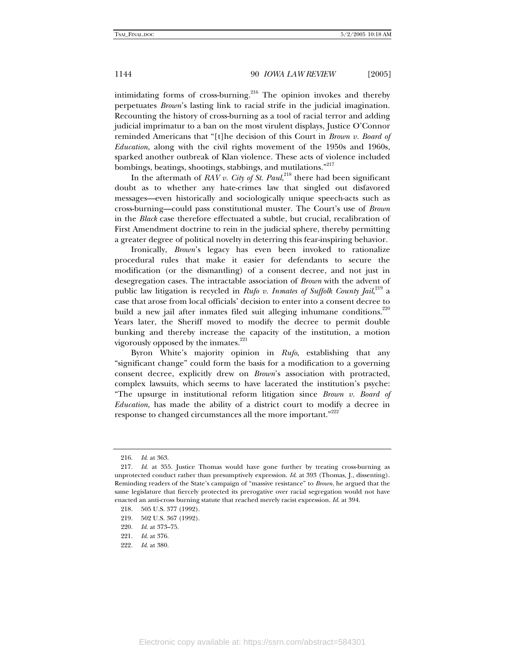intimidating forms of cross-burning.<sup>216</sup> The opinion invokes and thereby perpetuates *Brown*'s lasting link to racial strife in the judicial imagination. Recounting the history of cross-burning as a tool of racial terror and adding judicial imprimatur to a ban on the most virulent displays, Justice O'Connor reminded Americans that "[t]he decision of this Court in *Brown v. Board of Education*, along with the civil rights movement of the 1950s and 1960s, sparked another outbreak of Klan violence. These acts of violence included bombings, beatings, shootings, stabbings, and mutilations."<sup>217</sup>

In the aftermath of  $RAVv$ . *City of St. Paul*, $^{218}$  there had been significant doubt as to whether any hate-crimes law that singled out disfavored messages—even historically and sociologically unique speech-acts such as cross-burning—could pass constitutional muster. The Court's use of *Brown* in the *Black* case therefore effectuated a subtle, but crucial, recalibration of First Amendment doctrine to rein in the judicial sphere, thereby permitting a greater degree of political novelty in deterring this fear-inspiring behavior.

Ironically, *Brown*'s legacy has even been invoked to rationalize procedural rules that make it easier for defendants to secure the modification (or the dismantling) of a consent decree, and not just in desegregation cases. The intractable association of *Brown* with the advent of public law litigation is recycled in *Rufo v. Inmates of Suffolk County Jail*, 219 a case that arose from local officials' decision to enter into a consent decree to build a new jail after inmates filed suit alleging inhumane conditions.<sup>220</sup> Years later, the Sheriff moved to modify the decree to permit double bunking and thereby increase the capacity of the institution, a motion vigorously opposed by the inmates. $221$ 

Byron White's majority opinion in *Rufo*, establishing that any "significant change" could form the basis for a modification to a governing consent decree, explicitly drew on *Brown*'s association with protracted, complex lawsuits, which seems to have lacerated the institution's psyche: "The upsurge in institutional reform litigation since *Brown v. Board of Education*, has made the ability of a district court to modify a decree in response to changed circumstances all the more important."<sup>222</sup>

 <sup>216.</sup> *Id*. at 363.

<sup>217</sup>*. Id*. at 355. Justice Thomas would have gone further by treating cross-burning as unprotected conduct rather than presumptively expression. *Id*. at 393 (Thomas, J., dissenting). Reminding readers of the State's campaign of "massive resistance" to *Brown*, he argued that the same legislature that fiercely protected its prerogative over racial segregation would not have enacted an anti-cross burning statute that reached merely racist expression. *Id*. at 394.

 <sup>218. 505</sup> U.S. 377 (1992).

 <sup>219. 502</sup> U.S. 367 (1992).

 <sup>220.</sup> *Id*. at 373–75.

 <sup>221.</sup> *Id*. at 376.

<sup>222</sup>*. Id*. at 380.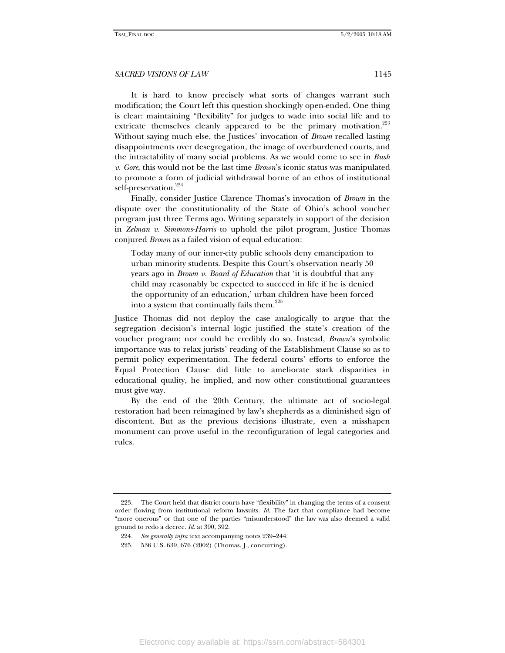It is hard to know precisely what sorts of changes warrant such modification; the Court left this question shockingly open-ended. One thing is clear: maintaining "flexibility" for judges to wade into social life and to extricate themselves cleanly appeared to be the primary motivation.<sup>223</sup> Without saying much else, the Justices' invocation of *Brown* recalled lasting disappointments over desegregation, the image of overburdened courts, and the intractability of many social problems. As we would come to see in *Bush v. Gore*, this would not be the last time *Brown*'s iconic status was manipulated to promote a form of judicial withdrawal borne of an ethos of institutional self-preservation.<sup>224</sup>

Finally, consider Justice Clarence Thomas's invocation of *Brown* in the dispute over the constitutionality of the State of Ohio's school voucher program just three Terms ago. Writing separately in support of the decision in *Zelman v. Simmons-Harris* to uphold the pilot program, Justice Thomas conjured *Brown* as a failed vision of equal education:

Today many of our inner-city public schools deny emancipation to urban minority students. Despite this Court's observation nearly 50 years ago in *Brown v. Board of Education* that 'it is doubtful that any child may reasonably be expected to succeed in life if he is denied the opportunity of an education,' urban children have been forced into a system that continually fails them.<sup>225</sup>

Justice Thomas did not deploy the case analogically to argue that the segregation decision's internal logic justified the state's creation of the voucher program; nor could he credibly do so. Instead, *Brown*'s symbolic importance was to relax jurists' reading of the Establishment Clause so as to permit policy experimentation. The federal courts' efforts to enforce the Equal Protection Clause did little to ameliorate stark disparities in educational quality, he implied, and now other constitutional guarantees must give way.

By the end of the 20th Century, the ultimate act of socio-legal restoration had been reimagined by law's shepherds as a diminished sign of discontent. But as the previous decisions illustrate, even a misshapen monument can prove useful in the reconfiguration of legal categories and rules.

 <sup>223.</sup> The Court held that district courts have "flexibility" in changing the terms of a consent order flowing from institutional reform lawsuits. *Id*. The fact that compliance had become "more onerous" or that one of the parties "misunderstood" the law was also deemed a valid ground to redo a decree. *Id*. at 390, 392.

<sup>224</sup>*. See generally infra* text accompanying notes 239–244.

 <sup>225. 536</sup> U.S. 639, 676 (2002) (Thomas, J., concurring).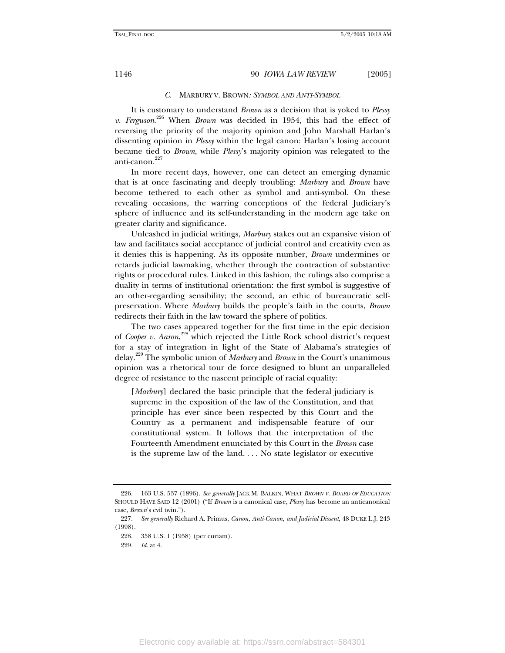#### *C.* MARBURY V. BROWN*: SYMBOL AND ANTI-SYMBOL*

It is customary to understand *Brown* as a decision that is yoked to *Plessy v. Ferguson*. 226 When *Brown* was decided in 1954, this had the effect of reversing the priority of the majority opinion and John Marshall Harlan's dissenting opinion in *Plessy* within the legal canon: Harlan's losing account became tied to *Brown*, while *Plessy*'s majority opinion was relegated to the anti-canon.<sup>227</sup>

In more recent days, however, one can detect an emerging dynamic that is at once fascinating and deeply troubling: *Marbury* and *Brown* have become tethered to each other as symbol and anti-symbol. On these revealing occasions, the warring conceptions of the federal Judiciary's sphere of influence and its self-understanding in the modern age take on greater clarity and significance.

Unleashed in judicial writings, *Marbury* stakes out an expansive vision of law and facilitates social acceptance of judicial control and creativity even as it denies this is happening. As its opposite number, *Brown* undermines or retards judicial lawmaking, whether through the contraction of substantive rights or procedural rules. Linked in this fashion, the rulings also comprise a duality in terms of institutional orientation: the first symbol is suggestive of an other-regarding sensibility; the second, an ethic of bureaucratic selfpreservation. Where *Marbury* builds the people's faith in the courts, *Brown* redirects their faith in the law toward the sphere of politics.

The two cases appeared together for the first time in the epic decision of *Cooper v. Aaron*, 228 which rejected the Little Rock school district's request for a stay of integration in light of the State of Alabama's strategies of delay.229 The symbolic union of *Marbury* and *Brown* in the Court's unanimous opinion was a rhetorical tour de force designed to blunt an unparalleled degree of resistance to the nascent principle of racial equality:

[*Marbury*] declared the basic principle that the federal judiciary is supreme in the exposition of the law of the Constitution, and that principle has ever since been respected by this Court and the Country as a permanent and indispensable feature of our constitutional system. It follows that the interpretation of the Fourteenth Amendment enunciated by this Court in the *Brown* case is the supreme law of the land. . . . No state legislator or executive

 <sup>226. 163</sup> U.S. 537 (1896). *See generally* JACK M. BALKIN, WHAT *BROWN V. BOARD OF EDUCATION*  SHOULD HAVE SAID 12 (2001) ("If *Brown* is a canonical case, *Plessy* has become an anticanonical case, *Brown*'s evil twin.").

<sup>227</sup>*. See generally* Richard A. Primus, *Canon, Anti-Canon, and Judicial Dissent*, 48 DUKE L.J. 243 (1998).

 <sup>228. 358</sup> U.S. 1 (1958) (per curiam).

 <sup>229.</sup> *Id*. at 4.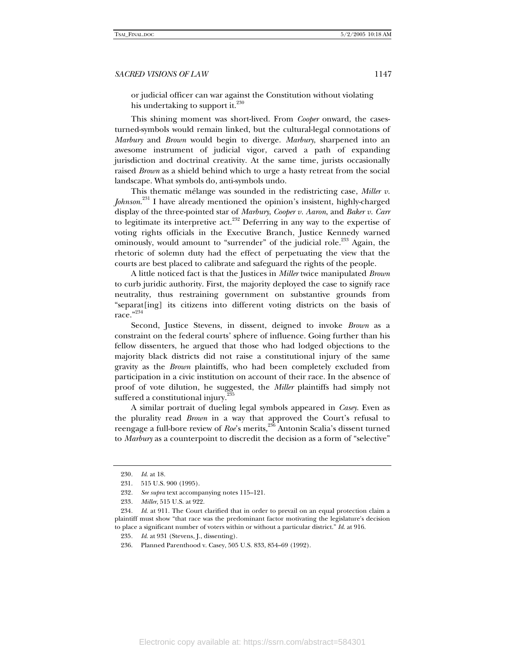or judicial officer can war against the Constitution without violating his undertaking to support it.<sup>230</sup>

This shining moment was short-lived. From *Cooper* onward, the casesturned-symbols would remain linked, but the cultural-legal connotations of *Marbury* and *Brown* would begin to diverge. *Marbury*, sharpened into an awesome instrument of judicial vigor, carved a path of expanding jurisdiction and doctrinal creativity. At the same time, jurists occasionally raised *Brown* as a shield behind which to urge a hasty retreat from the social landscape. What symbols do, anti-symbols undo.

This thematic mélange was sounded in the redistricting case, *Miller v. Johnson*. 231 I have already mentioned the opinion's insistent, highly-charged display of the three-pointed star of *Marbury*, *Cooper v. Aaron*, and *Baker v. Carr* to legitimate its interpretive act. $232$  Deferring in any way to the expertise of voting rights officials in the Executive Branch, Justice Kennedy warned ominously, would amount to "surrender" of the judicial role.<sup>233</sup> Again, the rhetoric of solemn duty had the effect of perpetuating the view that the courts are best placed to calibrate and safeguard the rights of the people.

A little noticed fact is that the Justices in *Miller* twice manipulated *Brown* to curb juridic authority. First, the majority deployed the case to signify race neutrality, thus restraining government on substantive grounds from "separat[ing] its citizens into different voting districts on the basis of race." $234$ 

Second, Justice Stevens, in dissent, deigned to invoke *Brown* as a constraint on the federal courts' sphere of influence. Going further than his fellow dissenters, he argued that those who had lodged objections to the majority black districts did not raise a constitutional injury of the same gravity as the *Brown* plaintiffs, who had been completely excluded from participation in a civic institution on account of their race. In the absence of proof of vote dilution, he suggested, the *Miller* plaintiffs had simply not suffered a constitutional injury.<sup>2</sup>

A similar portrait of dueling legal symbols appeared in *Casey*. Even as the plurality read *Brown* in a way that approved the Court's refusal to reengage a full-bore review of *Roe*'s merits,<sup>236</sup> Antonin Scalia's dissent turned to *Marbury* as a counterpoint to discredit the decision as a form of "selective"

<sup>230</sup>*. Id*. at 18.

 <sup>231. 515</sup> U.S. 900 (1995).

<sup>232</sup>*. See supra* text accompanying notes 115–121.

<sup>233</sup>*. Miller*, 515 U.S. at 922.

<sup>234</sup>*. Id*. at 911. The Court clarified that in order to prevail on an equal protection claim a plaintiff must show "that race was the predominant factor motivating the legislature's decision to place a significant number of voters within or without a particular district." *Id*. at 916.

<sup>235</sup>*. Id*. at 931 (Stevens, J., dissenting).

 <sup>236.</sup> Planned Parenthood v. Casey, 505 U.S. 833, 854–69 (1992).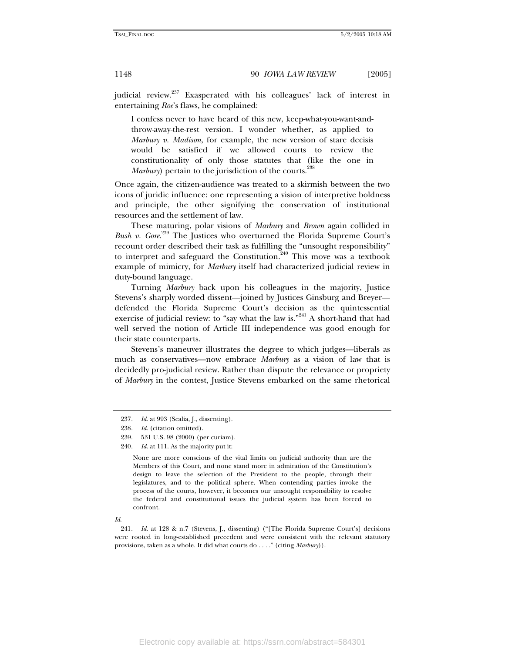judicial review.<sup>237</sup> Exasperated with his colleagues' lack of interest in entertaining *Roe*'s flaws, he complained:

I confess never to have heard of this new, keep-what-you-want-andthrow-away-the-rest version. I wonder whether, as applied to *Marbury v. Madison*, for example, the new version of stare decisis would be satisfied if we allowed courts to review the constitutionality of only those statutes that (like the one in *Marbury*) pertain to the jurisdiction of the courts.<sup>238</sup>

Once again, the citizen-audience was treated to a skirmish between the two icons of juridic influence: one representing a vision of interpretive boldness and principle, the other signifying the conservation of institutional resources and the settlement of law.

These maturing, polar visions of *Marbury* and *Brown* again collided in Bush v. Gore.<sup>239</sup> The Justices who overturned the Florida Supreme Court's recount order described their task as fulfilling the "unsought responsibility" to interpret and safeguard the Constitution.<sup>240</sup> This move was a textbook example of mimicry, for *Marbury* itself had characterized judicial review in duty-bound language.

Turning *Marbury* back upon his colleagues in the majority, Justice Stevens's sharply worded dissent—joined by Justices Ginsburg and Breyer defended the Florida Supreme Court's decision as the quintessential exercise of judicial review: to "say what the law is."<sup>241</sup> A short-hand that had well served the notion of Article III independence was good enough for their state counterparts.

Stevens's maneuver illustrates the degree to which judges—liberals as much as conservatives—now embrace *Marbury* as a vision of law that is decidedly pro-judicial review. Rather than dispute the relevance or propriety of *Marbury* in the contest, Justice Stevens embarked on the same rhetorical

None are more conscious of the vital limits on judicial authority than are the Members of this Court, and none stand more in admiration of the Constitution's design to leave the selection of the President to the people, through their legislatures, and to the political sphere. When contending parties invoke the process of the courts, however, it becomes our unsought responsibility to resolve the federal and constitutional issues the judicial system has been forced to confront.

<sup>237</sup>*. Id*. at 993 (Scalia, J., dissenting).

<sup>238</sup>*. Id*. (citation omitted).

 <sup>239. 531</sup> U.S. 98 (2000) (per curiam).

<sup>240</sup>*. Id*. at 111. As the majority put it:

*Id*.

<sup>241</sup>*. Id*. at 128 & n.7 (Stevens, J., dissenting) ("[The Florida Supreme Court's] decisions were rooted in long-established precedent and were consistent with the relevant statutory provisions, taken as a whole. It did what courts do . . . ." (citing *Marbury*)).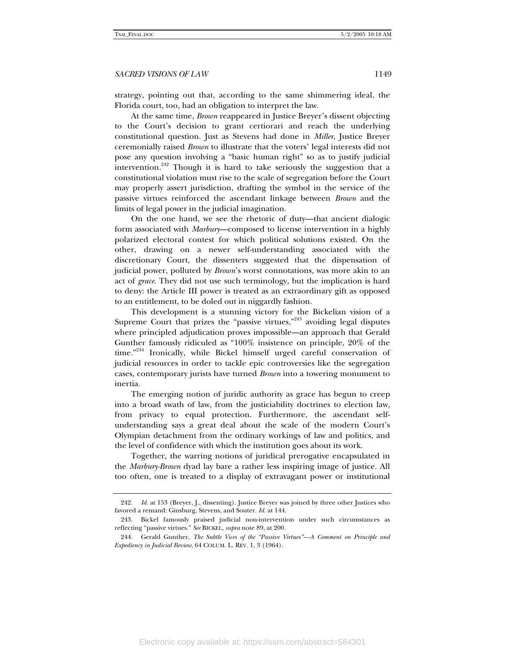strategy, pointing out that, according to the same shimmering ideal, the Florida court, too, had an obligation to interpret the law.

At the same time, *Brown* reappeared in Justice Breyer's dissent objecting to the Court's decision to grant certiorari and reach the underlying constitutional question. Just as Stevens had done in *Miller*, Justice Breyer ceremonially raised *Brown* to illustrate that the voters' legal interests did not pose any question involving a "basic human right" so as to justify judicial intervention.<sup>242</sup> Though it is hard to take seriously the suggestion that a constitutional violation must rise to the scale of segregation before the Court may properly assert jurisdiction, drafting the symbol in the service of the passive virtues reinforced the ascendant linkage between *Brown* and the limits of legal power in the judicial imagination.

On the one hand, we see the rhetoric of duty—that ancient dialogic form associated with *Marbury*—composed to license intervention in a highly polarized electoral contest for which political solutions existed. On the other, drawing on a newer self-understanding associated with the discretionary Court, the dissenters suggested that the dispensation of judicial power, polluted by *Brown*'s worst connotations, was more akin to an act of *grace*. They did not use such terminology, but the implication is hard to deny: the Article III power is treated as an extraordinary gift as opposed to an entitlement, to be doled out in niggardly fashion.

This development is a stunning victory for the Bickelian vision of a Supreme Court that prizes the "passive virtues,"<sup>243</sup> avoiding legal disputes where principled adjudication proves impossible—an approach that Gerald Gunther famously ridiculed as "100% insistence on principle, 20% of the time."<sup>244</sup> Ironically, while Bickel himself urged careful conservation of judicial resources in order to tackle epic controversies like the segregation cases, contemporary jurists have turned *Brown* into a towering monument to inertia.

The emerging notion of juridic authority as grace has begun to creep into a broad swath of law, from the justiciability doctrines to election law, from privacy to equal protection. Furthermore, the ascendant selfunderstanding says a great deal about the scale of the modern Court's Olympian detachment from the ordinary workings of law and politics, and the level of confidence with which the institution goes about its work.

Together, the warring notions of juridical prerogative encapsulated in the *Marbury-Brown* dyad lay bare a rather less inspiring image of justice. All too often, one is treated to a display of extravagant power or institutional

<sup>242</sup>*. Id*. at 153 (Breyer, J., dissenting). Justice Breyer was joined by three other Justices who favored a remand: Ginsburg, Stevens, and Souter. *Id*. at 144.

 <sup>243.</sup> Bickel famously praised judicial non-intervention under such circumstances as reflecting "passive virtues." *See* BICKEL, *supra* note 89, at 200.

 <sup>244.</sup> Gerald Gunther, *The Subtle Vices of the "Passive Virtues"—A Comment on Principle and Expediency in Judicial Review*, 64 COLUM. L. REV. 1, 3 (1964).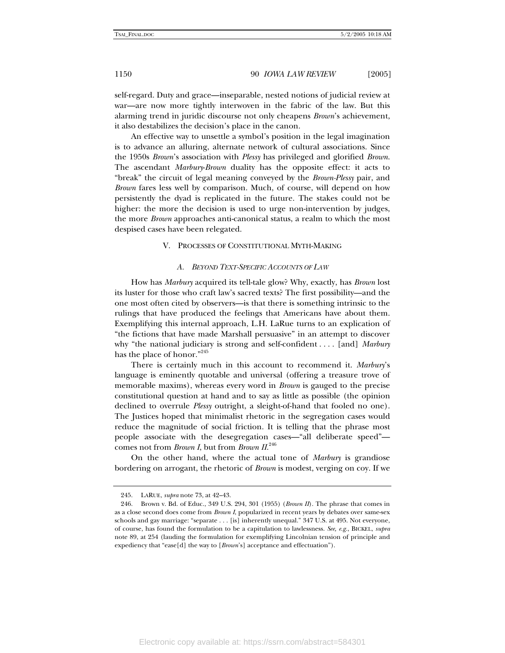self-regard. Duty and grace—inseparable, nested notions of judicial review at war—are now more tightly interwoven in the fabric of the law. But this alarming trend in juridic discourse not only cheapens *Brown*'s achievement, it also destabilizes the decision's place in the canon.

An effective way to unsettle a symbol's position in the legal imagination is to advance an alluring, alternate network of cultural associations. Since the 1950s *Brown*'s association with *Plessy* has privileged and glorified *Brown*. The ascendant *Marbury*-*Brown* duality has the opposite effect: it acts to "break" the circuit of legal meaning conveyed by the *Brown-Plessy* pair, and *Brown* fares less well by comparison. Much, of course, will depend on how persistently the dyad is replicated in the future. The stakes could not be higher: the more the decision is used to urge non-intervention by judges, the more *Brown* approaches anti-canonical status, a realm to which the most despised cases have been relegated.

#### V. PROCESSES OF CONSTITUTIONAL MYTH-MAKING

#### *A. BEYOND TEXT-SPECIFIC ACCOUNTS OF LAW*

How has *Marbury* acquired its tell-tale glow? Why, exactly, has *Brown* lost its luster for those who craft law's sacred texts? The first possibility—and the one most often cited by observers—is that there is something intrinsic to the rulings that have produced the feelings that Americans have about them. Exemplifying this internal approach, L.H. LaRue turns to an explication of "the fictions that have made Marshall persuasive" in an attempt to discover why "the national judiciary is strong and self-confident . . . . [and] *Marbury* has the place of honor."<sup>245</sup>

There is certainly much in this account to recommend it. *Marbury*'s language is eminently quotable and universal (offering a treasure trove of memorable maxims), whereas every word in *Brown* is gauged to the precise constitutional question at hand and to say as little as possible (the opinion declined to overrule *Plessy* outright, a sleight-of-hand that fooled no one). The Justices hoped that minimalist rhetoric in the segregation cases would reduce the magnitude of social friction. It is telling that the phrase most people associate with the desegregation cases—"all deliberate speed" comes not from *Brown I*, but from *Brown II*. 246

On the other hand, where the actual tone of *Marbury* is grandiose bordering on arrogant, the rhetoric of *Brown* is modest, verging on coy. If we

 <sup>245.</sup> LARUE, *supra* note 73, at 42–43.

 <sup>246.</sup> Brown v. Bd. of Educ., 349 U.S. 294, 301 (1955) (*Brown II*). The phrase that comes in as a close second does come from *Brown I*, popularized in recent years by debates over same-sex schools and gay marriage: "separate . . . [is] inherently unequal." 347 U.S. at 495. Not everyone, of course, has found the formulation to be a capitulation to lawlessness. *See, e.g.*, BICKEL, *supra* note 89, at 254 (lauding the formulation for exemplifying Lincolnian tension of principle and expediency that "ease[d] the way to [*Brown*'s] acceptance and effectuation").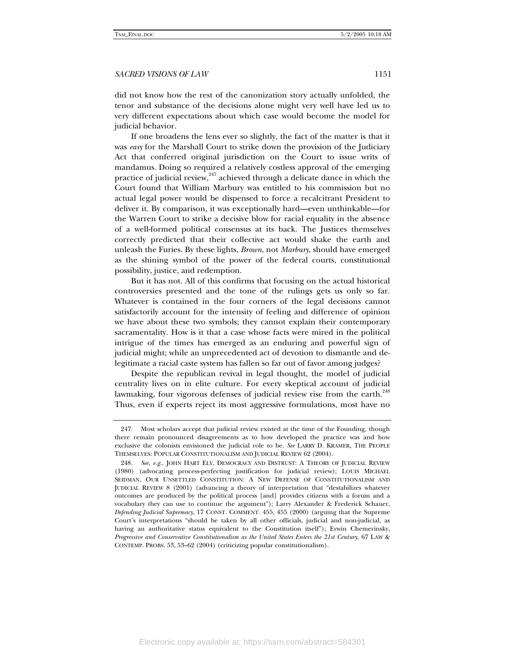did not know how the rest of the canonization story actually unfolded, the tenor and substance of the decisions alone might very well have led us to very different expectations about which case would become the model for judicial behavior.

If one broadens the lens ever so slightly, the fact of the matter is that it was *easy* for the Marshall Court to strike down the provision of the Judiciary Act that conferred original jurisdiction on the Court to issue writs of mandamus. Doing so required a relatively costless approval of the emerging practice of judicial review,<sup>247</sup> achieved through a delicate dance in which the Court found that William Marbury was entitled to his commission but no actual legal power would be dispensed to force a recalcitrant President to deliver it. By comparison, it was exceptionally hard—even unthinkable—for the Warren Court to strike a decisive blow for racial equality in the absence of a well-formed political consensus at its back. The Justices themselves correctly predicted that their collective act would shake the earth and unleash the Furies. By these lights, *Brown*, not *Marbury*, should have emerged as the shining symbol of the power of the federal courts, constitutional possibility, justice, and redemption.

But it has not. All of this confirms that focusing on the actual historical controversies presented and the tone of the rulings gets us only so far. Whatever is contained in the four corners of the legal decisions cannot satisfactorily account for the intensity of feeling and difference of opinion we have about these two symbols; they cannot explain their contemporary sacramentality. How is it that a case whose facts were mired in the political intrigue of the times has emerged as an enduring and powerful sign of judicial might; while an unprecedented act of devotion to dismantle and delegitimate a racial caste system has fallen so far out of favor among judges?

Despite the republican revival in legal thought, the model of judicial centrality lives on in elite culture. For every skeptical account of judicial lawmaking, four vigorous defenses of judicial review rise from the earth.<sup>248</sup> Thus, even if experts reject its most aggressive formulations, most have no

 <sup>247.</sup> Most scholars accept that judicial review existed at the time of the Founding, though there remain pronounced disagreements as to how developed the practice was and how exclusive the colonists envisioned the judicial role to be. *See* LARRY D. KRAMER, THE PEOPLE THEMSELVES: POPULAR CONSTITUTIONALISM AND JUDICIAL REVIEW 62 (2004).

<sup>248</sup>*. See*, *e.g.*, JOHN HART ELY, DEMOCRACY AND DISTRUST: A THEORY OF JUDICIAL REVIEW (1980) (advocating process-perfecting justification for judicial review); LOUIS MICHAEL SEIDMAN, OUR UNSETTLED CONSTITUTION: A NEW DEFENSE OF CONSTITUTIONALISM AND JUDICIAL REVIEW 8 (2001) (advancing a theory of interpretation that "destabilizes whatever outcomes are produced by the political process [and] provides citizens with a forum and a vocabulary they can use to continue the argument"); Larry Alexander & Frederick Schauer, *Defending Judicial Supremacy*, 17 CONST. COMMENT. 455, 455 (2000) (arguing that the Supreme Court's interpretations "should be taken by all other officials, judicial and non-judicial, as having an authoritative status equivalent to the Constitution itself"); Erwin Chemerinsky, *Progressive and Conservative Constitutionalism as the United States Enters the 21st Century*, 67 LAW & CONTEMP. PROBS. 53, 53–62 (2004) (criticizing popular constitutionalism).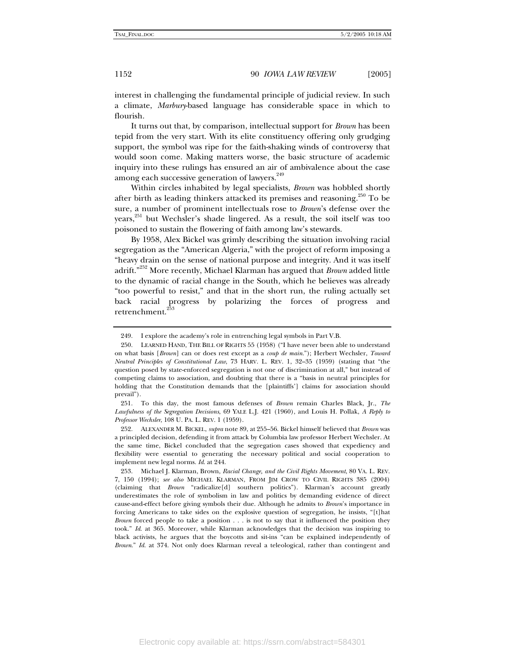interest in challenging the fundamental principle of judicial review. In such a climate, *Marbury*-based language has considerable space in which to flourish.

It turns out that, by comparison, intellectual support for *Brown* has been tepid from the very start. With its elite constituency offering only grudging support, the symbol was ripe for the faith-shaking winds of controversy that would soon come. Making matters worse, the basic structure of academic inquiry into these rulings has ensured an air of ambivalence about the case among each successive generation of lawyers.<sup>249</sup>

Within circles inhabited by legal specialists, *Brown* was hobbled shortly after birth as leading thinkers attacked its premises and reasoning.<sup>250</sup> To be sure, a number of prominent intellectuals rose to *Brown*'s defense over the years, $251$  but Wechsler's shade lingered. As a result, the soil itself was too poisoned to sustain the flowering of faith among law's stewards.

By 1958, Alex Bickel was grimly describing the situation involving racial segregation as the "American Algeria," with the project of reform imposing a "heavy drain on the sense of national purpose and integrity. And it was itself adrift."252 More recently, Michael Klarman has argued that *Brown* added little to the dynamic of racial change in the South, which he believes was already "too powerful to resist," and that in the short run, the ruling actually set back racial progress by polarizing the forces of progress and retrenchment.<sup>253</sup>

 251. To this day, the most famous defenses of *Brown* remain Charles Black, Jr., *The Lawfulness of the Segregation Decisions*, 69 YALE L.J. 421 (1960), and Louis H. Pollak, *A Reply to Professor Wechsler*, 108 U. PA. L. REV. 1 (1959).

 252. ALEXANDER M. BICKEL, *supra* note 89, at 255–56. Bickel himself believed that *Brown* was a principled decision, defending it from attack by Columbia law professor Herbert Wechsler. At the same time, Bickel concluded that the segregation cases showed that expediency and flexibility were essential to generating the necessary political and social cooperation to implement new legal norms. *Id*. at 244.

 253. Michael J. Klarman, Brown, *Racial Change, and the Civil Rights Movement*, 80 VA. L. REV. 7, 150 (1994); *see also* MICHAEL KLARMAN, FROM JIM CROW TO CIVIL RIGHTS 385 (2004) (claiming that *Brown* "radicalize[d] southern politics"). Klarman's account greatly underestimates the role of symbolism in law and politics by demanding evidence of direct cause-and-effect before giving symbols their due. Although he admits to *Brown*'s importance in forcing Americans to take sides on the explosive question of segregation, he insists, "[t]hat *Brown* forced people to take a position . . . is not to say that it influenced the position they took." *Id*. at 365. Moreover, while Klarman acknowledges that the decision was inspiring to black activists, he argues that the boycotts and sit-ins "can be explained independently of *Brown*." *Id*. at 374. Not only does Klarman reveal a teleological, rather than contingent and

 <sup>249.</sup> I explore the academy's role in entrenching legal symbols in Part V.B.

 <sup>250.</sup> LEARNED HAND, THE BILL OF RIGHTS 55 (1958) ("I have never been able to understand on what basis [*Brown*] can or does rest except as a *coup de main*."); Herbert Wechsler, *Toward Neutral Principles of Constitutional Law*, 73 HARV. L. REV. 1, 32–35 (1959) (stating that "the question posed by state-enforced segregation is not one of discrimination at all," but instead of competing claims to association, and doubting that there is a "basis in neutral principles for holding that the Constitution demands that the [plaintiffs'] claims for association should prevail").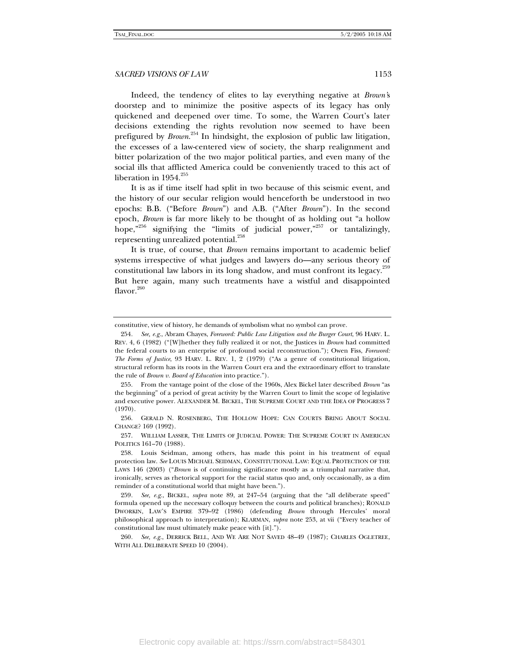Indeed, the tendency of elites to lay everything negative at *Brown'*s doorstep and to minimize the positive aspects of its legacy has only quickened and deepened over time. To some, the Warren Court's later decisions extending the rights revolution now seemed to have been prefigured by *Brown*. 254 In hindsight, the explosion of public law litigation, the excesses of a law-centered view of society, the sharp realignment and bitter polarization of the two major political parties, and even many of the social ills that afflicted America could be conveniently traced to this act of liberation in  $1954.^{255}$ 

It is as if time itself had split in two because of this seismic event, and the history of our secular religion would henceforth be understood in two epochs: B.B. ("Before *Brown*") and A.B. ("After *Brown*"). In the second epoch, *Brown* is far more likely to be thought of as holding out "a hollow hope," $256$  signifying the "limits of judicial power," $257$  or tantalizingly, representing unrealized potential.<sup>258</sup>

It is true, of course, that *Brown* remains important to academic belief systems irrespective of what judges and lawyers do—any serious theory of constitutional law labors in its long shadow, and must confront its legacy. $259$ But here again, many such treatments have a wistful and disappointed flavor.<sup>260</sup>

constitutive, view of history, he demands of symbolism what no symbol can prove.

<sup>254</sup>*. See, e.g.*, Abram Chayes, *Foreword: Public Law Litigation and the Burger Court*, 96 HARV. L. REV. 4, 6 (1982) ("[W]hether they fully realized it or not, the Justices in *Brown* had committed the federal courts to an enterprise of profound social reconstruction."); Owen Fiss, *Foreword: The Forms of Justice*, 93 HARV. L. REV. 1, 2 (1979) ("As a genre of constitutional litigation, structural reform has its roots in the Warren Court era and the extraordinary effort to translate the rule of *Brown v. Board of Education* into practice.").

 <sup>255.</sup> From the vantage point of the close of the 1960s, Alex Bickel later described *Brown* "as the beginning" of a period of great activity by the Warren Court to limit the scope of legislative and executive power. ALEXANDER M. BICKEL, THE SUPREME COURT AND THE IDEA OF PROGRESS 7 (1970).

 <sup>256.</sup> GERALD N. ROSENBERG, THE HOLLOW HOPE: CAN COURTS BRING ABOUT SOCIAL CHANGE? 169 (1992).

 <sup>257.</sup> WILLIAM LASSER, THE LIMITS OF JUDICIAL POWER: THE SUPREME COURT IN AMERICAN POLITICS 161–70 (1988).

 <sup>258.</sup> Louis Seidman, among others, has made this point in his treatment of equal protection law. *See* LOUIS MICHAEL SEIDMAN, CONSTITUTIONAL LAW: EQUAL PROTECTION OF THE LAWS 146 (2003) ("Brown is of continuing significance mostly as a triumphal narrative that, ironically, serves as rhetorical support for the racial status quo and, only occasionally, as a dim reminder of a constitutional world that might have been.").

<sup>259</sup>*. See, e.g.*, BICKEL, *supra* note 89, at 247–54 (arguing that the "all deliberate speed" formula opened up the necessary colloquy between the courts and political branches); RONALD DWORKIN, LAW'S EMPIRE 379–92 (1986) (defending *Brown* through Hercules' moral philosophical approach to interpretation); KLARMAN, *supra* note 253, at vii ("Every teacher of constitutional law must ultimately make peace with [it].").

<sup>260</sup>*. See, e.g.*, DERRICK BELL, AND WE ARE NOT SAVED 48–49 (1987); CHARLES OGLETREE, WITH ALL DELIBERATE SPEED 10 (2004).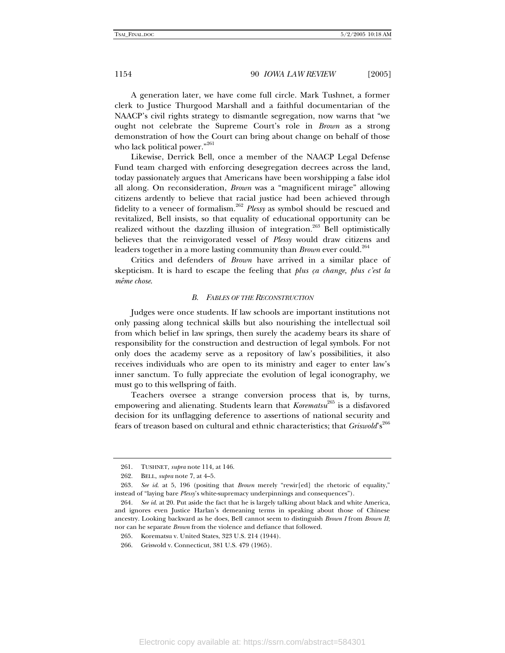A generation later, we have come full circle. Mark Tushnet, a former clerk to Justice Thurgood Marshall and a faithful documentarian of the NAACP's civil rights strategy to dismantle segregation, now warns that "we ought not celebrate the Supreme Court's role in *Brown* as a strong demonstration of how the Court can bring about change on behalf of those who lack political power."<sup>261</sup>

Likewise, Derrick Bell, once a member of the NAACP Legal Defense Fund team charged with enforcing desegregation decrees across the land, today passionately argues that Americans have been worshipping a false idol all along. On reconsideration, *Brown* was a "magnificent mirage" allowing citizens ardently to believe that racial justice had been achieved through fidelity to a veneer of formalism.262 *Plessy* as symbol should be rescued and revitalized, Bell insists, so that equality of educational opportunity can be realized without the dazzling illusion of integration.<sup>263</sup> Bell optimistically believes that the reinvigorated vessel of *Plessy* would draw citizens and leaders together in a more lasting community than *Brown* ever could.<sup>204</sup>

Critics and defenders of *Brown* have arrived in a similar place of skepticism. It is hard to escape the feeling that *plus ça change, plus c'est la même chose*.

#### *B. FABLES OF THE RECONSTRUCTION*

Judges were once students. If law schools are important institutions not only passing along technical skills but also nourishing the intellectual soil from which belief in law springs, then surely the academy bears its share of responsibility for the construction and destruction of legal symbols. For not only does the academy serve as a repository of law's possibilities, it also receives individuals who are open to its ministry and eager to enter law's inner sanctum. To fully appreciate the evolution of legal iconography, we must go to this wellspring of faith.

Teachers oversee a strange conversion process that is, by turns, empowering and alienating. Students learn that *Korematsu*<sup>265</sup> is a disfavored decision for its unflagging deference to assertions of national security and fears of treason based on cultural and ethnic characteristics; that *Griswold*'s<sup>266</sup>

 <sup>261.</sup> TUSHNET, *supra* note 114, at 146.

 <sup>262.</sup> BELL, *supra* note 7, at 4–5.

<sup>263</sup>*. See id*. at 5, 196 (positing that *Brown* merely "rewir[ed] the rhetoric of equality," instead of "laying bare *Plessy*'s white-supremacy underpinnings and consequences").

<sup>264</sup>*. See id*. at 20. Put aside the fact that he is largely talking about black and white America, and ignores even Justice Harlan's demeaning terms in speaking about those of Chinese ancestry. Looking backward as he does, Bell cannot seem to distinguish *Brown I* from *Brown II*; nor can he separate *Brown* from the violence and defiance that followed.

 <sup>265.</sup> Korematsu v. United States, 323 U.S. 214 (1944).

 <sup>266.</sup> Griswold v. Connecticut, 381 U.S. 479 (1965).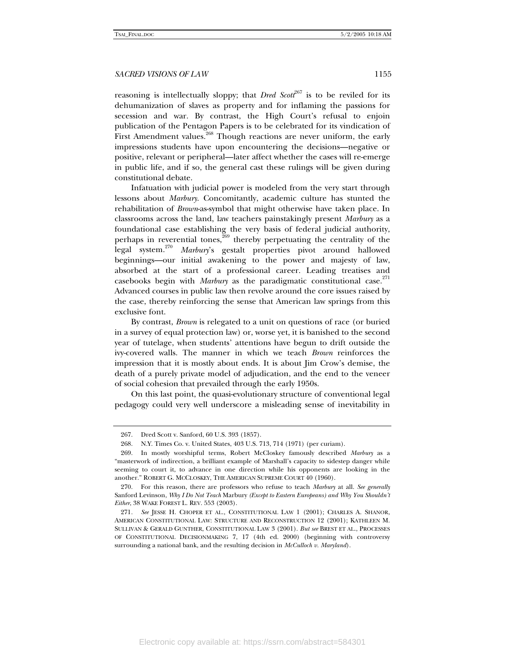reasoning is intellectually sloppy; that *Dred Scott*<sup>267</sup> is to be reviled for its dehumanization of slaves as property and for inflaming the passions for secession and war. By contrast, the High Court's refusal to enjoin publication of the Pentagon Papers is to be celebrated for its vindication of First Amendment values.<sup>268</sup> Though reactions are never uniform, the early impressions students have upon encountering the decisions—negative or positive, relevant or peripheral—later affect whether the cases will re-emerge in public life, and if so, the general cast these rulings will be given during constitutional debate.

Infatuation with judicial power is modeled from the very start through lessons about *Marbury*. Concomitantly, academic culture has stunted the rehabilitation of *Brown*-as-symbol that might otherwise have taken place. In classrooms across the land, law teachers painstakingly present *Marbury* as a foundational case establishing the very basis of federal judicial authority, perhaps in reverential tones,<sup>269</sup> thereby perpetuating the centrality of the legal system.270 *Marbury*'s gestalt properties pivot around hallowed beginnings—our initial awakening to the power and majesty of law, absorbed at the start of a professional career. Leading treatises and casebooks begin with *Marbury* as the paradigmatic constitutional case.<sup>271</sup> Advanced courses in public law then revolve around the core issues raised by the case, thereby reinforcing the sense that American law springs from this exclusive font.

By contrast, *Brown* is relegated to a unit on questions of race (or buried in a survey of equal protection law) or, worse yet, it is banished to the second year of tutelage, when students' attentions have begun to drift outside the ivy-covered walls. The manner in which we teach *Brown* reinforces the impression that it is mostly about ends. It is about Jim Crow's demise, the death of a purely private model of adjudication, and the end to the veneer of social cohesion that prevailed through the early 1950s.

On this last point, the quasi-evolutionary structure of conventional legal pedagogy could very well underscore a misleading sense of inevitability in

 <sup>267.</sup> Dred Scott v. Sanford, 60 U.S. 393 (1857).

 <sup>268.</sup> N.Y. Times Co. v. United States, 403 U.S. 713, 714 (1971) (per curiam).

 <sup>269.</sup> In mostly worshipful terms, Robert McCloskey famously described *Marbury* as a "masterwork of indirection, a brilliant example of Marshall's capacity to sidestep danger while seeming to court it, to advance in one direction while his opponents are looking in the another." ROBERT G. MCCLOSKEY, THE AMERICAN SUPREME COURT 40 (1960).

 <sup>270.</sup> For this reason, there are professors who refuse to teach *Marbury* at all. *See generally*  Sanford Levinson, *Why I Do Not Teach* Marbury *(Except to Eastern Europeans) and Why You Shouldn't Either*, 38 WAKE FOREST L. REV. 553 (2003).

<sup>271</sup>*. See* JESSE H. CHOPER ET AL., CONSTITUTIONAL LAW 1 (2001); CHARLES A. SHANOR, AMERICAN CONSTITUTIONAL LAW: STRUCTURE AND RECONSTRUCTION 12 (2001); KATHLEEN M. SULLIVAN & GERALD GUNTHER, CONSTITUTIONAL LAW 3 (2001). *But see* BREST ET AL., PROCESSES OF CONSTITUTIONAL DECISIONMAKING 7, 17 (4th ed. 2000) (beginning with controversy surrounding a national bank, and the resulting decision in *McCulloch v. Maryland*).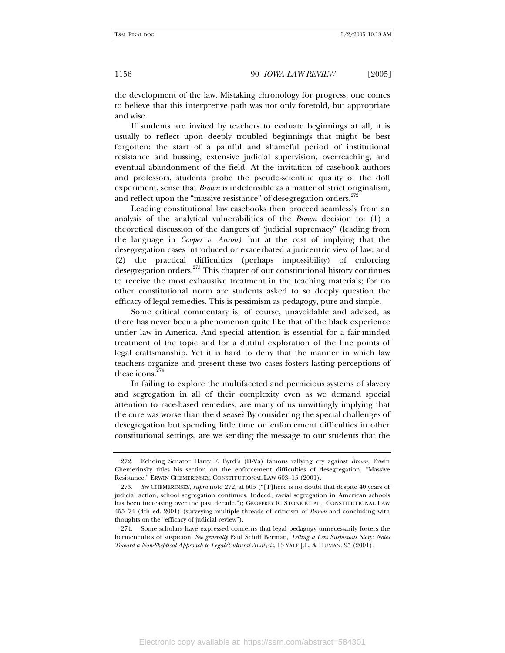the development of the law. Mistaking chronology for progress, one comes to believe that this interpretive path was not only foretold, but appropriate and wise.

If students are invited by teachers to evaluate beginnings at all, it is usually to reflect upon deeply troubled beginnings that might be best forgotten: the start of a painful and shameful period of institutional resistance and bussing, extensive judicial supervision, overreaching, and eventual abandonment of the field. At the invitation of casebook authors and professors, students probe the pseudo-scientific quality of the doll experiment, sense that *Brown* is indefensible as a matter of strict originalism, and reflect upon the "massive resistance" of desegregation orders.<sup>272</sup>

Leading constitutional law casebooks then proceed seamlessly from an analysis of the analytical vulnerabilities of the *Brown* decision to: (1) a theoretical discussion of the dangers of "judicial supremacy" (leading from the language in *Cooper v. Aaron)*, but at the cost of implying that the desegregation cases introduced or exacerbated a juricentric view of law; and (2) the practical difficulties (perhaps impossibility) of enforcing desegregation orders.<sup>273</sup> This chapter of our constitutional history continues to receive the most exhaustive treatment in the teaching materials; for no other constitutional norm are students asked to so deeply question the efficacy of legal remedies. This is pessimism as pedagogy, pure and simple.

Some critical commentary is, of course, unavoidable and advised, as there has never been a phenomenon quite like that of the black experience under law in America. And special attention is essential for a fair-minded treatment of the topic and for a dutiful exploration of the fine points of legal craftsmanship. Yet it is hard to deny that the manner in which law teachers organize and present these two cases fosters lasting perceptions of these icons.<sup>274</sup>

In failing to explore the multifaceted and pernicious systems of slavery and segregation in all of their complexity even as we demand special attention to race-based remedies, are many of us unwittingly implying that the cure was worse than the disease? By considering the special challenges of desegregation but spending little time on enforcement difficulties in other constitutional settings, are we sending the message to our students that the

 <sup>272.</sup> Echoing Senator Harry F. Byrd's (D-Va) famous rallying cry against *Brown*, Erwin Chemerinsky titles his section on the enforcement difficulties of desegregation, "Massive Resistance." ERWIN CHEMERINSKY, CONSTITUTIONAL LAW 603–15 (2001).

<sup>273</sup>*. See* CHEMERINSKY, *supra* note 272, at 605 ("[T]here is no doubt that despite 40 years of judicial action, school segregation continues. Indeed, racial segregation in American schools has been increasing over the past decade."); GEOFFREY R. STONE ET AL., CONSTITUTIONAL LAW 455–74 (4th ed. 2001) (surveying multiple threads of criticism of *Brown* and concluding with thoughts on the "efficacy of judicial review").

 <sup>274.</sup> Some scholars have expressed concerns that legal pedagogy unnecessarily fosters the hermeneutics of suspicion. *See generally* Paul Schiff Berman, *Telling a Less Suspicious Story: Notes Toward a Non-Skeptical Approach to Legal/Cultural Analysis*, 13 YALE J.L. & HUMAN. 95 (2001).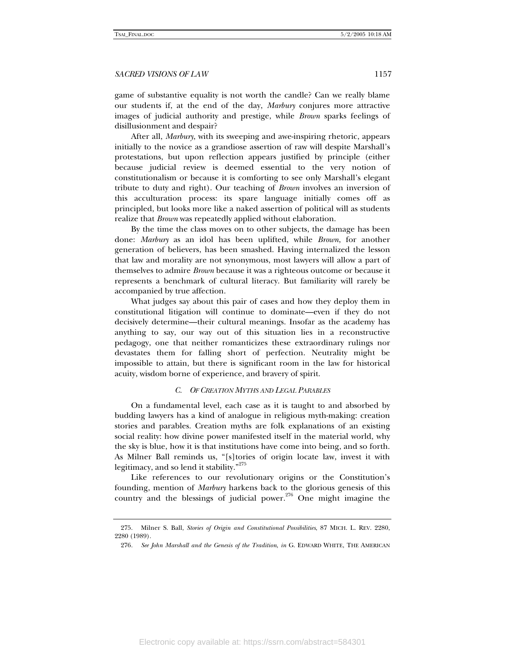game of substantive equality is not worth the candle? Can we really blame our students if, at the end of the day, *Marbury* conjures more attractive images of judicial authority and prestige, while *Brown* sparks feelings of disillusionment and despair?

After all, *Marbury*, with its sweeping and awe-inspiring rhetoric, appears initially to the novice as a grandiose assertion of raw will despite Marshall's protestations, but upon reflection appears justified by principle (either because judicial review is deemed essential to the very notion of constitutionalism or because it is comforting to see only Marshall's elegant tribute to duty and right). Our teaching of *Brown* involves an inversion of this acculturation process: its spare language initially comes off as principled, but looks more like a naked assertion of political will as students realize that *Brown* was repeatedly applied without elaboration.

By the time the class moves on to other subjects, the damage has been done: *Marbury* as an idol has been uplifted, while *Brown*, for another generation of believers, has been smashed. Having internalized the lesson that law and morality are not synonymous, most lawyers will allow a part of themselves to admire *Brown* because it was a righteous outcome or because it represents a benchmark of cultural literacy. But familiarity will rarely be accompanied by true affection.

What judges say about this pair of cases and how they deploy them in constitutional litigation will continue to dominate—even if they do not decisively determine—their cultural meanings. Insofar as the academy has anything to say, our way out of this situation lies in a reconstructive pedagogy, one that neither romanticizes these extraordinary rulings nor devastates them for falling short of perfection. Neutrality might be impossible to attain, but there is significant room in the law for historical acuity, wisdom borne of experience, and bravery of spirit.

#### *C. OF CREATION MYTHS AND LEGAL PARABLES*

On a fundamental level, each case as it is taught to and absorbed by budding lawyers has a kind of analogue in religious myth-making: creation stories and parables. Creation myths are folk explanations of an existing social reality: how divine power manifested itself in the material world, why the sky is blue, how it is that institutions have come into being, and so forth. As Milner Ball reminds us, "[s]tories of origin locate law, invest it with legitimacy, and so lend it stability."<sup>275</sup>

Like references to our revolutionary origins or the Constitution's founding, mention of *Marbury* harkens back to the glorious genesis of this country and the blessings of judicial power.<sup>276</sup> One might imagine the

 <sup>275.</sup> Milner S. Ball, *Stories of Origin and Constitutional Possibilities*, 87 MICH. L. REV. 2280, 2280 (1989).

<sup>276</sup>*. See John Marshall and the Genesis of the Tradition*, *in* G. EDWARD WHITE, THE AMERICAN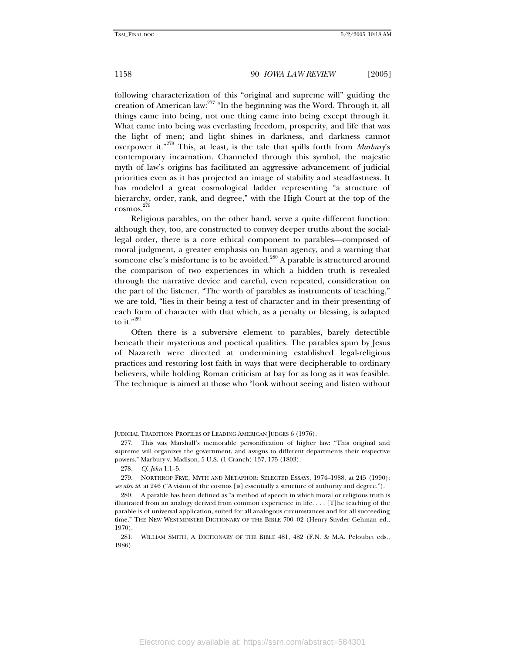following characterization of this "original and supreme will" guiding the creation of American law:<sup>277</sup> "In the beginning was the Word. Through it, all things came into being, not one thing came into being except through it. What came into being was everlasting freedom, prosperity, and life that was the light of men; and light shines in darkness, and darkness cannot overpower it."278 This, at least, is the tale that spills forth from *Marbury*'s contemporary incarnation. Channeled through this symbol, the majestic myth of law's origins has facilitated an aggressive advancement of judicial priorities even as it has projected an image of stability and steadfastness. It has modeled a great cosmological ladder representing "a structure of hierarchy, order, rank, and degree," with the High Court at the top of the cosmos. 279

Religious parables, on the other hand, serve a quite different function: although they, too, are constructed to convey deeper truths about the sociallegal order, there is a core ethical component to parables—composed of moral judgment, a greater emphasis on human agency, and a warning that someone else's misfortune is to be avoided. $280$  A parable is structured around the comparison of two experiences in which a hidden truth is revealed through the narrative device and careful, even repeated, consideration on the part of the listener. "The worth of parables as instruments of teaching," we are told, "lies in their being a test of character and in their presenting of each form of character with that which, as a penalty or blessing, is adapted to it." $^{281}$ 

Often there is a subversive element to parables, barely detectible beneath their mysterious and poetical qualities. The parables spun by Jesus of Nazareth were directed at undermining established legal-religious practices and restoring lost faith in ways that were decipherable to ordinary believers, while holding Roman criticism at bay for as long as it was feasible. The technique is aimed at those who "look without seeing and listen without

JUDICIAL TRADITION: PROFILES OF LEADING AMERICAN JUDGES 6 (1976).

 <sup>277.</sup> This was Marshall's memorable personification of higher law: "This original and supreme will organizes the government, and assigns to different departments their respective powers." Marbury v. Madison, 5 U.S. (1 Cranch) 137, 175 (1803).

<sup>278</sup>*. Cf*. *John* 1:1–5.

 <sup>279.</sup> NORTHROP FRYE, MYTH AND METAPHOR: SELECTED ESSAYS, 1974–1988, at 245 (1990); *see also id*. at 246 ("A vision of the cosmos [is] essentially a structure of authority and degree.").

 <sup>280.</sup> A parable has been defined as "a method of speech in which moral or religious truth is illustrated from an analogy derived from common experience in life. . . . [T]he teaching of the parable is of universal application, suited for all analogous circumstances and for all succeeding time." THE NEW WESTMINSTER DICTIONARY OF THE BIBLE 700–02 (Henry Snyder Gehman ed., 1970).

 <sup>281.</sup> WILLIAM SMITH, A DICTIONARY OF THE BIBLE 481, 482 (F.N. & M.A. Peloubet eds., 1986).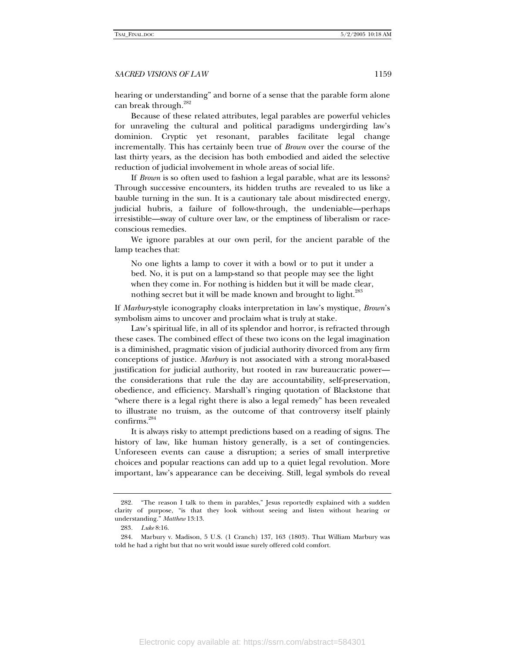hearing or understanding" and borne of a sense that the parable form alone can break through.<sup>282</sup>

Because of these related attributes, legal parables are powerful vehicles for unraveling the cultural and political paradigms undergirding law's dominion. Cryptic yet resonant, parables facilitate legal change incrementally. This has certainly been true of *Brown* over the course of the last thirty years, as the decision has both embodied and aided the selective reduction of judicial involvement in whole areas of social life.

If *Brown* is so often used to fashion a legal parable, what are its lessons? Through successive encounters, its hidden truths are revealed to us like a bauble turning in the sun. It is a cautionary tale about misdirected energy, judicial hubris, a failure of follow-through, the undeniable—perhaps irresistible—sway of culture over law, or the emptiness of liberalism or raceconscious remedies.

We ignore parables at our own peril, for the ancient parable of the lamp teaches that:

No one lights a lamp to cover it with a bowl or to put it under a bed. No, it is put on a lamp-stand so that people may see the light when they come in. For nothing is hidden but it will be made clear, nothing secret but it will be made known and brought to light.<sup>283</sup>

If *Marbury*-style iconography cloaks interpretation in law's mystique, *Brown*'s symbolism aims to uncover and proclaim what is truly at stake.

Law's spiritual life, in all of its splendor and horror, is refracted through these cases. The combined effect of these two icons on the legal imagination is a diminished, pragmatic vision of judicial authority divorced from any firm conceptions of justice. *Marbury* is not associated with a strong moral-based justification for judicial authority, but rooted in raw bureaucratic power the considerations that rule the day are accountability, self-preservation, obedience, and efficiency. Marshall's ringing quotation of Blackstone that "where there is a legal right there is also a legal remedy" has been revealed to illustrate no truism, as the outcome of that controversy itself plainly confirms.284

It is always risky to attempt predictions based on a reading of signs. The history of law, like human history generally, is a set of contingencies. Unforeseen events can cause a disruption; a series of small interpretive choices and popular reactions can add up to a quiet legal revolution. More important, law's appearance can be deceiving. Still, legal symbols do reveal

 <sup>282. &</sup>quot;The reason I talk to them in parables," Jesus reportedly explained with a sudden clarity of purpose, "is that they look without seeing and listen without hearing or understanding." *Matthew* 13:13.

<sup>283</sup>*. Luke* 8:16.

 <sup>284.</sup> Marbury v. Madison, 5 U.S. (1 Cranch) 137, 163 (1803). That William Marbury was told he had a right but that no writ would issue surely offered cold comfort.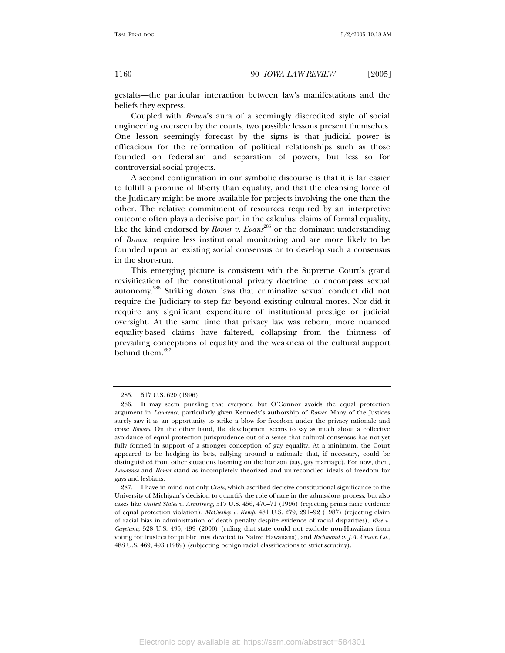gestalts—the particular interaction between law's manifestations and the beliefs they express.

Coupled with *Brown*'s aura of a seemingly discredited style of social engineering overseen by the courts, two possible lessons present themselves. One lesson seemingly forecast by the signs is that judicial power is efficacious for the reformation of political relationships such as those founded on federalism and separation of powers, but less so for controversial social projects.

A second configuration in our symbolic discourse is that it is far easier to fulfill a promise of liberty than equality, and that the cleansing force of the Judiciary might be more available for projects involving the one than the other. The relative commitment of resources required by an interpretive outcome often plays a decisive part in the calculus: claims of formal equality, like the kind endorsed by *Romer v. Evans*<sup>285</sup> or the dominant understanding of *Brown*, require less institutional monitoring and are more likely to be founded upon an existing social consensus or to develop such a consensus in the short-run.

This emerging picture is consistent with the Supreme Court's grand revivification of the constitutional privacy doctrine to encompass sexual autonomy.286 Striking down laws that criminalize sexual conduct did not require the Judiciary to step far beyond existing cultural mores. Nor did it require any significant expenditure of institutional prestige or judicial oversight. At the same time that privacy law was reborn, more nuanced equality-based claims have faltered, collapsing from the thinness of prevailing conceptions of equality and the weakness of the cultural support behind them.<sup>287</sup>

 <sup>285. 517</sup> U.S. 620 (1996).

 <sup>286.</sup> It may seem puzzling that everyone but O'Connor avoids the equal protection argument in *Lawrence*, particularly given Kennedy's authorship of *Romer*. Many of the Justices surely saw it as an opportunity to strike a blow for freedom under the privacy rationale and erase *Bowers*. On the other hand, the development seems to say as much about a collective avoidance of equal protection jurisprudence out of a sense that cultural consensus has not yet fully formed in support of a stronger conception of gay equality. At a minimum, the Court appeared to be hedging its bets, rallying around a rationale that, if necessary, could be distinguished from other situations looming on the horizon (say, gay marriage). For now, then, *Lawrence* and *Romer* stand as incompletely theorized and un-reconciled ideals of freedom for gays and lesbians.

 <sup>287.</sup> I have in mind not only *Gratz*, which ascribed decisive constitutional significance to the University of Michigan's decision to quantify the role of race in the admissions process, but also cases like *United States v. Armstrong*, 517 U.S. 456, 470–71 (1996) (rejecting prima facie evidence of equal protection violation), *McCleskey v. Kemp*, 481 U.S. 279, 291–92 (1987) (rejecting claim of racial bias in administration of death penalty despite evidence of racial disparities), *Rice v. Cayetano*, 528 U.S. 495, 499 (2000) (ruling that state could not exclude non-Hawaiians from voting for trustees for public trust devoted to Native Hawaiians), and *Richmond v. J.A. Croson Co.*, 488 U.S. 469, 493 (1989) (subjecting benign racial classifications to strict scrutiny).